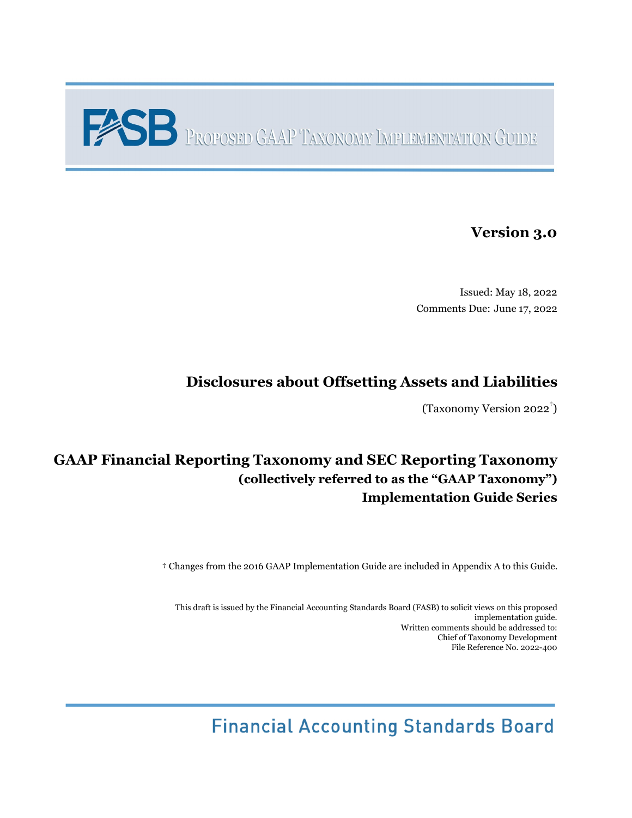# **PROPOSED GAAP TAXONOMY IMPLEMENTATION GUIDE**

# **Version 3.0**

Issued: May 18, 2022 Comments Due: June 17, 2022

# **Disclosures about Offsetting Assets and Liabilities**

(Taxonomy Version 2022 † )

# **GAAP Financial Reporting Taxonomy and SEC Reporting Taxonomy (collectively referred to as the "GAAP Taxonomy") Implementation Guide Series**

† Changes from the 2016 GAAP Implementation Guide are included in Appendix A to this Guide.

This draft is issued by the Financial Accounting Standards Board (FASB) to solicit views on this proposed implementation guide. Written comments should be addressed to: Chief of Taxonomy Development File Reference No. 2022-400

**Financial Accounting Standards Board**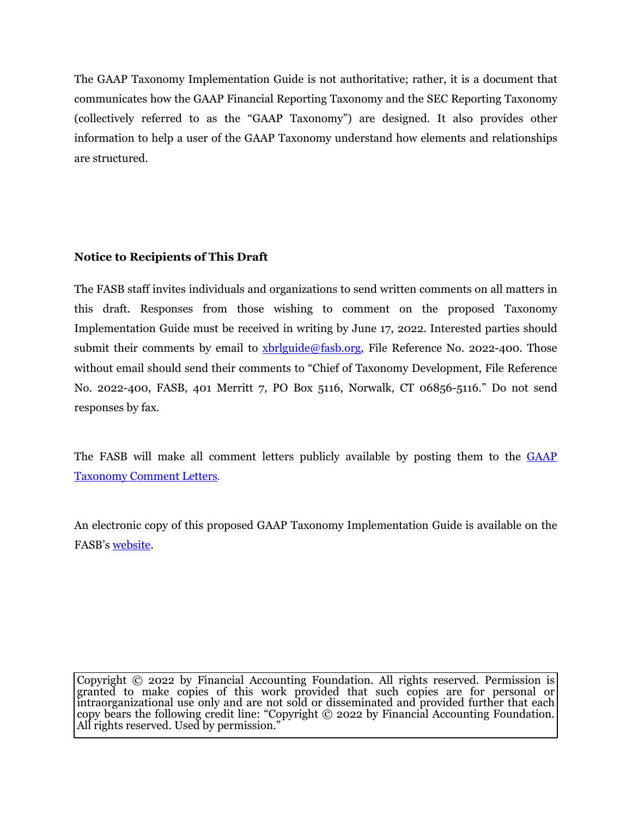The GAAP Taxonomy Implementation Guide is not authoritative; rather, it is a document that communicates how the GAAP Financial Reporting Taxonomy and the SEC Reporting Taxonomy (collectively referred to as the "GAAP Taxonomy") are designed. It also provides other information to help a user of the GAAP Taxonomy understand how elements and relationships are structured.

#### **Notice to Recipients of This Draft**

The FASB staff invites individuals and organizations to send written comments on all matters in this draft. Responses from those wishing to comment on the proposed Taxonomy Implementation Guide must be received in writing by June 17, 2022. Interested parties should submit their comments by email to [xbrlguide@fasb.org,](mailto:xbrlguide@fasb.org) File Reference No. 2022-400. Those without email should send their comments to "Chief of Taxonomy Development, File Reference No. 2022-400, FASB, 401 Merritt 7, PO Box 5116, Norwalk, CT 06856-5116." Do not send responses by fax.

The FASB will make all comment letters publicly available by posting them to the [GAAP](https://fasb.org/page/PageContent?pageId=/xbrl/commentletters.html) [Taxonomy Comment Letters](https://fasb.org/page/PageContent?pageId=/xbrl/commentletters.html).

An electronic copy of this proposed GAAP Taxonomy Implementation Guide is available on the FASB's [website.](https://fasb.org/)

Copyright © 2022 by Financial Accounting Foundation. All rights reserved. Permission is granted to make copies of this work provided that such copies are for personal or intraorganizational use only and are not sold or disseminated and provided further that each copy bears the following credit line: "Copyright © 2022 by Financial Accounting Foundation. All rights reserved. Used by permission."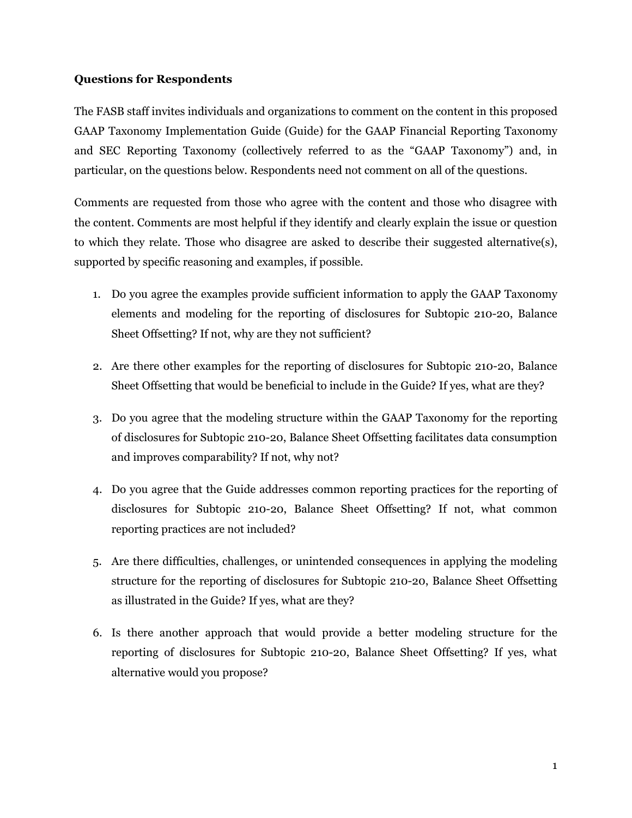#### **Questions for Respondents**

The FASB staff invites individuals and organizations to comment on the content in this proposed GAAP Taxonomy Implementation Guide (Guide) for the GAAP Financial Reporting Taxonomy and SEC Reporting Taxonomy (collectively referred to as the "GAAP Taxonomy") and, in particular, on the questions below. Respondents need not comment on all of the questions.

Comments are requested from those who agree with the content and those who disagree with the content. Comments are most helpful if they identify and clearly explain the issue or question to which they relate. Those who disagree are asked to describe their suggested alternative(s), supported by specific reasoning and examples, if possible.

- 1. Do you agree the examples provide sufficient information to apply the GAAP Taxonomy elements and modeling for the reporting of disclosures for Subtopic 210-20, Balance Sheet Offsetting? If not, why are they not sufficient?
- 2. Are there other examples for the reporting of disclosures for Subtopic 210-20, Balance Sheet Offsetting that would be beneficial to include in the Guide? If yes, what are they?
- 3. Do you agree that the modeling structure within the GAAP Taxonomy for the reporting of disclosures for Subtopic 210-20, Balance Sheet Offsetting facilitates data consumption and improves comparability? If not, why not?
- 4. Do you agree that the Guide addresses common reporting practices for the reporting of disclosures for Subtopic 210-20, Balance Sheet Offsetting? If not, what common reporting practices are not included?
- 5. Are there difficulties, challenges, or unintended consequences in applying the modeling structure for the reporting of disclosures for Subtopic 210-20, Balance Sheet Offsetting as illustrated in the Guide? If yes, what are they?
- 6. Is there another approach that would provide a better modeling structure for the reporting of disclosures for Subtopic 210-20, Balance Sheet Offsetting? If yes, what alternative would you propose?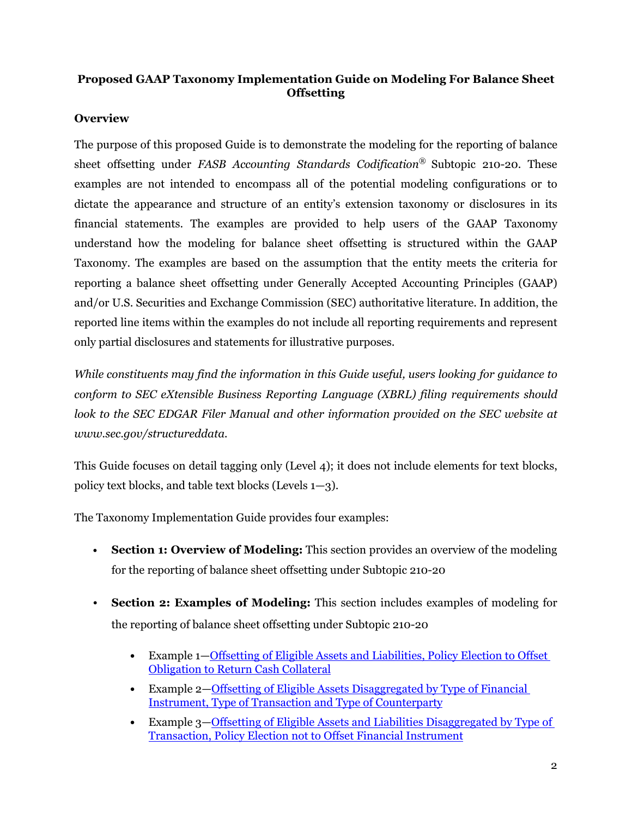#### **Proposed GAAP Taxonomy Implementation Guide on Modeling For Balance Sheet Offsetting**

#### **Overview**

The purpose of this proposed Guide is to demonstrate the modeling for the reporting of balance sheet offsetting under *FASB Accounting Standards Codification®* Subtopic 210-20. These examples are not intended to encompass all of the potential modeling configurations or to dictate the appearance and structure of an entity's extension taxonomy or disclosures in its financial statements. The examples are provided to help users of the GAAP Taxonomy understand how the modeling for balance sheet offsetting is structured within the GAAP Taxonomy. The examples are based on the assumption that the entity meets the criteria for reporting a balance sheet offsetting under Generally Accepted Accounting Principles (GAAP) and/or U.S. Securities and Exchange Commission (SEC) authoritative literature. In addition, the reported line items within the examples do not include all reporting requirements and represent only partial disclosures and statements for illustrative purposes.

*While constituents may find the information in this Guide useful, users looking for guidance to conform to SEC eXtensible Business Reporting Language (XBRL) filing requirements should*  look to the SEC EDGAR Filer Manual and other information provided on the SEC website at *www.sec.gov/structureddata.*

This Guide focuses on detail tagging only (Level 4); it does not include elements for text blocks, policy text blocks, and table text blocks (Levels 1—3).

The Taxonomy Implementation Guide provides four examples:

- **• Section 1: Overview of Modeling:** This section provides an overview of the modeling for the reporting of balance sheet offsetting under Subtopic 210-20
- **Section 2: Examples of Modeling:** This section includes examples of modeling for the reporting of balance sheet offsetting under Subtopic 210-20
	- **•** Example 1[—Offsetting of Eligible Assets and Liabilities, Policy Election to Offset](#page-11-0)  [Obligation to Return Cash Collateral](#page-11-0)
	- **•** Example 2—[Offsetting of Eligible Assets Disaggregated by Type of Financial](#page-24-0)  [Instrument, Type of Transaction and Type of Counterparty](#page-24-0)
	- **•** Example 3—[Offsetting of Eligible Assets and Liabilities Disaggregated by Type of](#page-32-0)  [Transaction, Policy Election not to Offset Financial Instrument](#page-32-0)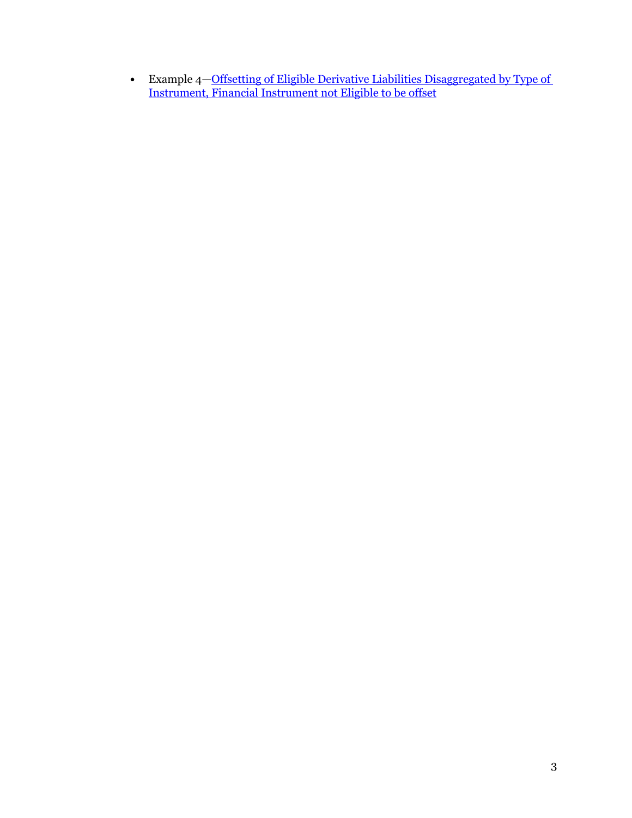**•** Example 4—[Offsetting of Eligible Derivative Liabilities Disaggregated by Type of](#page-44-0)  [Instrument, Financial Instrument not Eligible to be offset](#page-44-0)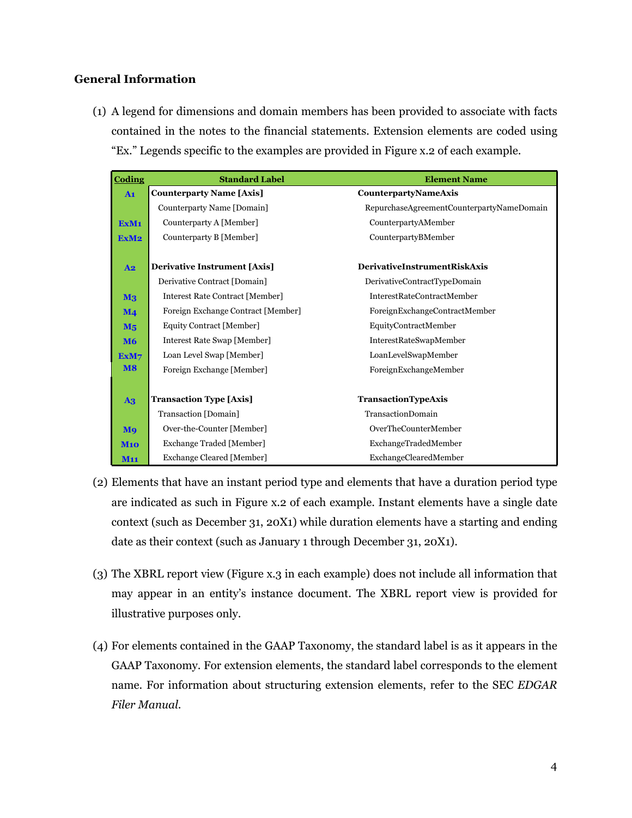#### **General Information**

(1) A legend for dimensions and domain members has been provided to associate with facts contained in the notes to the financial statements. Extension elements are coded using "Ex." Legends specific to the examples are provided in Figure x.2 of each example.

| Coding                | <b>Standard Label</b>               | <b>Element Name</b>                       |
|-----------------------|-------------------------------------|-------------------------------------------|
| A1                    | <b>Counterparty Name [Axis]</b>     | <b>CounterpartyNameAxis</b>               |
|                       | Counterparty Name [Domain]          | RepurchaseAgreementCounterpartyNameDomain |
| ExM <sub>1</sub>      | Counterparty A [Member]             | CounterpartyAMember                       |
| ExM <sub>2</sub>      | Counterparty B [Member]             | CounterpartyBMember                       |
|                       |                                     |                                           |
| A2                    | <b>Derivative Instrument [Axis]</b> | <b>DerivativeInstrumentRiskAxis</b>       |
|                       | Derivative Contract [Domain]        | DerivativeContractTypeDomain              |
| M <sub>3</sub>        | Interest Rate Contract [Member]     | <b>InterestRateContractMember</b>         |
| $\mathbf{M}$ 4        | Foreign Exchange Contract [Member]  | ForeignExchangeContractMember             |
| M <sub>5</sub>        | Equity Contract [Member]            | EquityContractMember                      |
| <b>M6</b>             | Interest Rate Swap [Member]         | InterestRateSwapMember                    |
| ExM7                  | Loan Level Swap [Member]            | LoanLevelSwapMember                       |
| <b>M8</b>             | Foreign Exchange [Member]           | ForeignExchangeMember                     |
|                       |                                     |                                           |
| $\mathbf{A}$ 3        | <b>Transaction Type [Axis]</b>      | TransactionTypeAxis                       |
|                       | Transaction [Domain]                | TransactionDomain                         |
| <b>M</b> <sub>9</sub> | Over-the-Counter [Member]           | OverTheCounterMember                      |
| <b>M10</b>            | Exchange Traded [Member]            | ExchangeTradedMember                      |
| <b>M11</b>            | Exchange Cleared [Member]           | ExchangeClearedMember                     |

- (2) Elements that have an instant period type and elements that have a duration period type are indicated as such in Figure x.2 of each example. Instant elements have a single date context (such as December 31, 20X1) while duration elements have a starting and ending date as their context (such as January 1 through December 31, 20X1).
- (3) The XBRL report view (Figure x.3 in each example) does not include all information that may appear in an entity's instance document. The XBRL report view is provided for illustrative purposes only.
- (4) For elements contained in the GAAP Taxonomy, the standard label is as it appears in the GAAP Taxonomy. For extension elements, the standard label corresponds to the element name. For information about structuring extension elements, refer to the SEC *EDGAR Filer Manual*.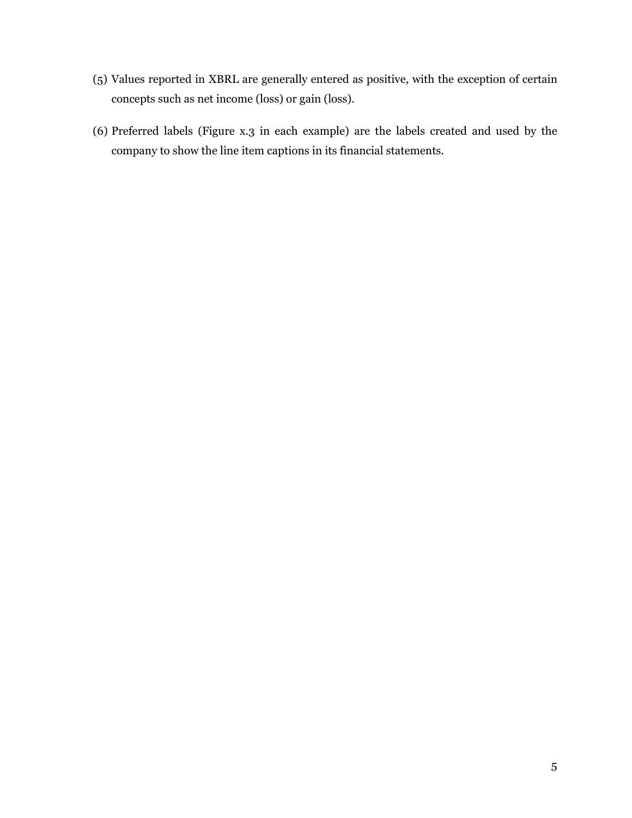- (5) Values reported in XBRL are generally entered as positive, with the exception of certain concepts such as net income (loss) or gain (loss).
- (6) Preferred labels (Figure x.3 in each example) are the labels created and used by the company to show the line item captions in its financial statements.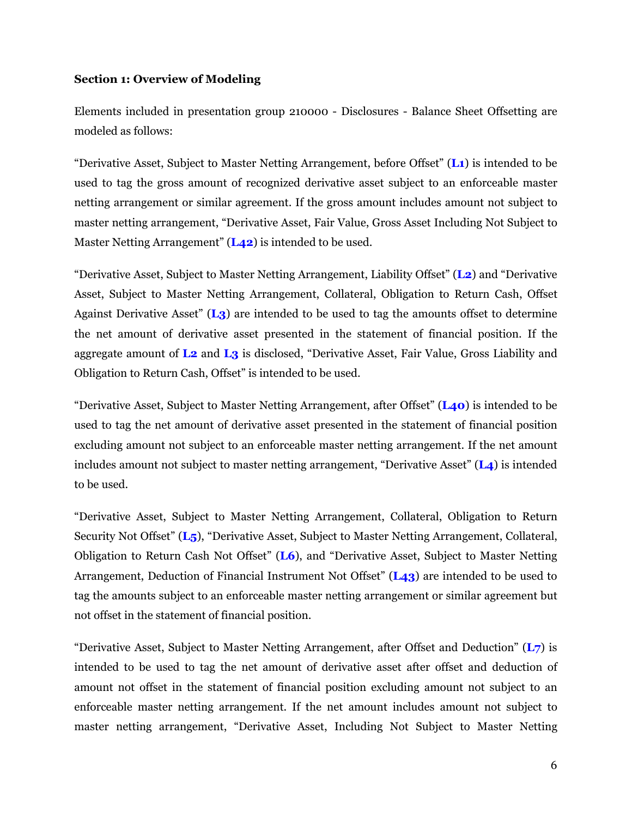#### **Section 1: Overview of Modeling**

Elements included in presentation group 210000 - Disclosures - Balance Sheet Offsetting are modeled as follows:

"Derivative Asset, Subject to Master Netting Arrangement, before Offset" (**L1**) is intended to be used to tag the gross amount of recognized derivative asset subject to an enforceable master netting arrangement or similar agreement. If the gross amount includes amount not subject to master netting arrangement, "Derivative Asset, Fair Value, Gross Asset Including Not Subject to Master Netting Arrangement" (**L42**) is intended to be used.

"Derivative Asset, Subject to Master Netting Arrangement, Liability Offset" (**L2**) and "Derivative Asset, Subject to Master Netting Arrangement, Collateral, Obligation to Return Cash, Offset Against Derivative Asset" (**L3**) are intended to be used to tag the amounts offset to determine the net amount of derivative asset presented in the statement of financial position. If the aggregate amount of **L2** and **L3** is disclosed, "Derivative Asset, Fair Value, Gross Liability and Obligation to Return Cash, Offset" is intended to be used.

"Derivative Asset, Subject to Master Netting Arrangement, after Offset" (**L40**) is intended to be used to tag the net amount of derivative asset presented in the statement of financial position excluding amount not subject to an enforceable master netting arrangement. If the net amount includes amount not subject to master netting arrangement, "Derivative Asset" (**L4**) is intended to be used.

"Derivative Asset, Subject to Master Netting Arrangement, Collateral, Obligation to Return Security Not Offset" (**L5**), "Derivative Asset, Subject to Master Netting Arrangement, Collateral, Obligation to Return Cash Not Offset" (**L6**), and "Derivative Asset, Subject to Master Netting Arrangement, Deduction of Financial Instrument Not Offset" (**L43**) are intended to be used to tag the amounts subject to an enforceable master netting arrangement or similar agreement but not offset in the statement of financial position.

"Derivative Asset, Subject to Master Netting Arrangement, after Offset and Deduction" (**L7**) is intended to be used to tag the net amount of derivative asset after offset and deduction of amount not offset in the statement of financial position excluding amount not subject to an enforceable master netting arrangement. If the net amount includes amount not subject to master netting arrangement, "Derivative Asset, Including Not Subject to Master Netting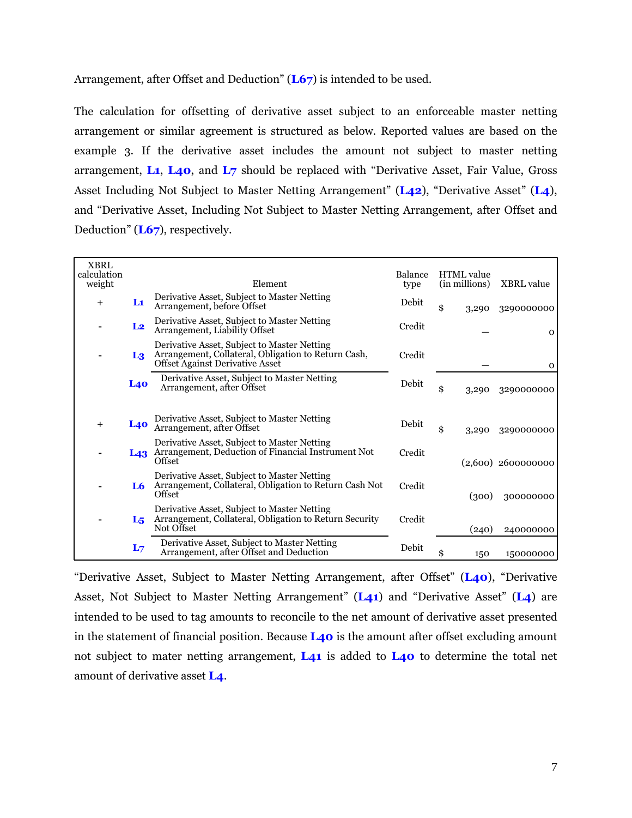Arrangement, after Offset and Deduction" (**L67**) is intended to be used.

The calculation for offsetting of derivative asset subject to an enforceable master netting arrangement or similar agreement is structured as below. Reported values are based on the example 3. If the derivative asset includes the amount not subject to master netting arrangement, **L1**, **L40**, and **L7** should be replaced with "Derivative Asset, Fair Value, Gross Asset Including Not Subject to Master Netting Arrangement" (**L42**), "Derivative Asset" (**L4**), and "Derivative Asset, Including Not Subject to Master Netting Arrangement, after Offset and Deduction" (**L67**), respectively.

| <b>XBRL</b>           |                |                                                                                                                                              |                 |                                    |                      |
|-----------------------|----------------|----------------------------------------------------------------------------------------------------------------------------------------------|-----------------|------------------------------------|----------------------|
| calculation<br>weight |                | Element                                                                                                                                      | Balance<br>type | <b>HTML</b> value<br>(in millions) | <b>XBRL</b> value    |
| $\ddot{}$             | Lı             | Derivative Asset, Subject to Master Netting<br>Arrangement, before Offset                                                                    | Debit           | \$<br>3,290                        | 3290000000           |
|                       | L <sub>2</sub> | Derivative Asset, Subject to Master Netting<br>Arrangement, Liability Offset                                                                 | Credit          |                                    | $\mathbf{O}$         |
|                       | L3             | Derivative Asset, Subject to Master Netting<br>Arrangement, Collateral, Obligation to Return Cash,<br><b>Offset Against Derivative Asset</b> | Credit          |                                    | $\mathbf{O}$         |
|                       | L40            | Derivative Asset, Subject to Master Netting<br>Arrangement, after Offset                                                                     | Debit           | \$<br>3,290                        | 3290000000           |
| $\pm$                 | <b>L40</b>     | Derivative Asset, Subject to Master Netting<br>Arrangement, after Offset                                                                     | Debit           | \$<br>3,290                        | 3290000000           |
|                       |                | Derivative Asset, Subject to Master Netting<br>L43 Arrangement, Deduction of Financial Instrument Not<br>Offset                              | Credit          |                                    | $(2,600)$ 2600000000 |
|                       | L6             | Derivative Asset, Subject to Master Netting<br>Arrangement, Collateral, Obligation to Return Cash Not<br>Offset                              | Credit          | (300)                              | 300000000            |
|                       | L <sub>5</sub> | Derivative Asset, Subject to Master Netting<br>Arrangement, Collateral, Obligation to Return Security<br>Not Offset                          | Credit          | (240)                              | 240000000            |
|                       | L <sub>7</sub> | Derivative Asset, Subject to Master Netting<br>Arrangement, after Offset and Deduction                                                       | Debit           | \$<br>150                          | 150000000            |

"Derivative Asset, Subject to Master Netting Arrangement, after Offset" (**L40**), "Derivative Asset, Not Subject to Master Netting Arrangement" (**L41**) and "Derivative Asset" (**L4**) are intended to be used to tag amounts to reconcile to the net amount of derivative asset presented in the statement of financial position. Because **L40** is the amount after offset excluding amount not subject to mater netting arrangement, **L41** is added to **L40** to determine the total net amount of derivative asset **L4**.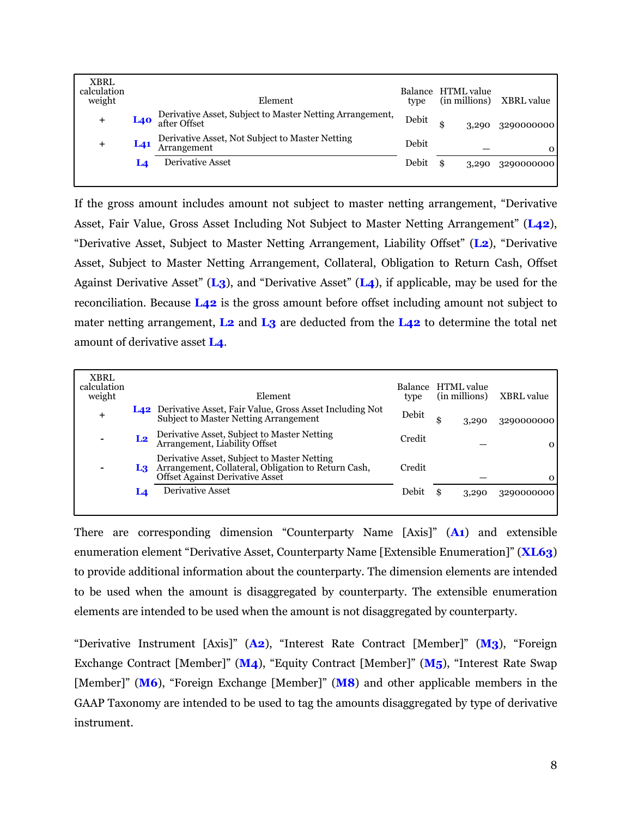| <b>XBRL</b><br>calculation<br>weight |                 | Element                                                                  | Balance HTML value<br>type |       | (in millions) XBRL value |
|--------------------------------------|-----------------|--------------------------------------------------------------------------|----------------------------|-------|--------------------------|
| $\ddot{}$                            | <b>L40</b>      | Derivative Asset, Subject to Master Netting Arrangement,<br>after Offset | Debit                      | 3,290 | 3290000000               |
| +                                    | L <sub>41</sub> | Derivative Asset, Not Subject to Master Netting<br>Arrangement           | Debit                      |       | $\Omega$                 |
|                                      | L4              | <b>Derivative Asset</b>                                                  | Debit                      | 3,290 | 3290000000               |
|                                      |                 |                                                                          |                            |       |                          |

If the gross amount includes amount not subject to master netting arrangement, "Derivative Asset, Fair Value, Gross Asset Including Not Subject to Master Netting Arrangement" (**L42**), "Derivative Asset, Subject to Master Netting Arrangement, Liability Offset" (**L2**), "Derivative Asset, Subject to Master Netting Arrangement, Collateral, Obligation to Return Cash, Offset Against Derivative Asset" (**L3**), and "Derivative Asset" (**L4**), if applicable, may be used for the reconciliation. Because **L42** is the gross amount before offset including amount not subject to mater netting arrangement, **L2** and **L3** are deducted from the **L42** to determine the total net amount of derivative asset **L4**.

| <b>XBRL</b><br>calculation<br>weight |                | Element                                                                                                                                      | <b>Balance</b><br>type | <b>HTML</b> value<br>(in millions) | <b>XBRL</b> value |
|--------------------------------------|----------------|----------------------------------------------------------------------------------------------------------------------------------------------|------------------------|------------------------------------|-------------------|
| $\ddag$                              |                | <b>L42</b> Derivative Asset, Fair Value, Gross Asset Including Not<br><b>Subject to Master Netting Arrangement</b>                           | Debit                  | 3,290                              | 3290000000        |
|                                      | L <sub>2</sub> | Derivative Asset, Subject to Master Netting<br>Arrangement, Liability Offset                                                                 | Credit                 |                                    | $\Omega$          |
|                                      | L3             | Derivative Asset, Subject to Master Netting<br>Arrangement, Collateral, Obligation to Return Cash,<br><b>Offset Against Derivative Asset</b> | Credit                 |                                    | $\Omega$          |
|                                      | Ĺ4             | <b>Derivative Asset</b>                                                                                                                      | Debit                  | 3,290                              | 3290000000        |
|                                      |                |                                                                                                                                              |                        |                                    |                   |

There are corresponding dimension "Counterparty Name [Axis]" (**A1**) and extensible enumeration element "Derivative Asset, Counterparty Name [Extensible Enumeration]" (**XL63**) to provide additional information about the counterparty. The dimension elements are intended to be used when the amount is disaggregated by counterparty. The extensible enumeration elements are intended to be used when the amount is not disaggregated by counterparty.

"Derivative Instrument [Axis]" (**A2**), "Interest Rate Contract [Member]" (**M3**), "Foreign Exchange Contract [Member]" (**M4**), "Equity Contract [Member]" (**M5**), "Interest Rate Swap [Member]" (**M6**), "Foreign Exchange [Member]" (**M8**) and other applicable members in the GAAP Taxonomy are intended to be used to tag the amounts disaggregated by type of derivative instrument.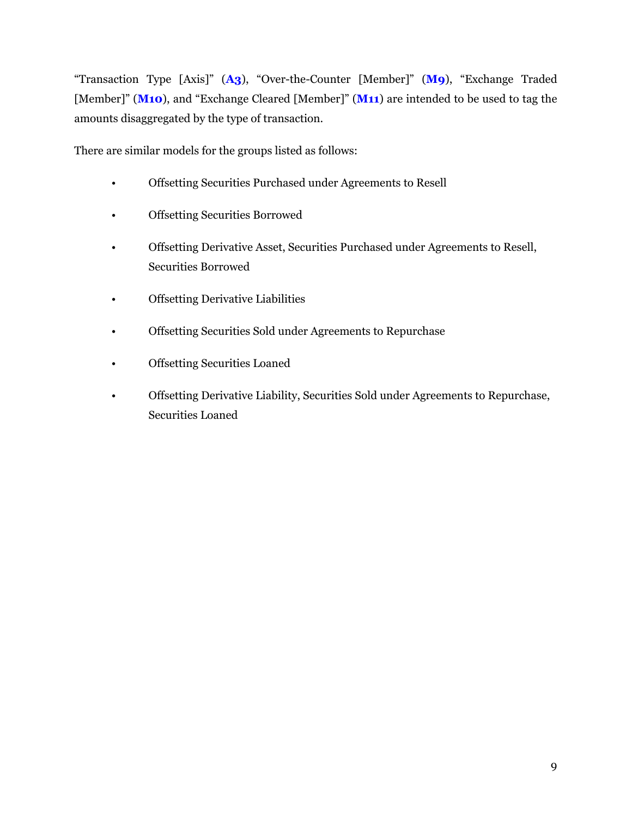"Transaction Type [Axis]" (**A3**), "Over-the-Counter [Member]" (**M9**), "Exchange Traded [Member]" (**M10**), and "Exchange Cleared [Member]" (**M11**) are intended to be used to tag the amounts disaggregated by the type of transaction.

There are similar models for the groups listed as follows:

- Offsetting Securities Purchased under Agreements to Resell
- Offsetting Securities Borrowed
- Offsetting Derivative Asset, Securities Purchased under Agreements to Resell, Securities Borrowed
- Offsetting Derivative Liabilities
- Offsetting Securities Sold under Agreements to Repurchase
- Offsetting Securities Loaned
- Offsetting Derivative Liability, Securities Sold under Agreements to Repurchase, Securities Loaned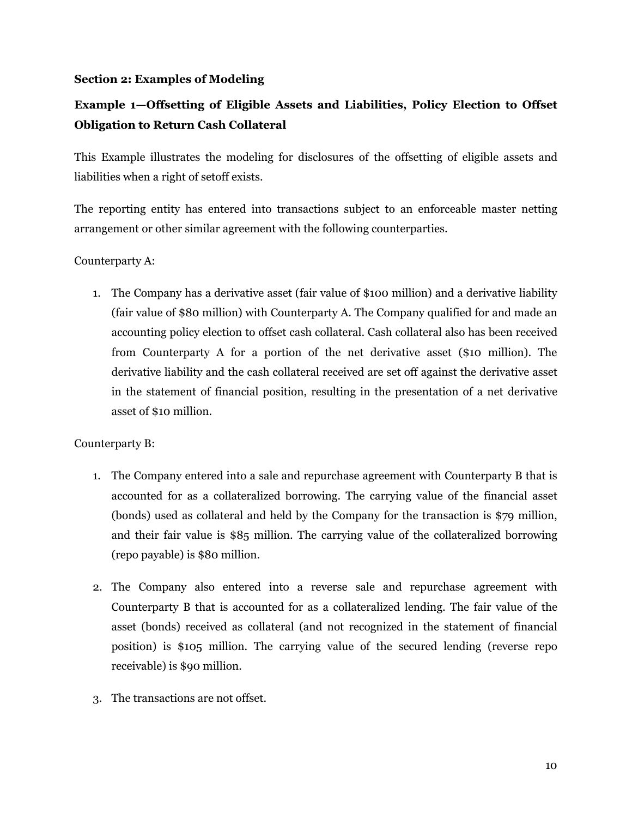#### <span id="page-11-0"></span>**Section 2: Examples of Modeling**

## **Example 1—Offsetting of Eligible Assets and Liabilities, Policy Election to Offset Obligation to Return Cash Collateral**

This Example illustrates the modeling for disclosures of the offsetting of eligible assets and liabilities when a right of setoff exists.

The reporting entity has entered into transactions subject to an enforceable master netting arrangement or other similar agreement with the following counterparties.

#### Counterparty A:

1. The Company has a derivative asset (fair value of \$100 million) and a derivative liability (fair value of \$80 million) with Counterparty A. The Company qualified for and made an accounting policy election to offset cash collateral. Cash collateral also has been received from Counterparty A for a portion of the net derivative asset (\$10 million). The derivative liability and the cash collateral received are set off against the derivative asset in the statement of financial position, resulting in the presentation of a net derivative asset of \$10 million.

#### Counterparty B:

- 1. The Company entered into a sale and repurchase agreement with Counterparty B that is accounted for as a collateralized borrowing. The carrying value of the financial asset (bonds) used as collateral and held by the Company for the transaction is \$79 million, and their fair value is \$85 million. The carrying value of the collateralized borrowing (repo payable) is \$80 million.
- 2. The Company also entered into a reverse sale and repurchase agreement with Counterparty B that is accounted for as a collateralized lending. The fair value of the asset (bonds) received as collateral (and not recognized in the statement of financial position) is \$105 million. The carrying value of the secured lending (reverse repo receivable) is \$90 million.
- 3. The transactions are not offset.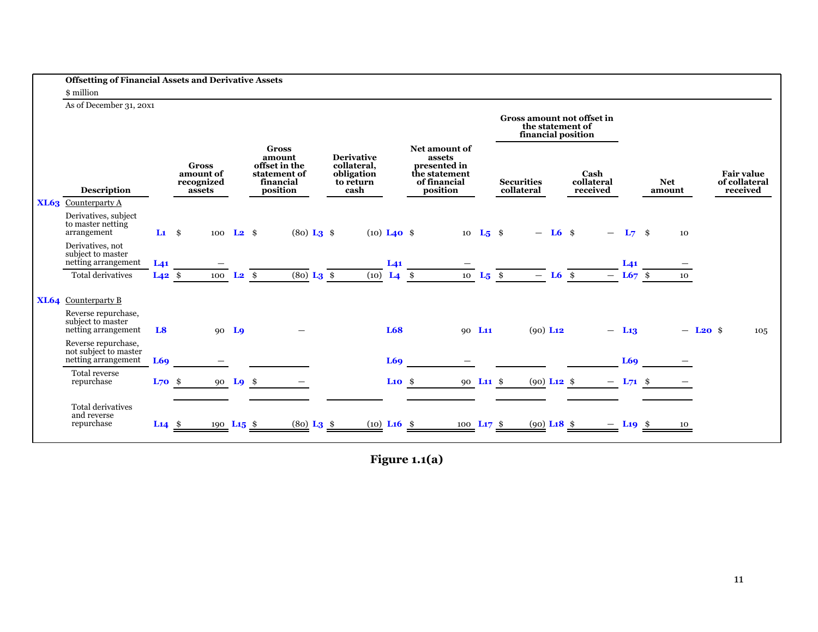|      | <b>Offsetting of Financial Assets and Derivative Assets</b>         |                        |                                         |                     |                                                                      |                                                             |                    |                                                                          |          |                                        |           |                            |                        |            |                        |                                    |     |
|------|---------------------------------------------------------------------|------------------------|-----------------------------------------|---------------------|----------------------------------------------------------------------|-------------------------------------------------------------|--------------------|--------------------------------------------------------------------------|----------|----------------------------------------|-----------|----------------------------|------------------------|------------|------------------------|------------------------------------|-----|
|      | \$ million                                                          |                        |                                         |                     |                                                                      |                                                             |                    |                                                                          |          |                                        |           |                            |                        |            |                        |                                    |     |
|      | As of December 31, 20x1                                             |                        |                                         |                     |                                                                      |                                                             |                    |                                                                          |          |                                        |           |                            |                        |            |                        |                                    |     |
|      |                                                                     |                        |                                         |                     |                                                                      |                                                             |                    |                                                                          |          | the statement of<br>financial position |           | Gross amount not offset in |                        |            |                        |                                    |     |
|      |                                                                     |                        | <b>Gross</b><br>amount of<br>recognized |                     | <b>Gross</b><br>amount<br>offset in the<br>statement of<br>financial | <b>Derivative</b><br>collateral,<br>obligation<br>to return |                    | Net amount of<br>assets<br>presented in<br>the statement<br>of financial |          | <b>Securities</b>                      |           | Cash<br>collateral         |                        | <b>Net</b> |                        | <b>Fair value</b><br>of collateral |     |
|      | <b>Description</b>                                                  |                        | assets                                  |                     | position                                                             | cash                                                        |                    | position                                                                 |          | collateral                             |           | received                   |                        | amount     |                        | received                           |     |
|      | <b>XL63</b> Counterparty A                                          |                        |                                         |                     |                                                                      |                                                             |                    |                                                                          |          |                                        |           |                            |                        |            |                        |                                    |     |
|      | Derivatives, subject<br>to master netting<br>arrangement            | $\mathbf{L1} \quad$ \$ |                                         | 100 $L2$ \$         | $(80)$ L <sub>3</sub> \$                                             | $(10)$ <b>L<sub>40</sub></b> \$                             |                    | 10                                                                       | $L_5$ \$ |                                        | $-$ L6 \$ |                            | $L_7$ \$               |            | 10                     |                                    |     |
|      | Derivatives, not<br>subject to master<br>netting arrangement        | $L_{41}$               |                                         |                     |                                                                      |                                                             | L <sub>41</sub>    |                                                                          |          |                                        |           |                            | L <sub>41</sub>        |            |                        |                                    |     |
|      | <b>Total derivatives</b>                                            | $L42$ \$               |                                         | 100 $L_2$ \$        | $(80)$ L <sub>3</sub> $\frac{1}{2}$                                  | (10)                                                        | $L4$ \$            | 10                                                                       | $L_5$ \$ | $-$ L6 \$                              |           |                            | $- L67$ \$             |            | 10                     |                                    |     |
| XL64 | Counterparty B                                                      |                        |                                         |                     |                                                                      |                                                             |                    |                                                                          |          |                                        |           |                            |                        |            |                        |                                    |     |
|      | Reverse repurchase,<br>subject to master<br>netting arrangement     | L <sub>8</sub>         |                                         | 90 <sub>10</sub>    |                                                                      |                                                             | L68                | 90 L <sub>11</sub>                                                       |          | $(90)$ L <sub>12</sub>                 |           |                            | $- L13$                |            | $-$ L <sub>20</sub> \$ |                                    | 105 |
|      | Reverse repurchase,<br>not subject to master<br>netting arrangement |                        |                                         |                     |                                                                      |                                                             |                    |                                                                          |          |                                        |           |                            | L69                    |            |                        |                                    |     |
|      | Total reverse                                                       | L69                    |                                         |                     |                                                                      |                                                             | L69                |                                                                          |          |                                        |           |                            |                        |            |                        |                                    |     |
|      | repurchase                                                          | $L70$ \$               |                                         | 90 $L9$ \$          |                                                                      |                                                             | $\mathbf{L}$ 10 \$ | 90 L <sub>11</sub> \$                                                    |          | $(90)$ L <sub>12</sub> \$              |           |                            | $- L71$ \$             |            |                        |                                    |     |
|      | <b>Total derivatives</b><br>and reverse<br>repurchase               | $L14$ \$               |                                         | 190 $\text{L}15$ \$ | $(80)$ L <sub>3</sub> \$                                             | $(10)$ L <sub>16</sub> $\frac{1}{2}$                        |                    | 100 $\text{L17}$ \$                                                      |          | $(90)$ L <sub>18</sub> \$              |           |                            | $-$ L <sub>19</sub> \$ |            | 10                     |                                    |     |
|      |                                                                     |                        |                                         |                     |                                                                      |                                                             |                    |                                                                          |          |                                        |           |                            |                        |            |                        |                                    |     |

**Figure 1.1(a)**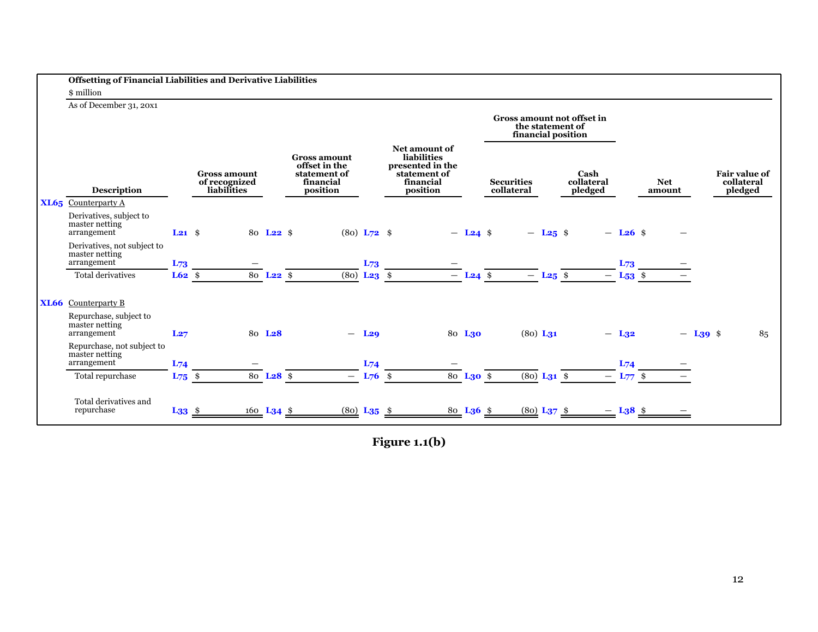| <b>Offsetting of Financial Liabilities and Derivative Liabilities</b> |                   |                                                     |                       |                                                                               |                           |                                                                                                  |                        |                                                                      |                        |                               |                         |                      |                        |                                               |  |
|-----------------------------------------------------------------------|-------------------|-----------------------------------------------------|-----------------------|-------------------------------------------------------------------------------|---------------------------|--------------------------------------------------------------------------------------------------|------------------------|----------------------------------------------------------------------|------------------------|-------------------------------|-------------------------|----------------------|------------------------|-----------------------------------------------|--|
| \$ million                                                            |                   |                                                     |                       |                                                                               |                           |                                                                                                  |                        |                                                                      |                        |                               |                         |                      |                        |                                               |  |
| As of December 31, 20x1                                               |                   |                                                     |                       |                                                                               |                           |                                                                                                  |                        | Gross amount not offset in<br>the statement of<br>financial position |                        |                               |                         |                      |                        |                                               |  |
| <b>Description</b>                                                    |                   | <b>Gross amount</b><br>of recognized<br>liabilities |                       | <b>Gross amount</b><br>offset in the<br>statement of<br>financial<br>position |                           | Net amount of<br><b>liabilities</b><br>presented in the<br>statement of<br>financial<br>position |                        | <b>Securities</b><br>collateral                                      |                        | Cash<br>collateral<br>pledged |                         | <b>Net</b><br>amount |                        | <b>Fair value of</b><br>collateral<br>pledged |  |
| $XL65$ Counterparty A                                                 |                   |                                                     |                       |                                                                               |                           |                                                                                                  |                        |                                                                      |                        |                               |                         |                      |                        |                                               |  |
| Derivatives, subject to<br>master netting<br>arrangement              | $L21$ \$          |                                                     | 80 L <sub>22</sub> \$ |                                                                               | $(80) L72$ \$             |                                                                                                  | $-$ L <sub>24</sub> \$ |                                                                      | $-$ L <sub>25</sub> \$ |                               | $-$ L <sub>26</sub> \$  |                      |                        |                                               |  |
| Derivatives, not subject to<br>master netting<br>arrangement          | L73               |                                                     |                       |                                                                               | L73                       |                                                                                                  |                        |                                                                      |                        |                               | $L_{73}$                |                      |                        |                                               |  |
| Total derivatives                                                     | $L62$ \$          |                                                     | $80$ <b>L22</b> \$    |                                                                               | $(80)$ <b>L23</b> \$      |                                                                                                  | $-$ L <sub>24</sub> \$ |                                                                      | $-$ L <sub>25</sub> \$ |                               | $-$ L <sub>53</sub> \$  |                      |                        |                                               |  |
| <b>XL66</b> Counterparty B                                            |                   |                                                     |                       |                                                                               |                           |                                                                                                  |                        |                                                                      |                        |                               |                         |                      |                        |                                               |  |
| Repurchase, subject to<br>master netting<br>arrangement               | L27               |                                                     | 80 L <sub>28</sub>    | $\overline{\phantom{0}}$                                                      | L <sub>29</sub>           |                                                                                                  | 80 L <sub>30</sub>     | $(80)$ L <sub>31</sub>                                               |                        |                               | $-$ L <sub>32</sub>     |                      | $-$ L <sub>39</sub> \$ | 85                                            |  |
| Repurchase, not subject to<br>master netting<br>arrangement           | $L_{74}$          |                                                     |                       |                                                                               | $L_{74}$                  |                                                                                                  |                        |                                                                      |                        |                               | $L_{74}$                |                      |                        |                                               |  |
| Total repurchase                                                      | $L_{75}$ \$       |                                                     | 80 L <sub>28</sub> \$ |                                                                               | $- L76$ \$                |                                                                                                  | 80 $L30$ \$            | $\overline{(80)}$ L <sub>31</sub> $\frac{1}{2}$                      |                        |                               | $- L_{77}$ \$           |                      |                        |                                               |  |
| Total derivatives and<br>repurchase                                   | $L33 \frac{\$}{}$ |                                                     | 160 $L34$ \$          |                                                                               | $(80)$ L <sub>35</sub> \$ |                                                                                                  | 80 L <sub>36</sub> \$  | $(80)$ L <sub>37</sub> \$                                            |                        |                               | $-$ L <sub>3</sub> 8 \$ |                      |                        |                                               |  |

**Figure 1.1(b)**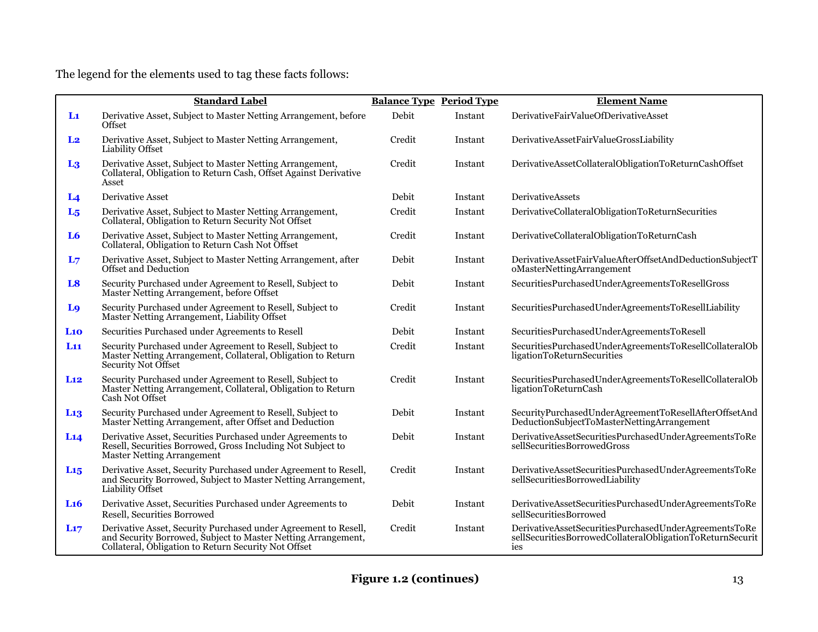The legend for the elements used to tag these facts follows:

|                 | <b>Standard Label</b>                                                                                                                                                                    | <b>Balance Type Period Type</b> |         | <b>Element Name</b>                                                                                                       |
|-----------------|------------------------------------------------------------------------------------------------------------------------------------------------------------------------------------------|---------------------------------|---------|---------------------------------------------------------------------------------------------------------------------------|
| $\mathbf{L}$    | Derivative Asset, Subject to Master Netting Arrangement, before<br>Offset                                                                                                                | Debit                           | Instant | DerivativeFairValueOfDerivativeAsset                                                                                      |
| L <sub>2</sub>  | Derivative Asset, Subject to Master Netting Arrangement,<br><b>Liability Offset</b>                                                                                                      | Credit                          | Instant | DerivativeAssetFairValueGrossLiability                                                                                    |
| $L_3$           | Derivative Asset, Subject to Master Netting Arrangement,<br>Collateral, Obligation to Return Cash, Offset Against Derivative<br>Asset                                                    | Credit                          | Instant | DerivativeAssetCollateralObligationToReturnCashOffset                                                                     |
| L <sub>4</sub>  | Derivative Asset                                                                                                                                                                         | Debit                           | Instant | <b>DerivativeAssets</b>                                                                                                   |
| L <sub>5</sub>  | Derivative Asset, Subject to Master Netting Arrangement,<br>Collateral, Obligation to Return Security Not Offset                                                                         | Credit                          | Instant | DerivativeCollateralObligationToReturnSecurities                                                                          |
| L <sub>6</sub>  | Derivative Asset, Subject to Master Netting Arrangement,<br>Collateral, Obligation to Return Cash Not Offset                                                                             | Credit                          | Instant | DerivativeCollateralObligationToReturnCash                                                                                |
| L7              | Derivative Asset, Subject to Master Netting Arrangement, after<br>Offset and Deduction                                                                                                   | Debit                           | Instant | DerivativeAssetFairValueAfterOffsetAndDeductionSubjectT<br>oMasterNettingArrangement                                      |
| L <sub>8</sub>  | Security Purchased under Agreement to Resell, Subject to<br>Master Netting Arrangement, before Offset                                                                                    | Debit                           | Instant | SecuritiesPurchasedUnderAgreementsToResellGross                                                                           |
| L <sub>9</sub>  | Security Purchased under Agreement to Resell, Subject to<br>Master Netting Arrangement, Liability Offset                                                                                 | Credit                          | Instant | SecuritiesPurchasedUnderAgreementsToResellLiability                                                                       |
| L10             | Securities Purchased under Agreements to Resell                                                                                                                                          | Debit                           | Instant | SecuritiesPurchasedUnderAgreementsToResell                                                                                |
| L <sub>11</sub> | Security Purchased under Agreement to Resell, Subject to<br>Master Netting Arrangement, Collateral, Obligation to Return<br>Security Not Offset                                          | Credit                          | Instant | SecuritiesPurchasedUnderAgreementsToResellCollateralOb<br>ligationToReturnSecurities                                      |
| L <sub>12</sub> | Security Purchased under Agreement to Resell, Subject to<br>Master Netting Arrangement, Collateral, Obligation to Return<br>Cash Not Offset                                              | Credit                          | Instant | SecuritiesPurchasedUnderAgreementsToResellCollateralOb<br>ligationToReturnCash                                            |
| L <sub>13</sub> | Security Purchased under Agreement to Resell, Subject to<br>Master Netting Arrangement, after Offset and Deduction                                                                       | Debit                           | Instant | SecurityPurchasedUnderAgreementToResellAfterOffsetAnd<br>DeductionSubjectToMasterNettingArrangement                       |
| L <sub>14</sub> | Derivative Asset, Securities Purchased under Agreements to<br>Resell, Securities Borrowed, Gross Including Not Subject to<br><b>Master Netting Arrangement</b>                           | Debit                           | Instant | DerivativeAssetSecuritiesPurchasedUnderAgreementsToRe<br>sellSecuritiesBorrowedGross                                      |
| $L_{15}$        | Derivative Asset, Security Purchased under Agreement to Resell,<br>and Security Borrowed, Subject to Master Netting Arrangement,<br>Liability Offset                                     | Credit                          | Instant | DerivativeAssetSecuritiesPurchasedUnderAgreementsToRe<br>sellSecuritiesBorrowedLiability                                  |
| L <sub>16</sub> | Derivative Asset, Securities Purchased under Agreements to<br>Resell, Securities Borrowed                                                                                                | Debit                           | Instant | DerivativeAssetSecuritiesPurchasedUnderAgreementsToRe<br>sellSecuritiesBorrowed                                           |
| $L_{17}$        | Derivative Asset, Security Purchased under Agreement to Resell,<br>and Security Borrowed, Subject to Master Netting Arrangement,<br>Collateral, Obligation to Return Security Not Offset | Credit                          | Instant | DerivativeAssetSecuritiesPurchasedUnderAgreementsToRe<br>sellSecuritiesBorrowedCollateralObligationToReturnSecurit<br>ies |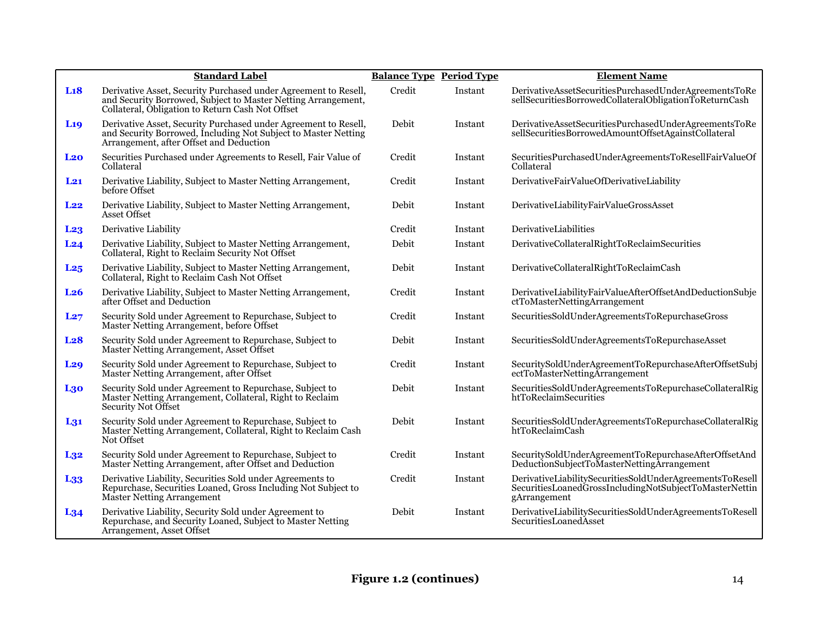|                 | <b>Standard Label</b>                                                                                                                                                                | <b>Balance Type Period Type</b> |         | <b>Element Name</b>                                                                                                                |
|-----------------|--------------------------------------------------------------------------------------------------------------------------------------------------------------------------------------|---------------------------------|---------|------------------------------------------------------------------------------------------------------------------------------------|
| L18             | Derivative Asset, Security Purchased under Agreement to Resell,<br>and Security Borrowed, Subject to Master Netting Arrangement,<br>Collateral, Obligation to Return Cash Not Offset | Credit                          | Instant | DerivativeAssetSecuritiesPurchasedUnderAgreementsToRe<br>sellSecuritiesBorrowedCollateralObligationToReturnCash                    |
| L <sub>19</sub> | Derivative Asset, Security Purchased under Agreement to Resell,<br>and Security Borrowed, Including Not Subject to Master Netting<br>Arrangement, after Offset and Deduction         | Debit                           | Instant | DerivativeAssetSecuritiesPurchasedUnderAgreementsToRe<br>sellSecuritiesBorrowedAmountOffsetAgainstCollateral                       |
| L <sub>20</sub> | Securities Purchased under Agreements to Resell, Fair Value of<br>Collateral                                                                                                         | Credit                          | Instant | SecuritiesPurchasedUnderAgreementsToResellFairValueOf<br>Collateral                                                                |
| $L_{21}$        | Derivative Liability, Subject to Master Netting Arrangement,<br>before Offset                                                                                                        | Credit                          | Instant | DerivativeFairValueOfDerivativeLiability                                                                                           |
| L <sub>22</sub> | Derivative Liability, Subject to Master Netting Arrangement,<br>Asset Offset                                                                                                         | Debit                           | Instant | DerivativeLiabilityFairValueGrossAsset                                                                                             |
| L <sub>23</sub> | Derivative Liability                                                                                                                                                                 | Credit                          | Instant | DerivativeLiabilities                                                                                                              |
| L24             | Derivative Liability, Subject to Master Netting Arrangement,<br>Collateral, Right to Reclaim Security Not Offset                                                                     | Debit                           | Instant | DerivativeCollateralRightToReclaimSecurities                                                                                       |
| L <sub>25</sub> | Derivative Liability, Subject to Master Netting Arrangement,<br>Collateral, Right to Reclaim Cash Not Offset                                                                         | Debit                           | Instant | DerivativeCollateralRightToReclaimCash                                                                                             |
| L <sub>26</sub> | Derivative Liability, Subject to Master Netting Arrangement,<br>after Offset and Deduction                                                                                           | Credit                          | Instant | DerivativeLiabilityFairValueAfterOffsetAndDeductionSubje<br>ctToMasterNettingArrangement                                           |
| L27             | Security Sold under Agreement to Repurchase, Subject to<br>Master Netting Arrangement, before Offset                                                                                 | Credit                          | Instant | SecuritiesSoldUnderAgreementsToRepurchaseGross                                                                                     |
| L <sub>28</sub> | Security Sold under Agreement to Repurchase, Subject to<br>Master Netting Arrangement, Asset Offset                                                                                  | Debit                           | Instant | SecuritiesSoldUnderAgreementsToRepurchaseAsset                                                                                     |
| L <sub>29</sub> | Security Sold under Agreement to Repurchase, Subject to<br>Master Netting Arrangement, after Offset                                                                                  | Credit                          | Instant | SecuritySoldUnderAgreementToRepurchaseAfterOffsetSubj<br>ectToMasterNettingArrangement                                             |
| L <sub>30</sub> | Security Sold under Agreement to Repurchase, Subject to<br>Master Netting Arrangement, Collateral, Right to Reclaim<br>Security Not Offset                                           | Debit                           | Instant | SecuritiesSoldUnderAgreementsToRepurchaseCollateralRig<br>htToReclaimSecurities                                                    |
| $L_{31}$        | Security Sold under Agreement to Repurchase, Subject to<br>Master Netting Arrangement, Collateral, Right to Reclaim Cash<br>Not Offset                                               | Debit                           | Instant | SecuritiesSoldUnderAgreementsToRepurchaseCollateralRig<br>htToReclaimCash                                                          |
| $L_{32}$        | Security Sold under Agreement to Repurchase, Subject to<br>Master Netting Arrangement, after Offset and Deduction                                                                    | Credit                          | Instant | SecuritySoldUnderAgreementToRepurchaseAfterOffsetAnd<br>DeductionSubjectToMasterNettingArrangement                                 |
| L <sub>33</sub> | Derivative Liability, Securities Sold under Agreements to<br>Repurchase, Securities Loaned, Gross Including Not Subject to<br>Master Netting Arrangement                             | Credit                          | Instant | DerivativeLiabilitySecuritiesSoldUnderAgreementsToResell<br>SecuritiesLoanedGrossIncludingNotSubjectToMasterNettin<br>gArrangement |
| $L_{34}$        | Derivative Liability, Security Sold under Agreement to<br>Repurchase, and Security Loaned, Subject to Master Netting<br>Arrangement, Asset Offset                                    | Debit                           | Instant | DerivativeLiabilitySecuritiesSoldUnderAgreementsToResell<br>SecuritiesLoanedAsset                                                  |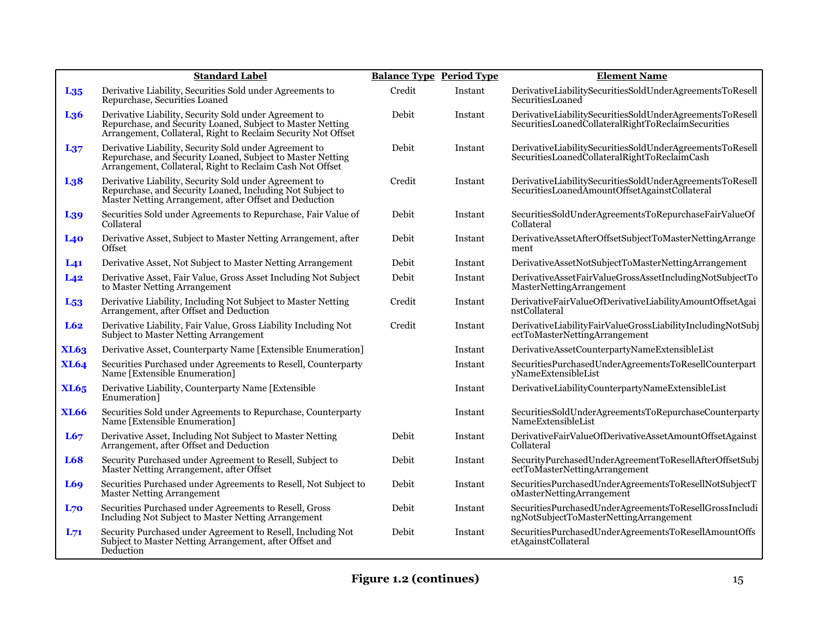|                 | <b>Standard Label</b>                                                                                                                                                                 | <b>Balance Type Period Type</b> |         | <b>Element Name</b>                                                                                            |
|-----------------|---------------------------------------------------------------------------------------------------------------------------------------------------------------------------------------|---------------------------------|---------|----------------------------------------------------------------------------------------------------------------|
| $L_{35}$        | Derivative Liability, Securities Sold under Agreements to<br>Repurchase, Securities Loaned                                                                                            | Credit                          | Instant | DerivativeLiabilitySecuritiesSoldUnderAgreementsToResell<br>SecuritiesLoaned                                   |
| L <sub>36</sub> | Derivative Liability, Security Sold under Agreement to<br>Repurchase, and Security Loaned, Subject to Master Netting<br>Arrangement, Collateral, Right to Reclaim Security Not Offset | Debit                           | Instant | DerivativeLiabilitySecuritiesSoldUnderAgreementsToResell<br>SecuritiesLoanedCollateralRightToReclaimSecurities |
| $L_{37}$        | Derivative Liability, Security Sold under Agreement to<br>Repurchase, and Security Loaned, Subject to Master Netting<br>Arrangement, Collateral, Right to Reclaim Cash Not Offset     | Debit                           | Instant | DerivativeLiabilitySecuritiesSoldUnderAgreementsToResell<br>SecuritiesLoanedCollateralRightToReclaimCash       |
| L <sub>38</sub> | Derivative Liability, Security Sold under Agreement to<br>Repurchase, and Security Loaned, Including Not Subject to<br>Master Netting Arrangement, after Offset and Deduction         | Credit                          | Instant | DerivativeLiabilitySecuritiesSoldUnderAgreementsToResell<br>SecuritiesLoanedAmountOffsetAgainstCollateral      |
| L <sub>39</sub> | Securities Sold under Agreements to Repurchase, Fair Value of<br>Collateral                                                                                                           | Debit                           | Instant | SecuritiesSoldUnderAgreementsToRepurchaseFairValueOf<br>Collateral                                             |
| L40             | Derivative Asset, Subject to Master Netting Arrangement, after<br>Offset                                                                                                              | Debit                           | Instant | DerivativeAssetAfterOffsetSubjectToMasterNettingArrange<br>ment                                                |
| L <sub>41</sub> | Derivative Asset, Not Subject to Master Netting Arrangement                                                                                                                           | Debit                           | Instant | DerivativeAssetNotSubjectToMasterNettingArrangement                                                            |
| L42             | Derivative Asset, Fair Value, Gross Asset Including Not Subject<br>to Master Netting Arrangement                                                                                      | Debit                           | Instant | DerivativeAssetFairValueGrossAssetIncludingNotSubjectTo<br>MasterNettingArrangement                            |
| L <sub>53</sub> | Derivative Liability, Including Not Subject to Master Netting<br>Arrangement, after Offset and Deduction                                                                              | Credit                          | Instant | DerivativeFairValueOfDerivativeLiabilityAmountOffsetAgai<br>nstCollateral                                      |
| L62             | Derivative Liability, Fair Value, Gross Liability Including Not<br><b>Subject to Master Netting Arrangement</b>                                                                       | Credit                          | Instant | DerivativeLiabilityFairValueGrossLiabilityIncludingNotSubj<br>ectToMasterNettingArrangement                    |
| <b>XL63</b>     | Derivative Asset, Counterparty Name [Extensible Enumeration]                                                                                                                          |                                 | Instant | DerivativeAssetCounterpartyNameExtensibleList                                                                  |
| <b>XL64</b>     | Securities Purchased under Agreements to Resell, Counterparty<br>Name [Extensible Enumeration]                                                                                        |                                 | Instant | SecuritiesPurchasedUnderAgreementsToResellCounterpart<br>yNameExtensibleList                                   |
| <b>XL65</b>     | Derivative Liability, Counterparty Name [Extensible<br>Enumeration]                                                                                                                   |                                 | Instant | DerivativeLiabilityCounterpartyNameExtensibleList                                                              |
| <b>XL66</b>     | Securities Sold under Agreements to Repurchase, Counterparty<br>Name [Extensible Enumeration]                                                                                         |                                 | Instant | SecuritiesSoldUnderAgreementsToRepurchaseCounterparty<br>NameExtensibleList                                    |
| L67             | Derivative Asset, Including Not Subject to Master Netting<br>Arrangement, after Offset and Deduction                                                                                  | Debit                           | Instant | DerivativeFairValueOfDerivativeAssetAmountOffsetAgainst<br>Collateral                                          |
| <b>L68</b>      | Security Purchased under Agreement to Resell, Subject to<br>Master Netting Arrangement, after Offset                                                                                  | Debit                           | Instant | SecurityPurchasedUnderAgreementToResellAfterOffsetSubj<br>ectToMasterNettingArrangement                        |
| <b>L69</b>      | Securities Purchased under Agreements to Resell, Not Subject to<br><b>Master Netting Arrangement</b>                                                                                  | Debit                           | Instant | SecuritiesPurchasedUnderAgreementsToResellNotSubjectT<br>oMasterNettingArrangement                             |
| L70             | Securities Purchased under Agreements to Resell, Gross<br>Including Not Subject to Master Netting Arrangement                                                                         | Debit                           | Instant | SecuritiesPurchasedUnderAgreementsToResellGrossIncludi<br>ngNotSubjectToMasterNettingArrangement               |
| $L_{71}$        | Security Purchased under Agreement to Resell, Including Not Subject to Master Netting Arrangement, after Offset and<br>Deduction                                                      | Debit                           | Instant | SecuritiesPurchasedUnderAgreementsToResellAmountOffs<br>etAgainstCollateral                                    |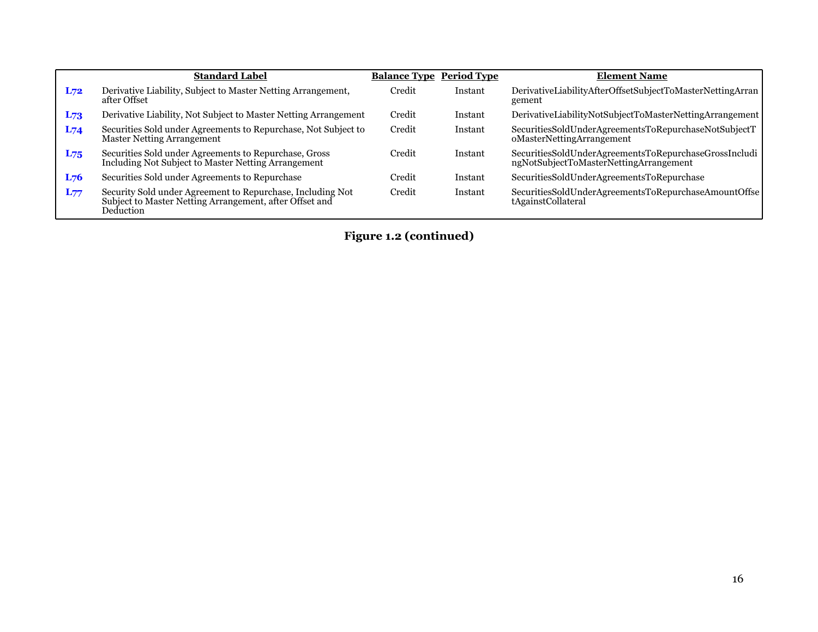|          | <b>Standard Label</b>                                                                                                              | <b>Balance Type Period Type</b> |         | <b>Element Name</b>                                                                             |
|----------|------------------------------------------------------------------------------------------------------------------------------------|---------------------------------|---------|-------------------------------------------------------------------------------------------------|
| L72      | Derivative Liability, Subject to Master Netting Arrangement,<br>after Offset                                                       | Credit                          | Instant | DerivativeLiabilityAfterOffsetSubjectToMasterNettingArran<br>gement                             |
| $L_{73}$ | Derivative Liability, Not Subject to Master Netting Arrangement                                                                    | Credit                          | Instant | DerivativeLiabilityNotSubjectToMasterNettingArrangement                                         |
| $L_{74}$ | Securities Sold under Agreements to Repurchase, Not Subject to<br>Master Netting Arrangement                                       | Credit                          | Instant | SecuritiesSoldUnderAgreementsToRepurchaseNotSubjectT<br>oMasterNettingArrangement               |
| $L_{75}$ | Securities Sold under Agreements to Repurchase, Gross<br>Including Not Subject to Master Netting Arrangement                       | Credit                          | Instant | SecuritiesSoldUnderAgreementsToRepurchaseGrossIncludi<br>ngNotSubjectToMasterNettingArrangement |
| L76      | Securities Sold under Agreements to Repurchase                                                                                     | Credit                          | Instant | SecuritiesSoldUnderAgreementsToRepurchase                                                       |
| $L_{77}$ | Security Sold under Agreement to Repurchase, Including Not<br>Subject to Master Netting Arrangement, after Offset and<br>Deduction | Credit                          | Instant | SecuritiesSoldUnderAgreementsToRepurchaseAmountOffse<br>tAgainstCollateral                      |

**Figure 1.2 (continued)**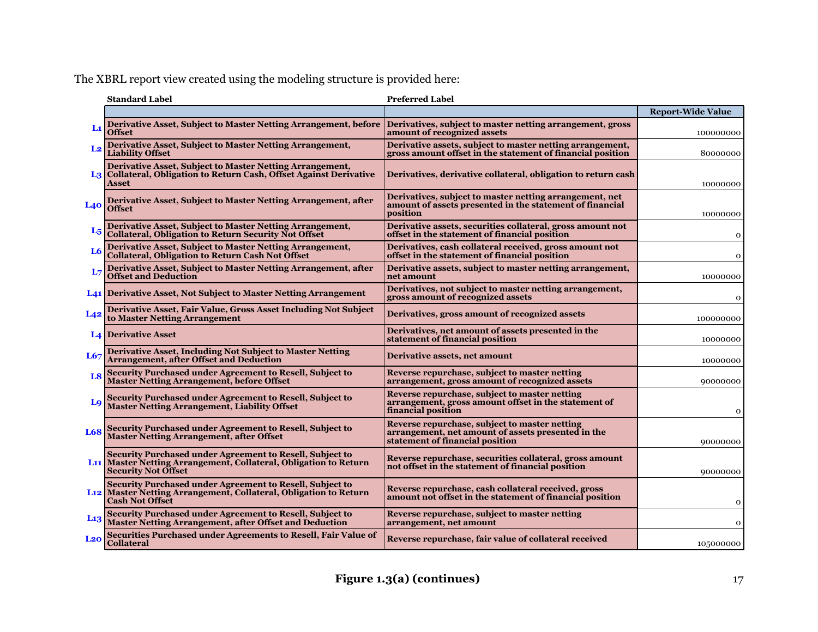The XBRL report view created using the modeling structure is provided here:

|                | <b>Standard Label</b>                                                                                                                                                  | <b>Preferred Label</b>                                                                                                                 |                          |
|----------------|------------------------------------------------------------------------------------------------------------------------------------------------------------------------|----------------------------------------------------------------------------------------------------------------------------------------|--------------------------|
|                |                                                                                                                                                                        |                                                                                                                                        | <b>Report-Wide Value</b> |
| L1             | Derivative Asset, Subject to Master Netting Arrangement, before<br>Offset                                                                                              | Derivatives, subject to master netting arrangement, gross<br>amount of recognized assets                                               | 100000000                |
| L <sub>2</sub> | Derivative Asset, Subject to Master Netting Arrangement,<br><b>Liability Offset</b>                                                                                    | Derivative assets, subject to master netting arrangement,<br>gross amount offset in the statement of financial position                | 80000000                 |
|                | Derivative Asset, Subject to Master Netting Arrangement,<br>L3 Collateral, Obligation to Return Cash, Offset Against Derivative<br>Asset                               | Derivatives, derivative collateral, obligation to return cash                                                                          | 10000000                 |
| <b>L40</b>     | Derivative Asset, Subject to Master Netting Arrangement, after<br><b>Offset</b>                                                                                        | Derivatives, subject to master netting arrangement, net<br>amount of assets presented in the statement of financial<br>position        | 10000000                 |
| $L_{5}$        | Derivative Asset, Subject to Master Netting Arrangement,<br><b>Collateral, Obligation to Return Security Not Offset</b>                                                | Derivative assets, securities collateral, gross amount not<br>offset in the statement of financial position                            | 0                        |
| L <sub>6</sub> | Derivative Asset, Subject to Master Netting Arrangement,<br>Collateral, Obligation to Return Cash Not Offset                                                           | Derivatives, cash collateral received, gross amount not<br>offset in the statement of financial position                               | 0                        |
|                | Derivative Asset, Subject to Master Netting Arrangement, after<br>Offset and Deduction                                                                                 | Derivative assets, subject to master netting arrangement,<br>net amount                                                                | 10000000                 |
|                | L <sub>41</sub> Derivative Asset, Not Subject to Master Netting Arrangement                                                                                            | Derivatives, not subject to master netting arrangement,<br>gross amount of recognized assets                                           | 0                        |
| L42            | Derivative Asset, Fair Value, Gross Asset Including Not Subject<br>to Master Netting Arrangement                                                                       | Derivatives, gross amount of recognized assets                                                                                         | 100000000                |
|                | <b>L4 Derivative Asset</b>                                                                                                                                             | Derivatives, net amount of assets presented in the<br>statement of financial position                                                  | 10000000                 |
| L67            | Derivative Asset, Including Not Subject to Master Netting<br><b>Arrangement, after Offset and Deduction</b>                                                            | Derivative assets, net amount                                                                                                          | 10000000                 |
| L8             | Security Purchased under Agreement to Resell, Subject to<br><b>Master Netting Arrangement, before Offset</b>                                                           | Reverse repurchase, subject to master netting<br>arrangement, gross amount of recognized assets                                        | 90000000                 |
| Lq             | Security Purchased under Agreement to Resell, Subject to<br><b>Master Netting Arrangement, Liability Offset</b>                                                        | Reverse repurchase, subject to master netting<br>arrangement, gross amount offset in the statement of<br>financial position            | 0                        |
| <b>L68</b>     | Security Purchased under Agreement to Resell, Subject to<br><b>Master Netting Arrangement, after Offset</b>                                                            | Reverse repurchase, subject to master netting<br>arrangement, net amount of assets presented in the<br>statement of financial position | 90000000                 |
|                | Security Purchased under Agreement to Resell, Subject to<br>L <sub>11</sub> Master Netting Arrangement, Collateral, Obligation to Return<br><b>Security Not Offset</b> | Reverse repurchase, securities collateral, gross amount<br>not offset in the statement of financial position                           | 90000000                 |
|                | Security Purchased under Agreement to Resell, Subject to<br>L <sub>12</sub> Master Netting Arrangement, Collateral, Obligation to Return<br><b>Cash Not Offset</b>     | Reverse repurchase, cash collateral received, gross<br>amount not offset in the statement of financial position                        | o                        |
| $L_{13}$       | Security Purchased under Agreement to Resell, Subject to<br>Master Netting Arrangement, after Offset and Deduction                                                     | Reverse repurchase, subject to master netting<br>arrangement, net amount                                                               | 0                        |
| $La$           | Securities Purchased under Agreements to Resell, Fair Value of<br><b>Collateral</b>                                                                                    | Reverse repurchase, fair value of collateral received                                                                                  | 105000000                |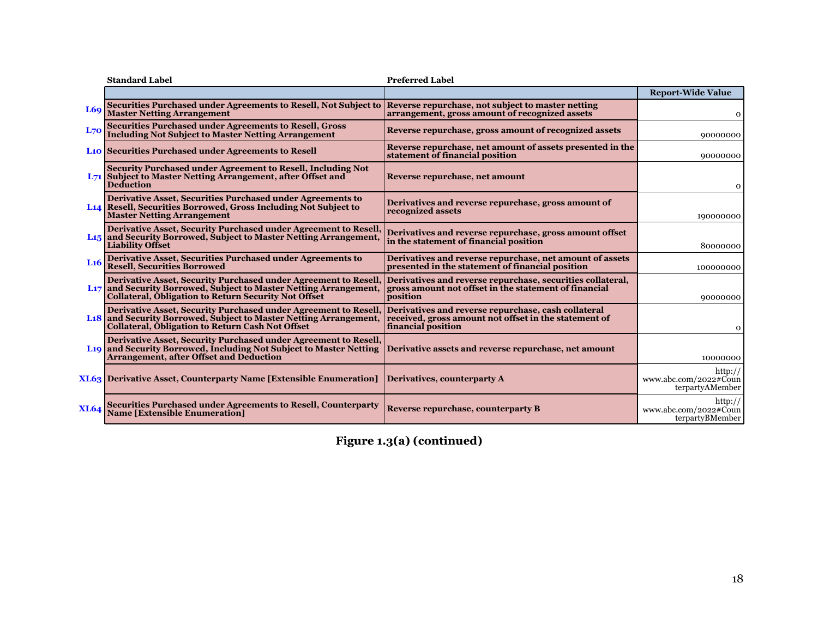|                 | <b>Standard Label</b>                                                                                                                                                                                          | <b>Preferred Label</b>                                                                                                             |                                                         |
|-----------------|----------------------------------------------------------------------------------------------------------------------------------------------------------------------------------------------------------------|------------------------------------------------------------------------------------------------------------------------------------|---------------------------------------------------------|
|                 |                                                                                                                                                                                                                |                                                                                                                                    | <b>Report-Wide Value</b>                                |
| L69             | <b>Securities Purchased under Agreements to Resell, Not Subject to</b><br><b>Master Netting Arrangement</b>                                                                                                    | Reverse repurchase, not subject to master netting<br>arrangement, gross amount of recognized assets                                | 0                                                       |
| L70             | <b>Securities Purchased under Agreements to Resell, Gross</b><br><b>Including Not Subject to Master Netting Arrangement</b>                                                                                    | Reverse repurchase, gross amount of recognized assets                                                                              | 90000000                                                |
|                 | <b>Lio Securities Purchased under Agreements to Resell</b>                                                                                                                                                     | Reverse repurchase, net amount of assets presented in the<br>statement of financial position                                       | 90000000                                                |
|                 | Security Purchased under Agreement to Resell, Including Not<br>L71 Subject to Master Netting Arrangement, after Offset and<br><b>Deduction</b>                                                                 | Reverse repurchase, net amount                                                                                                     | 0                                                       |
|                 | Derivative Asset, Securities Purchased under Agreements to<br>L <sub>14</sub> Resell, Securities Borrowed, Gross Including Not Subject to<br><b>Master Netting Arrangement</b>                                 | Derivatives and reverse repurchase, gross amount of<br>recognized assets                                                           | 190000000                                               |
|                 | Derivative Asset, Security Purchased under Agreement to Resell<br>L <sub>15</sub> and Security Borrowed, Subject to Master Netting Arrangement,<br><b>Liability Offset</b>                                     | Derivatives and reverse repurchase, gross amount offset<br>in the statement of financial position                                  | 80000000                                                |
| L <sub>16</sub> | Derivative Asset, Securities Purchased under Agreements to<br><b>Resell, Securities Borrowed</b>                                                                                                               | Derivatives and reverse repurchase, net amount of assets<br>presented in the statement of financial position                       | 100000000                                               |
|                 | Derivative Asset, Security Purchased under Agreement to Resell<br>L <sub>17</sub> and Security Borrowed, Subject to Master Netting Arrangement,<br><b>Collateral, Obligation to Return Security Not Offset</b> | Derivatives and reverse repurchase, securities collateral,<br>gross amount not offset in the statement of financial<br>position    | 90000000                                                |
|                 | <b>Derivative Asset, Security Purchased under Agreement to Resell.</b><br>L18 and Security Borrowed, Subject to Master Netting Arrangement,<br><b>Collateral, Obligation to Return Cash Not Offset</b>         | Derivatives and reverse repurchase, cash collateral<br>received, gross amount not offset in the statement of<br>financial position | 0                                                       |
|                 | Derivative Asset, Security Purchased under Agreement to Resell,<br>L <sub>19</sub> and Security Borrowed, Including Not Subject to Master Netting<br><b>Arrangement, after Offset and Deduction</b>            | Derivative assets and reverse repurchase, net amount                                                                               | 10000000                                                |
|                 | <b>XL63</b> Derivative Asset, Counterparty Name [Extensible Enumeration]                                                                                                                                       | Derivatives, counterparty A                                                                                                        | http://<br>www.abc.com/2022#Coun<br>terpartyAMember     |
| <b>XL64</b>     | <b>Securities Purchased under Agreements to Resell, Counterparty</b><br><b>Name [Extensible Enumeration]</b>                                                                                                   | Reverse repurchase, counterparty B                                                                                                 | http://<br>www.abc.com/2022# $C$ oun<br>terpartyBMember |

**Figure 1.3(a) (continued)**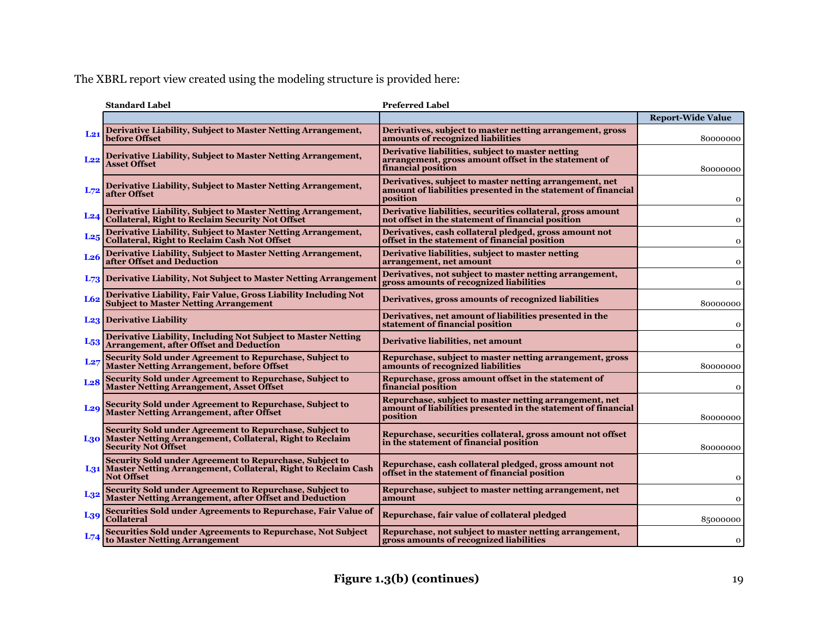The XBRL report view created using the modeling structure is provided here:

|                 | <b>Standard Label</b>                                                                                                                                 | <b>Preferred Label</b>                                                                                                               |                          |
|-----------------|-------------------------------------------------------------------------------------------------------------------------------------------------------|--------------------------------------------------------------------------------------------------------------------------------------|--------------------------|
|                 |                                                                                                                                                       |                                                                                                                                      | <b>Report-Wide Value</b> |
| $L_{21}$        | Derivative Liability, Subject to Master Netting Arrangement,<br>before Offset                                                                         | Derivatives, subject to master netting arrangement, gross<br>amounts of recognized liabilities                                       | 80000000                 |
| L22             | Derivative Liability, Subject to Master Netting Arrangement,<br>Asset Offset                                                                          | Derivative liabilities, subject to master netting<br>arrangement, gross amount offset in the statement of<br>financial position      | 80000000                 |
| $L_{72}$        | Derivative Liability, Subject to Master Netting Arrangement,<br>after Offset                                                                          | Derivatives, subject to master netting arrangement, net<br>amount of liabilities presented in the statement of financial<br>position | 0                        |
| L24             | Derivative Liability, Subject to Master Netting Arrangement,<br><b>Collateral, Right to Reclaim Security Not Offset</b>                               | Derivative liabilities, securities collateral, gross amount<br>not offset in the statement of financial position                     | 0                        |
| L <sub>25</sub> | Derivative Liability, Subject to Master Netting Arrangement,<br><b>Collateral, Right to Reclaim Cash Not Offset</b>                                   | Derivatives, cash collateral pledged, gross amount not<br>offset in the statement of financial position                              | 0                        |
| L <sub>26</sub> | Derivative Liability, Subject to Master Netting Arrangement,<br>after Offset and Deduction                                                            | Derivative liabilities, subject to master netting<br>arrangement, net amount                                                         | 0                        |
|                 | L <sub>73</sub> Derivative Liability, Not Subject to Master Netting Arrangement                                                                       | Derivatives, not subject to master netting arrangement,<br>gross amounts of recognized liabilities                                   | 0                        |
| L62             | Derivative Liability, Fair Value, Gross Liability Including Not<br><b>Subject to Master Netting Arrangement</b>                                       | Derivatives, gross amounts of recognized liabilities                                                                                 | 80000000                 |
|                 | <b>L23</b> Derivative Liability                                                                                                                       | Derivatives, net amount of liabilities presented in the<br>statement of financial position                                           | 0                        |
| $L_{53}$        | Derivative Liability, Including Not Subject to Master Netting<br><b>Arrangement, after Offset and Deduction</b>                                       | Derivative liabilities, net amount                                                                                                   | 0                        |
| L27             | Security Sold under Agreement to Repurchase, Subject to<br><b>Master Netting Arrangement, before Offset</b>                                           | Repurchase, subject to master netting arrangement, gross<br>amounts of recognized liabilities                                        | 80000000                 |
| L <sub>28</sub> | Security Sold under Agreement to Repurchase, Subject to<br><b>Master Netting Arrangement, Asset Offset</b>                                            | Repurchase, gross amount offset in the statement of<br>financial position                                                            | 0                        |
| L <sub>29</sub> | Security Sold under Agreement to Repurchase, Subject to<br><b>Master Netting Arrangement, after Offset</b>                                            | Repurchase, subject to master netting arrangement, net<br>amount of liabilities presented in the statement of financial<br>position  | 80000000                 |
|                 | Security Sold under Agreement to Repurchase, Subject to<br>L30 Master Netting Arrangement, Collateral, Right to Reclaim<br><b>Security Not Offset</b> | Repurchase, securities collateral, gross amount not offset<br>in the statement of financial position                                 | 80000000                 |
|                 | Security Sold under Agreement to Repurchase, Subject to<br>L31 Master Netting Arrangement, Collateral, Right to Reclaim Cash<br><b>Not Offset</b>     | Repurchase, cash collateral pledged, gross amount not<br>offset in the statement of financial position                               | 0                        |
| $L_{32}$        | Security Sold under Agreement to Repurchase, Subject to<br><b>Master Netting Arrangement, after Offset and Deduction</b>                              | Repurchase, subject to master netting arrangement, net<br>amount                                                                     | $\Omega$                 |
| L <sub>39</sub> | Securities Sold under Agreements to Repurchase, Fair Value of<br><b>Collateral</b>                                                                    | Repurchase, fair value of collateral pledged                                                                                         | 85000000                 |
|                 | Securities Sold under Agreements to Repurchase, Not Subject<br>to Master Netting Arrangement                                                          | Repurchase, not subject to master netting arrangement,<br>gross amounts of recognized liabilities                                    | $\mathbf{O}$             |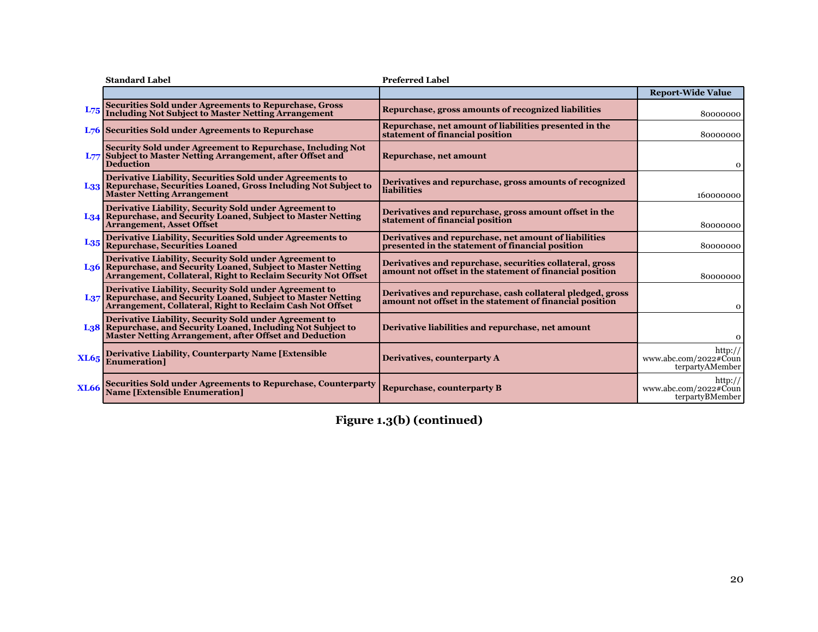|             | <b>Standard Label</b>                                                                                                                                                                                 | <b>Preferred Label</b>                                                                                                 |                                                     |
|-------------|-------------------------------------------------------------------------------------------------------------------------------------------------------------------------------------------------------|------------------------------------------------------------------------------------------------------------------------|-----------------------------------------------------|
|             |                                                                                                                                                                                                       |                                                                                                                        | <b>Report-Wide Value</b>                            |
| $L_{75}$    | Securities Sold under Agreements to Repurchase, Gross<br>Including Not Subject to Master Netting Arrangement                                                                                          | Repurchase, gross amounts of recognized liabilities                                                                    | 80000000                                            |
|             | <b>L76</b> Securities Sold under Agreements to Repurchase                                                                                                                                             | Repurchase, net amount of liabilities presented in the<br>statement of financial position                              | 80000000                                            |
|             | <b>Security Sold under Agreement to Repurchase, Including Not</b><br>L77 Subject to Master Netting Arrangement, after Offset and<br><b>Deduction</b>                                                  | Repurchase, net amount                                                                                                 | 0                                                   |
|             | Derivative Liability, Securities Sold under Agreements to<br>L33 Repurchase, Securities Loaned, Gross Including Not Subject to<br><b>Master Netting Arrangement</b>                                   | Derivatives and repurchase, gross amounts of recognized<br><b>liabilities</b>                                          | 160000000                                           |
|             | Derivative Liability, Security Sold under Agreement to<br>L <sub>34</sub> Repurchase, and Security Loaned, Subject to Master Netting<br><b>Arrangement, Asset Offset</b>                              | Derivatives and repurchase, gross amount offset in the<br>statement of financial position                              | 80000000                                            |
| $L_{35}$    | Derivative Liability, Securities Sold under Agreements to<br><b>Repurchase, Securities Loaned</b>                                                                                                     | Derivatives and repurchase, net amount of liabilities<br>presented in the statement of financial position              | 80000000                                            |
|             | Derivative Liability, Security Sold under Agreement to<br>L36 Repurchase, and Security Loaned, Subject to Master Netting<br>Arrangement, Collateral, Right to Reclaim Security Not Offset             | Derivatives and repurchase, securities collateral, gross<br>amount not offset in the statement of financial position   | 80000000                                            |
|             | Derivative Liability, Security Sold under Agreement to<br>L37 Repurchase, and Security Loaned, Subject to Master Netting<br>Arrangement, Collateral, Right to Reclaim Cash Not Offset                 | Derivatives and repurchase, cash collateral pledged, gross<br>amount not offset in the statement of financial position | 0                                                   |
|             | Derivative Liability, Security Sold under Agreement to<br>L <sub>3</sub> 8 Repurchase, and Security Loaned, Including Not Subject to<br><b>Master Netting Arrangement, after Offset and Deduction</b> | Derivative liabilities and repurchase, net amount                                                                      | 0                                                   |
| <b>XL65</b> | <b>Derivative Liability, Counterparty Name [Extensible</b> ]<br><b>Enumeration1</b>                                                                                                                   | Derivatives, counterparty A                                                                                            | http://<br>www.abc.com/2022#Coun<br>terpartyAMember |
| <b>XL66</b> | <b>Securities Sold under Agreements to Repurchase, Counterparty</b><br><b>Name [Extensible Enumeration]</b>                                                                                           | <b>Repurchase, counterparty B</b>                                                                                      | http://<br>www.abc.com/2022#Coun<br>terpartyBMember |

**Figure 1.3(b) (continued)**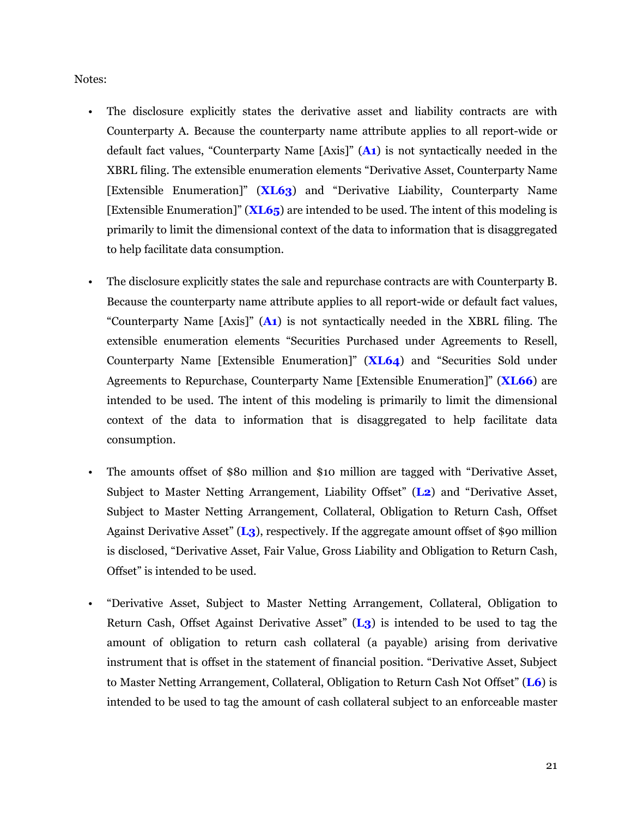Notes:

- The disclosure explicitly states the derivative asset and liability contracts are with Counterparty A. Because the counterparty name attribute applies to all report-wide or default fact values, "Counterparty Name [Axis]" (**A1**) is not syntactically needed in the XBRL filing. The extensible enumeration elements "Derivative Asset, Counterparty Name [Extensible Enumeration]" (**XL63**) and "Derivative Liability, Counterparty Name [Extensible Enumeration]" (**XL65**) are intended to be used. The intent of this modeling is primarily to limit the dimensional context of the data to information that is disaggregated to help facilitate data consumption.
	- The disclosure explicitly states the sale and repurchase contracts are with Counterparty B. Because the counterparty name attribute applies to all report-wide or default fact values, "Counterparty Name [Axis]" (**A1**) is not syntactically needed in the XBRL filing. The extensible enumeration elements "Securities Purchased under Agreements to Resell, Counterparty Name [Extensible Enumeration]" (**XL64**) and "Securities Sold under Agreements to Repurchase, Counterparty Name [Extensible Enumeration]" (**XL66**) are intended to be used. The intent of this modeling is primarily to limit the dimensional context of the data to information that is disaggregated to help facilitate data consumption.
- The amounts offset of \$80 million and \$10 million are tagged with "Derivative Asset, Subject to Master Netting Arrangement, Liability Offset" (**L2**) and "Derivative Asset, Subject to Master Netting Arrangement, Collateral, Obligation to Return Cash, Offset Against Derivative Asset" (**L3**), respectively. If the aggregate amount offset of \$90 million is disclosed, "Derivative Asset, Fair Value, Gross Liability and Obligation to Return Cash, Offset" is intended to be used.
- "Derivative Asset, Subject to Master Netting Arrangement, Collateral, Obligation to Return Cash, Offset Against Derivative Asset" (**L3**) is intended to be used to tag the amount of obligation to return cash collateral (a payable) arising from derivative instrument that is offset in the statement of financial position. "Derivative Asset, Subject to Master Netting Arrangement, Collateral, Obligation to Return Cash Not Offset" (**L6**) is intended to be used to tag the amount of cash collateral subject to an enforceable master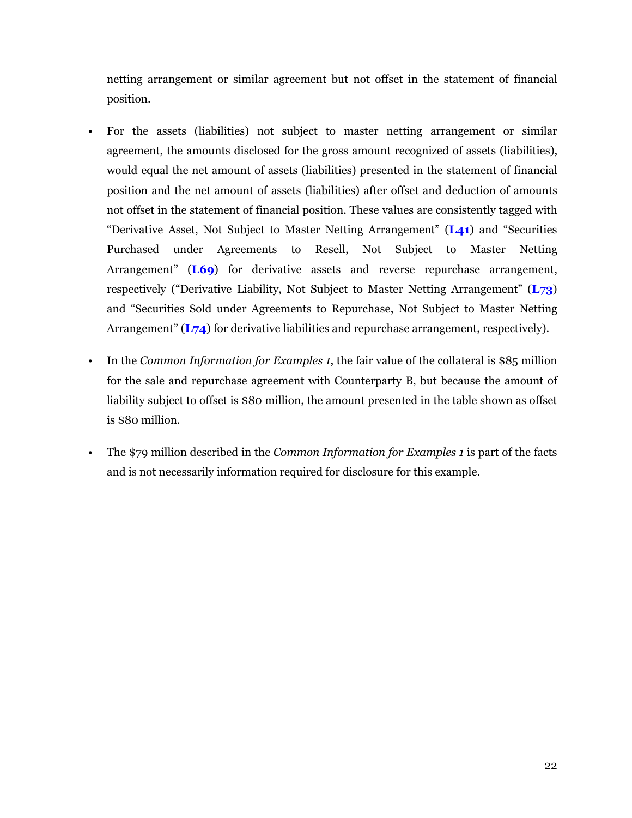netting arrangement or similar agreement but not offset in the statement of financial position.

- For the assets (liabilities) not subject to master netting arrangement or similar agreement, the amounts disclosed for the gross amount recognized of assets (liabilities), would equal the net amount of assets (liabilities) presented in the statement of financial position and the net amount of assets (liabilities) after offset and deduction of amounts not offset in the statement of financial position. These values are consistently tagged with "Derivative Asset, Not Subject to Master Netting Arrangement" (**L41**) and "Securities Purchased under Agreements to Resell, Not Subject to Master Netting Arrangement" (**L69**) for derivative assets and reverse repurchase arrangement, respectively ("Derivative Liability, Not Subject to Master Netting Arrangement" (**L73**) and "Securities Sold under Agreements to Repurchase, Not Subject to Master Netting Arrangement" (**L74**) for derivative liabilities and repurchase arrangement, respectively).
- In the *Common Information for Examples 1*, the fair value of the collateral is \$85 million for the sale and repurchase agreement with Counterparty B, but because the amount of liability subject to offset is \$80 million, the amount presented in the table shown as offset is \$80 million.
- The \$79 million described in the *Common Information for Examples 1* is part of the facts and is not necessarily information required for disclosure for this example.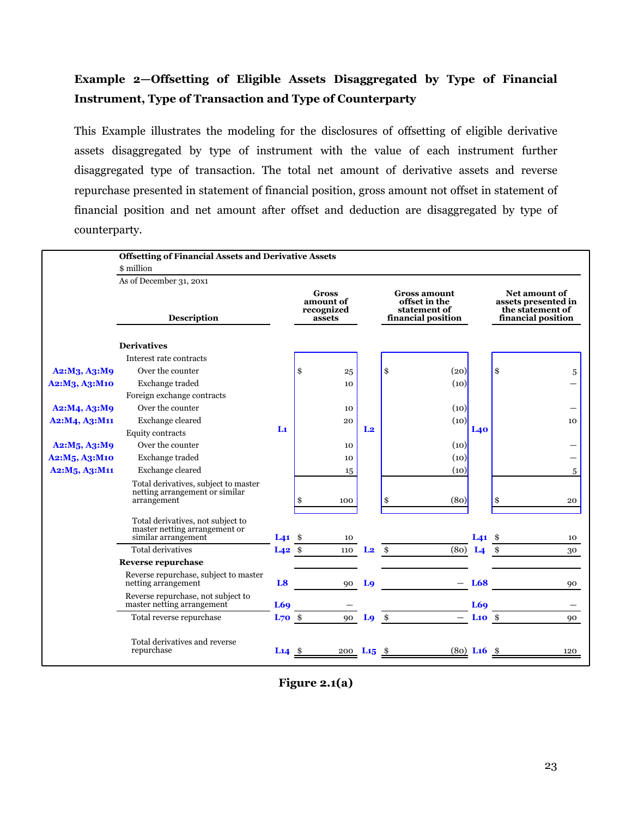## <span id="page-24-0"></span>**Example 2—Offsetting of Eligible Assets Disaggregated by Type of Financial Instrument, Type of Transaction and Type of Counterparty**

This Example illustrates the modeling for the disclosures of offsetting of eligible derivative assets disaggregated by type of instrument with the value of each instrument further disaggregated type of transaction. The total net amount of derivative assets and reverse repurchase presented in statement of financial position, gross amount not offset in statement of financial position and net amount after offset and deduction are disaggregated by type of counterparty.

|                                                     | <b>Offsetting of Financial Assets and Derivative Assets</b>                               |                               |                                                   |                          |               |                                                                            |                               |                                                                                       |    |
|-----------------------------------------------------|-------------------------------------------------------------------------------------------|-------------------------------|---------------------------------------------------|--------------------------|---------------|----------------------------------------------------------------------------|-------------------------------|---------------------------------------------------------------------------------------|----|
|                                                     | \$ million                                                                                |                               |                                                   |                          |               |                                                                            |                               |                                                                                       |    |
|                                                     | As of December 31, 20x1                                                                   |                               |                                                   |                          |               |                                                                            |                               |                                                                                       |    |
|                                                     | <b>Description</b>                                                                        |                               | <b>Gross</b><br>amount of<br>recognized<br>assets |                          |               | <b>Gross amount</b><br>offset in the<br>statement of<br>financial position |                               | <b>Net amount of</b><br>assets presented in<br>the statement of<br>financial position |    |
|                                                     | <b>Derivatives</b>                                                                        |                               |                                                   |                          |               |                                                                            |                               |                                                                                       |    |
|                                                     | Interest rate contracts                                                                   |                               |                                                   |                          |               |                                                                            |                               |                                                                                       |    |
| A2:M <sub>3</sub> , A <sub>3</sub> :M <sub>9</sub>  | Over the counter                                                                          |                               | \$                                                | 25                       | \$            | (20)                                                                       |                               | \$                                                                                    | 5  |
| A2:M3, A3:M10                                       | Exchange traded                                                                           |                               | 10                                                |                          |               | (10)                                                                       |                               |                                                                                       |    |
|                                                     | Foreign exchange contracts                                                                |                               |                                                   |                          |               |                                                                            |                               |                                                                                       |    |
| A2:M4, A3:M9                                        | Over the counter                                                                          |                               | 10                                                |                          |               | (10)                                                                       |                               |                                                                                       |    |
| A2:M4, A3:M11                                       | Exchange cleared                                                                          |                               | 20                                                |                          |               | (10)                                                                       |                               |                                                                                       | 10 |
|                                                     | Equity contracts                                                                          | Lı                            |                                                   | L <sub>2</sub>           |               |                                                                            | L40                           |                                                                                       |    |
| A2:M <sub>5</sub> , A <sub>3</sub> :M <sub>9</sub>  | Over the counter                                                                          |                               | 10                                                |                          |               | (10)                                                                       |                               |                                                                                       |    |
| A2:M5, A3:M10                                       | Exchange traded                                                                           |                               |                                                   | 10                       |               | (10)                                                                       |                               |                                                                                       |    |
| A2:M <sub>5</sub> , A <sub>3</sub> :M <sub>11</sub> | Exchange cleared                                                                          |                               |                                                   | 15                       |               | (10)                                                                       |                               |                                                                                       | 5  |
|                                                     | Total derivatives, subject to master<br>netting arrangement or similar<br>arrangement     |                               | \$<br>100                                         |                          | \$            | (80)                                                                       |                               | \$                                                                                    | 20 |
|                                                     | Total derivatives, not subject to<br>master netting arrangement or<br>similar arrangement | $L41$ \$                      |                                                   | 10                       |               |                                                                            | L <sub>41</sub> $\frac{1}{2}$ |                                                                                       | 10 |
|                                                     | <b>Total derivatives</b>                                                                  | $L42$ \$                      | 110                                               | L <sub>2</sub>           | $\mathbf{s}$  |                                                                            | $(80)$ L <sub>4</sub>         |                                                                                       | 30 |
|                                                     | <b>Reverse repurchase</b>                                                                 |                               |                                                   |                          |               |                                                                            |                               |                                                                                       |    |
|                                                     | Reverse repurchase, subject to master<br>netting arrangement                              | L <sub>8</sub>                | 90                                                | L <sub>9</sub>           |               |                                                                            | <b>L68</b>                    |                                                                                       | 90 |
|                                                     | Reverse repurchase, not subject to<br>master netting arrangement                          | L69                           |                                                   |                          |               |                                                                            | L6 <sub>9</sub>               |                                                                                       |    |
|                                                     | Total reverse repurchase                                                                  | $L70$ \$                      |                                                   | 90<br>Lo                 | $\frac{3}{2}$ |                                                                            | $\mathbf{L}$ 10 \$            |                                                                                       | 90 |
|                                                     | Total derivatives and reverse<br>repurchase                                               | L <sub>14</sub> $\frac{\$}{}$ |                                                   | $200$ L <sub>15</sub> \$ |               |                                                                            | $(80)$ L <sub>16</sub> \$     | 120                                                                                   |    |

**Figure 2.1(a)**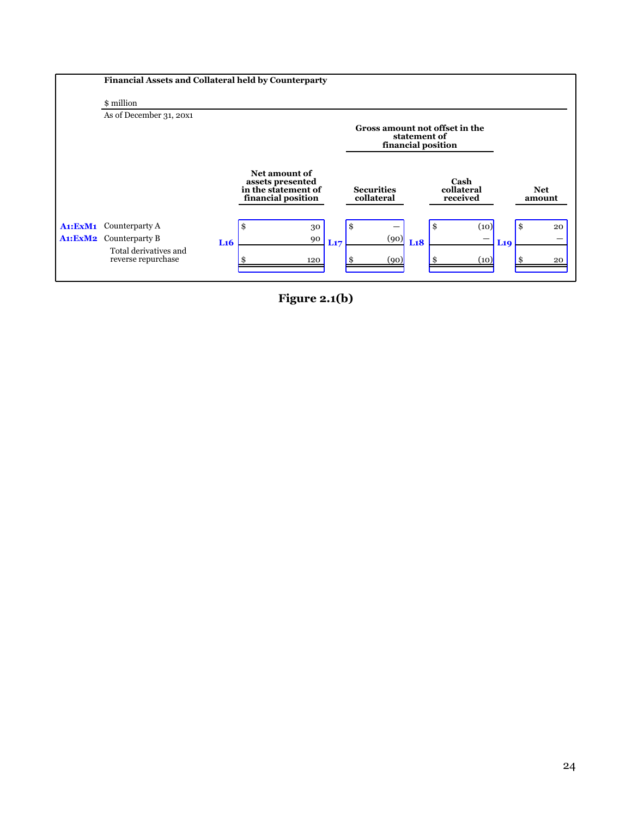

**Figure 2.1(b)**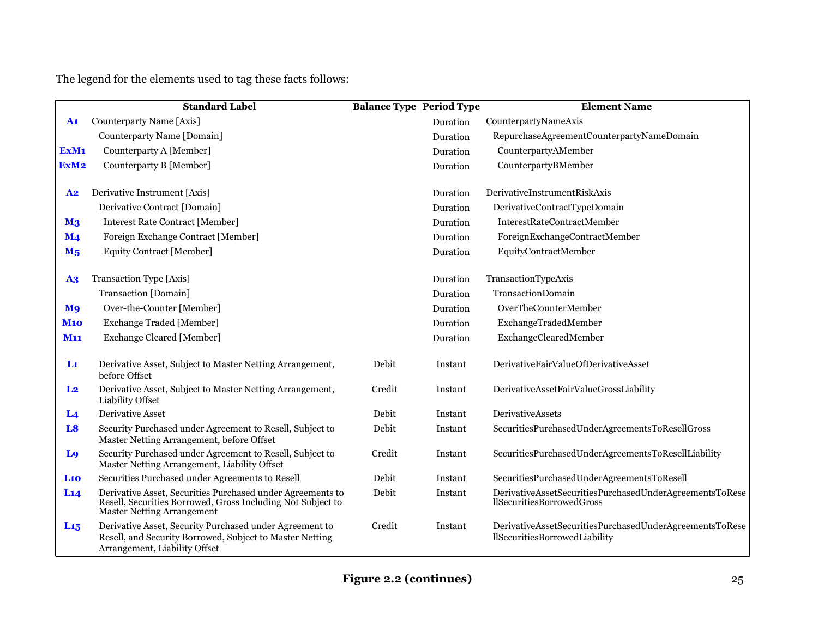The legend for the elements used to tag these facts follows:

|                  | <b>Standard Label</b>                                                                                                                                          | <b>Balance Type Period Type</b> |          | <b>Element Name</b>                                                                      |
|------------------|----------------------------------------------------------------------------------------------------------------------------------------------------------------|---------------------------------|----------|------------------------------------------------------------------------------------------|
| $\mathbf{A1}$    | Counterparty Name [Axis]                                                                                                                                       |                                 | Duration | CounterpartyNameAxis                                                                     |
|                  | Counterparty Name [Domain]                                                                                                                                     |                                 | Duration | RepurchaseAgreementCounterpartyNameDomain                                                |
| ExM <sub>1</sub> | Counterparty A [Member]                                                                                                                                        |                                 | Duration | CounterpartyAMember                                                                      |
| ExM <sub>2</sub> | Counterparty B [Member]                                                                                                                                        |                                 | Duration | CounterpartyBMember                                                                      |
| ${\bf A2}$       | Derivative Instrument [Axis]                                                                                                                                   |                                 | Duration | DerivativeInstrumentRiskAxis                                                             |
|                  | Derivative Contract [Domain]                                                                                                                                   |                                 | Duration | DerivativeContractTypeDomain                                                             |
| M <sub>3</sub>   | <b>Interest Rate Contract [Member]</b>                                                                                                                         |                                 | Duration | InterestRateContractMember                                                               |
| $\mathbf{M}$ 4   | Foreign Exchange Contract [Member]                                                                                                                             |                                 | Duration | ForeignExchangeContractMember                                                            |
| M <sub>5</sub>   | Equity Contract [Member]                                                                                                                                       |                                 | Duration | EquityContractMember                                                                     |
| A3               | Transaction Type [Axis]                                                                                                                                        |                                 | Duration | TransactionTypeAxis                                                                      |
|                  | Transaction [Domain]                                                                                                                                           |                                 | Duration | TransactionDomain                                                                        |
| M <sub>9</sub>   | Over-the-Counter [Member]                                                                                                                                      |                                 | Duration | OverTheCounterMember                                                                     |
| <b>M10</b>       | <b>Exchange Traded [Member]</b>                                                                                                                                |                                 | Duration | ExchangeTradedMember                                                                     |
| <b>M11</b>       | <b>Exchange Cleared [Member]</b>                                                                                                                               |                                 | Duration | ExchangeClearedMember                                                                    |
| $\mathbf{L}$     | Derivative Asset, Subject to Master Netting Arrangement,<br>before Offset                                                                                      | Debit                           | Instant  | DerivativeFairValueOfDerivativeAsset                                                     |
| L <sub>2</sub>   | Derivative Asset, Subject to Master Netting Arrangement,<br>Liability Offset                                                                                   | Credit                          | Instant  | DerivativeAssetFairValueGrossLiability                                                   |
| L <sub>4</sub>   | <b>Derivative Asset</b>                                                                                                                                        | Debit                           | Instant  | <b>DerivativeAssets</b>                                                                  |
| L <sub>8</sub>   | Security Purchased under Agreement to Resell, Subject to<br>Master Netting Arrangement, before Offset                                                          | Debit                           | Instant  | SecuritiesPurchasedUnderAgreementsToResellGross                                          |
| L <sub>9</sub>   | Security Purchased under Agreement to Resell, Subject to<br>Master Netting Arrangement, Liability Offset                                                       | Credit                          | Instant  | SecuritiesPurchasedUnderAgreementsToResellLiability                                      |
| L10              | Securities Purchased under Agreements to Resell                                                                                                                | Debit                           | Instant  | SecuritiesPurchasedUnderAgreementsToResell                                               |
| L14              | Derivative Asset, Securities Purchased under Agreements to<br>Resell, Securities Borrowed, Gross Including Not Subject to<br><b>Master Netting Arrangement</b> | Debit                           | Instant  | DerivativeAssetSecuritiesPurchasedUnderAgreementsToRese<br>llSecuritiesBorrowedGross     |
| $L_{15}$         | Derivative Asset, Security Purchased under Agreement to<br>Resell, and Security Borrowed, Subject to Master Netting<br>Arrangement, Liability Offset           | Credit                          | Instant  | DerivativeAssetSecuritiesPurchasedUnderAgreementsToRese<br>llSecuritiesBorrowedLiability |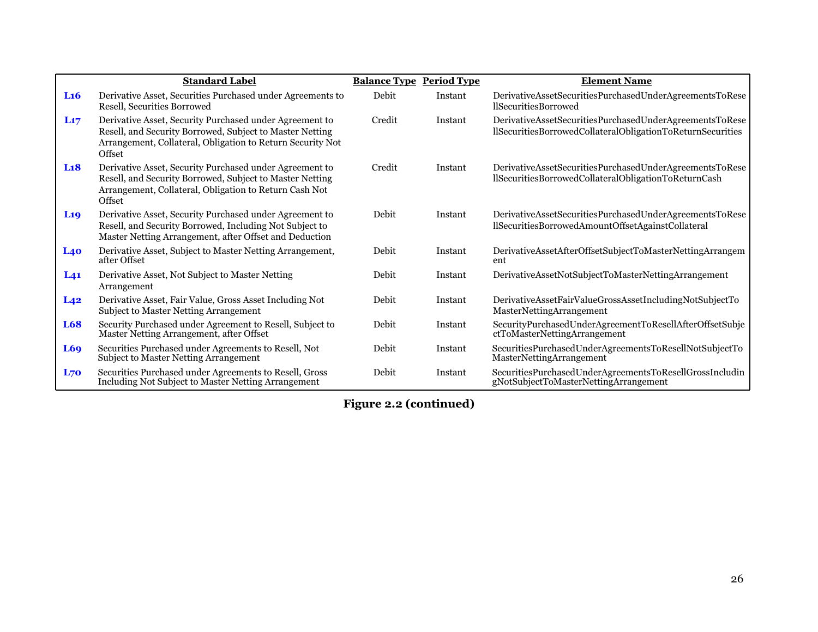|                        | <b>Standard Label</b>                                                                                                                                                                       | <b>Balance Type Period Type</b> |         | <b>Element Name</b>                                                                                                   |
|------------------------|---------------------------------------------------------------------------------------------------------------------------------------------------------------------------------------------|---------------------------------|---------|-----------------------------------------------------------------------------------------------------------------------|
| L <sub>16</sub>        | Derivative Asset, Securities Purchased under Agreements to<br>Resell, Securities Borrowed                                                                                                   | Debit                           | Instant | DerivativeAssetSecuritiesPurchasedUnderAgreementsToRese<br>llSecuritiesBorrowed                                       |
| L17                    | Derivative Asset, Security Purchased under Agreement to<br>Resell, and Security Borrowed, Subject to Master Netting<br>Arrangement, Collateral, Obligation to Return Security Not<br>Offset | Credit                          | Instant | DerivativeAssetSecuritiesPurchasedUnderAgreementsToRese<br>llSecuritiesBorrowedCollateralObligationToReturnSecurities |
| L <sub>18</sub>        | Derivative Asset, Security Purchased under Agreement to<br>Resell, and Security Borrowed, Subject to Master Netting<br>Arrangement, Collateral, Obligation to Return Cash Not<br>Offset     | Credit                          | Instant | DerivativeAssetSecuritiesPurchasedUnderAgreementsToRese<br>llSecuritiesBorrowedCollateralObligationToReturnCash       |
| <b>L</b> <sub>19</sub> | Derivative Asset, Security Purchased under Agreement to<br>Resell, and Security Borrowed, Including Not Subject to<br>Master Netting Arrangement, after Offset and Deduction                | Debit                           | Instant | DerivativeAssetSecuritiesPurchasedUnderAgreementsToRese<br>llSecuritiesBorrowedAmountOffsetAgainstCollateral          |
| L40                    | Derivative Asset, Subject to Master Netting Arrangement,<br>after Offset                                                                                                                    | Debit                           | Instant | DerivativeAssetAfterOffsetSubjectToMasterNettingArrangem<br>ent                                                       |
| L <sub>41</sub>        | Derivative Asset, Not Subject to Master Netting<br>Arrangement                                                                                                                              | Debit                           | Instant | DerivativeAssetNotSubjectToMasterNettingArrangement                                                                   |
| $L_{42}$               | Derivative Asset, Fair Value, Gross Asset Including Not<br><b>Subject to Master Netting Arrangement</b>                                                                                     | Debit                           | Instant | DerivativeAssetFairValueGrossAssetIncludingNotSubjectTo<br>MasterNettingArrangement                                   |
| L68                    | Security Purchased under Agreement to Resell, Subject to<br>Master Netting Arrangement, after Offset                                                                                        | Debit                           | Instant | SecurityPurchasedUnderAgreementToResellAfterOffsetSubje<br>ctToMasterNettingArrangement                               |
| L69                    | Securities Purchased under Agreements to Resell, Not<br>Subject to Master Netting Arrangement                                                                                               | Debit                           | Instant | SecuritiesPurchasedUnderAgreementsToResellNotSubjectTo<br>MasterNettingArrangement                                    |
| L70                    | Securities Purchased under Agreements to Resell, Gross<br>Including Not Subject to Master Netting Arrangement                                                                               | Debit                           | Instant | SecuritiesPurchasedUnderAgreementsToResellGrossIncludin<br>gNotSubjectToMasterNettingArrangement                      |

**Figure 2.2 (continued)**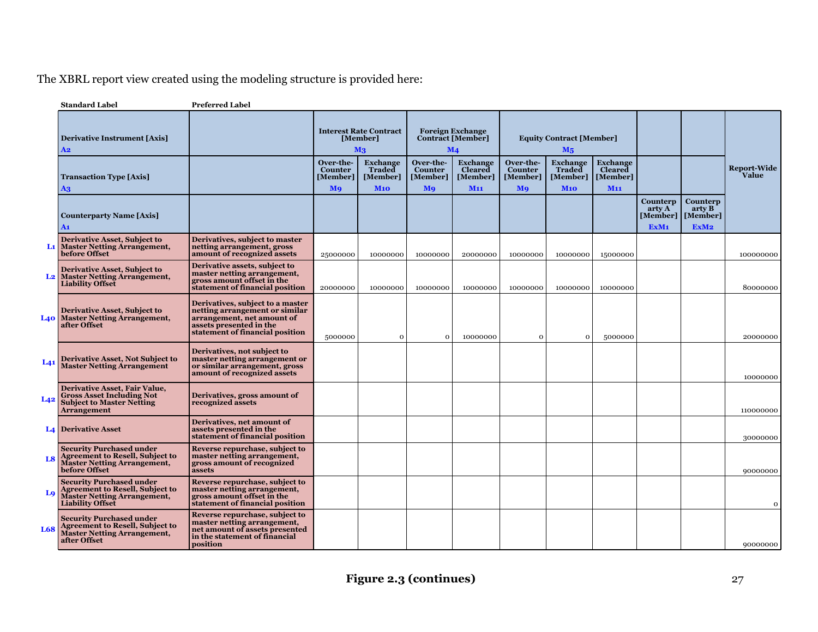# The XBRL report view created using the modeling structure is provided here:

|                 | <b>Standard Label</b>                                                                                                                      | <b>Preferred Label</b>                                                                                                                                         |                                               |                                                             |                                               |                                                                       |                                                      |                                                   |                                                                  |                                                    |                                                        |                      |
|-----------------|--------------------------------------------------------------------------------------------------------------------------------------------|----------------------------------------------------------------------------------------------------------------------------------------------------------------|-----------------------------------------------|-------------------------------------------------------------|-----------------------------------------------|-----------------------------------------------------------------------|------------------------------------------------------|---------------------------------------------------|------------------------------------------------------------------|----------------------------------------------------|--------------------------------------------------------|----------------------|
|                 | <b>Derivative Instrument [Axis]</b><br>A2                                                                                                  |                                                                                                                                                                |                                               | <b>Interest Rate Contract</b><br>[Member]<br>M <sub>3</sub> |                                               | <b>Foreign Exchange</b><br><b>Contract [Member]</b><br>$\mathbf{M}$ 4 |                                                      | <b>Equity Contract [Member]</b><br>$M_5$          |                                                                  |                                                    |                                                        |                      |
|                 | <b>Transaction Type [Axis]</b><br>A3                                                                                                       |                                                                                                                                                                | Over-the-<br><b>Counter</b><br>[Member]<br>Mo | <b>Exchange</b><br><b>Traded</b><br>[Member]<br>M10         | Over-the-<br><b>Counter</b><br>[Member]<br>Mo | <b>Exchange</b><br>Cleared<br>[Member]<br><b>M11</b>                  | Over-the-<br><b>Counter</b><br>[Member]<br><b>Mo</b> | <b>Exchange</b><br>Traded<br>[Member]<br>$M_{10}$ | <b>Exchange</b><br><b>Cleared</b><br>[Member]<br>M <sub>11</sub> |                                                    |                                                        | Report-Wide<br>Value |
|                 | <b>Counterparty Name [Axis]</b><br>A1                                                                                                      |                                                                                                                                                                |                                               |                                                             |                                               |                                                                       |                                                      |                                                   |                                                                  | Counterp<br>arty A<br>[Member]<br>ExM <sub>1</sub> | Counterp<br>$\arctv B$<br>[Member]<br>ExM <sub>2</sub> |                      |
| Lı              | <b>Derivative Asset, Subject to</b><br><b>Master Netting Arrangement,</b><br>before Offset                                                 | Derivatives, subject to master<br>netting arrangement, gross<br>amount of recognized assets                                                                    | 25000000                                      | 10000000                                                    | 10000000                                      | 20000000                                                              | 10000000                                             | 10000000                                          | 15000000                                                         |                                                    |                                                        | 100000000            |
| L <sub>2</sub>  | <b>Derivative Asset, Subject to</b><br><b>Master Netting Arrangement,</b><br><b>Liability Offset</b>                                       | Derivative assets, subject to<br>master netting arrangement,<br>gross amount offset in the<br>statement of financial position                                  | 20000000                                      | 10000000                                                    | 10000000                                      | 10000000                                                              | 10000000                                             | 10000000                                          | 10000000                                                         |                                                    |                                                        | 80000000             |
| L40             | <b>Derivative Asset, Subject to</b><br><b>Master Netting Arrangement,</b><br>after Offset                                                  | Derivatives, subject to a master<br>netting arrangement or similar<br>arrangement, net amount of<br>assets presented in the<br>statement of financial position | 5000000                                       | $\mathbf 0$                                                 | $\Omega$                                      | 10000000                                                              | $\mathbf 0$                                          | $\Omega$                                          | 5000000                                                          |                                                    |                                                        | 20000000             |
| L <sub>41</sub> | <b>Derivative Asset, Not Subject to</b><br><b>Master Netting Arrangement</b>                                                               | Derivatives, not subject to<br>master netting arrangement or<br>or similar arrangement, gross<br>amount of recognized assets                                   |                                               |                                                             |                                               |                                                                       |                                                      |                                                   |                                                                  |                                                    |                                                        | 10000000             |
| L <sub>42</sub> | <b>Derivative Asset, Fair Value,</b><br><b>Gross Asset Including Not</b><br><b>Subject to Master Netting</b><br><b>Arrangement</b>         | Derivatives, gross amount of<br>recognized assets                                                                                                              |                                               |                                                             |                                               |                                                                       |                                                      |                                                   |                                                                  |                                                    |                                                        | 110000000            |
|                 | <b>L4</b> Derivative Asset                                                                                                                 | Derivatives, net amount of<br>assets presented in the<br>statement of financial position                                                                       |                                               |                                                             |                                               |                                                                       |                                                      |                                                   |                                                                  |                                                    |                                                        | 30000000             |
| L <sub>8</sub>  | <b>Security Purchased under</b><br><b>Agreement to Resell, Subject to</b><br><b>Master Netting Arrangement,</b><br>before Offset           | Reverse repurchase, subject to<br>master netting arrangement,<br>gross amount of recognized<br>assets                                                          |                                               |                                                             |                                               |                                                                       |                                                      |                                                   |                                                                  |                                                    |                                                        | 90000000             |
| L <sub>9</sub>  | <b>Security Purchased under</b><br><b>Agreement to Resell, Subject to</b><br><b>Master Netting Arrangement,</b><br><b>Liability Offset</b> | Reverse repurchase, subject to<br>master netting arrangement,<br>gross amount offset in the<br>statement of financial position                                 |                                               |                                                             |                                               |                                                                       |                                                      |                                                   |                                                                  |                                                    |                                                        | $\mathbf 0$          |
| L68             | <b>Security Purchased under</b><br><b>Agreement to Resell, Subject to</b><br><b>Master Netting Arrangement,</b><br>after Offset            | Reverse repurchase, subject to<br>master netting arrangement,<br>net amount of assets presented<br>in the statement of financial<br>position                   |                                               |                                                             |                                               |                                                                       |                                                      |                                                   |                                                                  |                                                    |                                                        | 90000000             |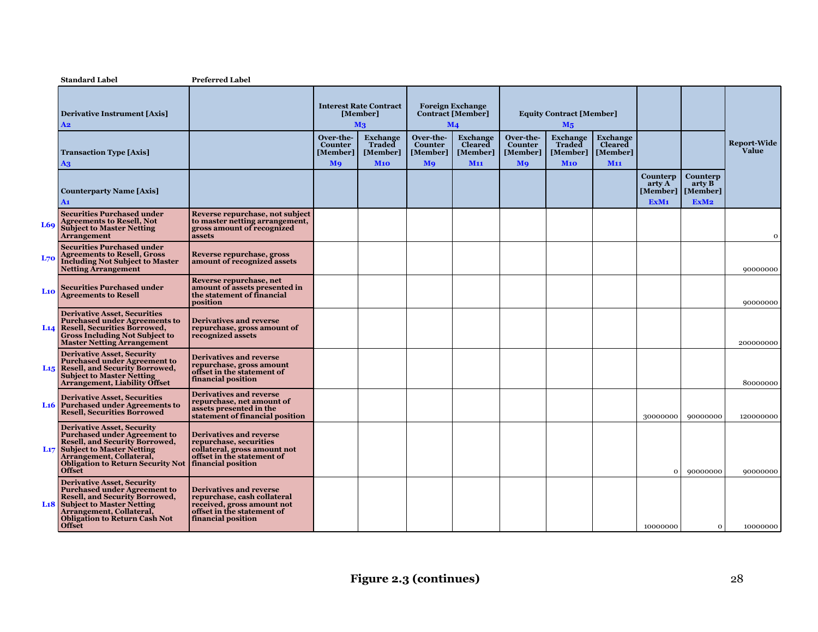|            | <b>Standard Label</b>                                                                                                                                                                                                                                         | <b>Preferred Label</b>                                                                                                                          |                                  |                                                             |                                  |                                                                       |                                  |                                              |                                               |                                        |                                                                   |                             |
|------------|---------------------------------------------------------------------------------------------------------------------------------------------------------------------------------------------------------------------------------------------------------------|-------------------------------------------------------------------------------------------------------------------------------------------------|----------------------------------|-------------------------------------------------------------|----------------------------------|-----------------------------------------------------------------------|----------------------------------|----------------------------------------------|-----------------------------------------------|----------------------------------------|-------------------------------------------------------------------|-----------------------------|
|            | <b>Derivative Instrument [Axis]</b><br>A <sub>2</sub>                                                                                                                                                                                                         |                                                                                                                                                 |                                  | <b>Interest Rate Contract</b><br>[Member]<br>M <sub>3</sub> |                                  | <b>Foreign Exchange</b><br><b>Contract [Member]</b><br>$\mathbf{M}$ 4 |                                  | <b>Equity Contract [Member]</b><br>$M_5$     |                                               |                                        |                                                                   |                             |
|            | <b>Transaction Type [Axis]</b>                                                                                                                                                                                                                                |                                                                                                                                                 | Over-the-<br>Counter<br>[Member] | <b>Exchange</b><br>Traded<br>[Member]                       | Over-the-<br>Counter<br>[Member] | <b>Exchange</b><br><b>Cleared</b><br>[Member]                         | Over-the-<br>Counter<br>[Member] | <b>Exchange</b><br><b>Traded</b><br>[Member] | <b>Exchange</b><br><b>Cleared</b><br>[Member] |                                        |                                                                   | <b>Report-Wide</b><br>Value |
|            | $\mathbf{A}$<br><b>Counterparty Name [Axis]</b><br>A1                                                                                                                                                                                                         |                                                                                                                                                 | <b>M</b> <sup>9</sup>            | M10                                                         | <b>Mo</b>                        | M <sub>11</sub>                                                       | <b>M</b> <sub>9</sub>            | M10                                          | M <sub>11</sub>                               | Counterp<br>arty A<br>ExM <sub>1</sub> | Counterp<br>$\arctv B$<br>[Member]   [Member]<br>ExM <sub>2</sub> |                             |
| L69        | <b>Securities Purchased under</b><br><b>Agreements to Resell, Not</b><br><b>Subject to Master Netting</b><br><b>Arrangement</b>                                                                                                                               | Reverse repurchase, not subject<br>to master netting arrangement,<br>gross amount of recognized<br>assets                                       |                                  |                                                             |                                  |                                                                       |                                  |                                              |                                               |                                        |                                                                   | $\Omega$                    |
| <b>L70</b> | <b>Securities Purchased under</b><br><b>Agreements to Resell, Gross</b><br><b>Including Not Subject to Master</b><br><b>Netting Arrangement</b>                                                                                                               | Reverse repurchase, gross<br>amount of recognized assets                                                                                        |                                  |                                                             |                                  |                                                                       |                                  |                                              |                                               |                                        |                                                                   | 90000000                    |
| $La$       | <b>Securities Purchased under</b><br><b>Agreements to Resell</b>                                                                                                                                                                                              | Reverse repurchase, net<br>amount of assets presented in<br>the statement of financial<br>position                                              |                                  |                                                             |                                  |                                                                       |                                  |                                              |                                               |                                        |                                                                   | 90000000                    |
|            | <b>Derivative Asset, Securities</b><br><b>Purchased under Agreements to</b><br>L <sub>14</sub> Resell, Securities Borrowed,<br><b>Gross Including Not Subject to</b><br><b>Master Netting Arrangement</b>                                                     | <b>Derivatives and reverse</b><br>repurchase, gross amount of<br>recognized assets                                                              |                                  |                                                             |                                  |                                                                       |                                  |                                              |                                               |                                        |                                                                   | 200000000                   |
|            | <b>Derivative Asset, Security</b><br><b>Purchased under Agreement to</b><br>L <sub>15</sub> Resell, and Security Borrowed,<br><b>Subject to Master Netting</b><br><b>Arrangement, Liability Offset</b>                                                        | <b>Derivatives and reverse</b><br>repurchase, gross amount<br>offset in the statement of<br>financial position                                  |                                  |                                                             |                                  |                                                                       |                                  |                                              |                                               |                                        |                                                                   | 80000000                    |
|            | <b>Derivative Asset, Securities</b><br>L <sub>16</sub> Purchased under Agreements to<br><b>Resell, Securities Borrowed</b>                                                                                                                                    | <b>Derivatives and reverse</b><br>repurchase, net amount of<br>assets presented in the<br>statement of financial position                       |                                  |                                                             |                                  |                                                                       |                                  |                                              |                                               | 30000000                               | 90000000                                                          | 120000000                   |
|            | <b>Derivative Asset, Security</b><br><b>Purchased under Agreement to</b><br><b>Resell, and Security Borrowed,</b><br><b>L<sub>17</sub></b> Subject to Master Netting<br>Arrangement, Collateral,<br><b>Obligation to Return Security Not</b><br><b>Offset</b> | <b>Derivatives and reverse</b><br>repurchase, securities<br>collateral, gross amount not<br>offset in the statement of<br>financial position    |                                  |                                                             |                                  |                                                                       |                                  |                                              |                                               | $\mathbf{o}$                           | 90000000                                                          | 90000000                    |
|            | <b>Derivative Asset, Security</b><br><b>Purchased under Agreement to</b><br><b>Resell, and Security Borrowed,</b><br><b>L18</b> Subject to Master Netting<br>Arrangement, Collateral,<br><b>Obligation to Return Cash Not</b><br><b>Offset</b>                | <b>Derivatives and reverse</b><br>repurchase, cash collateral<br>received, gross amount not<br>offset in the statement of<br>financial position |                                  |                                                             |                                  |                                                                       |                                  |                                              |                                               | 10000000                               | $\mathbf{O}$                                                      | 10000000                    |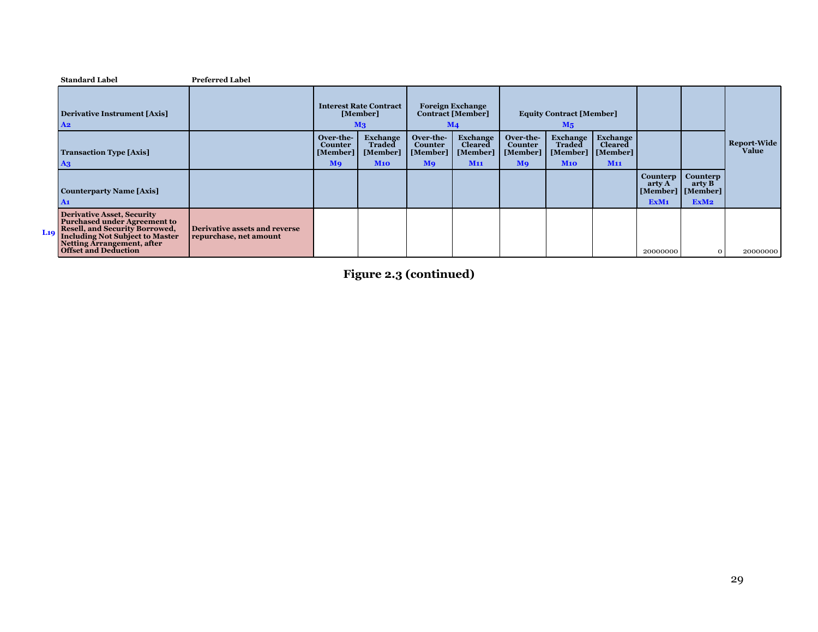|         | <b>Standard Label</b>                                                                                                                                                                                                    | <b>Preferred Label</b>                                  |                                                           |                                                             |                                                    |                                                                       |                                                    |                                                   |                                                           |                                                    |                                                    |                             |
|---------|--------------------------------------------------------------------------------------------------------------------------------------------------------------------------------------------------------------------------|---------------------------------------------------------|-----------------------------------------------------------|-------------------------------------------------------------|----------------------------------------------------|-----------------------------------------------------------------------|----------------------------------------------------|---------------------------------------------------|-----------------------------------------------------------|----------------------------------------------------|----------------------------------------------------|-----------------------------|
|         | <b>Derivative Instrument [Axis]</b><br>A <sub>2</sub>                                                                                                                                                                    |                                                         |                                                           | <b>Interest Rate Contract</b><br>[Member]<br>M <sub>3</sub> |                                                    | <b>Foreign Exchange</b><br><b>Contract [Member]</b><br>$\mathbf{M}$ 4 |                                                    | <b>Equity Contract [Member]</b><br>M <sub>5</sub> |                                                           |                                                    |                                                    |                             |
|         | <b>Transaction Type [Axis]</b><br>A3                                                                                                                                                                                     |                                                         | Over-the-<br>Counter<br>[Member]<br><b>M</b> <sup>9</sup> | Exchange<br><b>Traded</b><br>[Member]<br>M10                | Over-the-<br>Counter<br>[Member]<br>M <sub>9</sub> | Exchange<br><b>Cleared</b><br>[Member]<br>M11                         | Over-the-<br>Counter<br>[Member]<br>M <sub>9</sub> | <b>Exchange</b><br>Traded<br>[Member]<br>M10      | Exchange<br><b>Cleared</b><br>[Member]<br>M <sub>11</sub> |                                                    |                                                    | <b>Report-Wide</b><br>Value |
|         | <b>Counterparty Name [Axis]</b><br>A1                                                                                                                                                                                    |                                                         |                                                           |                                                             |                                                    |                                                                       |                                                    |                                                   |                                                           | Counterp<br>arty A<br>[Member]<br>ExM <sub>1</sub> | Counterp<br>arty B<br>[Member]<br>ExM <sub>2</sub> |                             |
| $L_1$ q | <b>Derivative Asset, Security</b><br><b>Purchased under Agreement to</b><br><b>Resell, and Security Borrowed,</b><br><b>Including Not Subject to Master</b><br>Netting Arrangement, after<br><b>Offset and Deduction</b> | Derivative assets and reverse<br>repurchase, net amount |                                                           |                                                             |                                                    |                                                                       |                                                    |                                                   |                                                           | 20000000                                           | $\circ$                                            | 20000000                    |

**Figure 2.3 (continued)**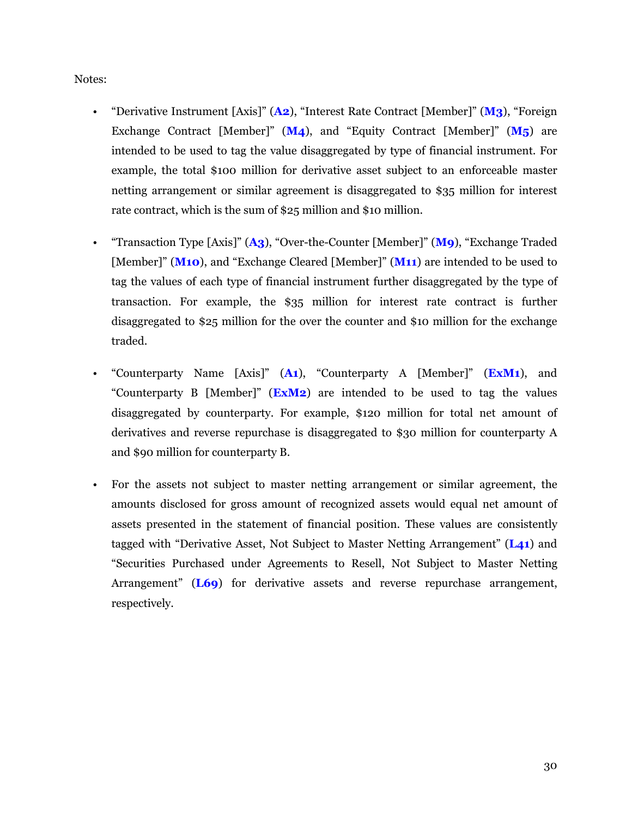Notes:

- "Derivative Instrument [Axis]" (**A2**), "Interest Rate Contract [Member]" (**M3**), "Foreign Exchange Contract [Member]" (**M4**), and "Equity Contract [Member]" (**M5**) are intended to be used to tag the value disaggregated by type of financial instrument. For example, the total \$100 million for derivative asset subject to an enforceable master netting arrangement or similar agreement is disaggregated to \$35 million for interest rate contract, which is the sum of \$25 million and \$10 million.
- "Transaction Type [Axis]" (**A3**), "Over-the-Counter [Member]" (**M9**), "Exchange Traded [Member]" (**M10**), and "Exchange Cleared [Member]" (**M11**) are intended to be used to tag the values of each type of financial instrument further disaggregated by the type of transaction. For example, the \$35 million for interest rate contract is further disaggregated to \$25 million for the over the counter and \$10 million for the exchange traded.
- "Counterparty Name [Axis]" (**A1**), "Counterparty A [Member]" (**ExM1**), and "Counterparty B [Member]" (**ExM2**) are intended to be used to tag the values disaggregated by counterparty. For example, \$120 million for total net amount of derivatives and reverse repurchase is disaggregated to \$30 million for counterparty A and \$90 million for counterparty B.
- For the assets not subject to master netting arrangement or similar agreement, the amounts disclosed for gross amount of recognized assets would equal net amount of assets presented in the statement of financial position. These values are consistently tagged with "Derivative Asset, Not Subject to Master Netting Arrangement" (**L41**) and "Securities Purchased under Agreements to Resell, Not Subject to Master Netting Arrangement" (**L69**) for derivative assets and reverse repurchase arrangement, respectively.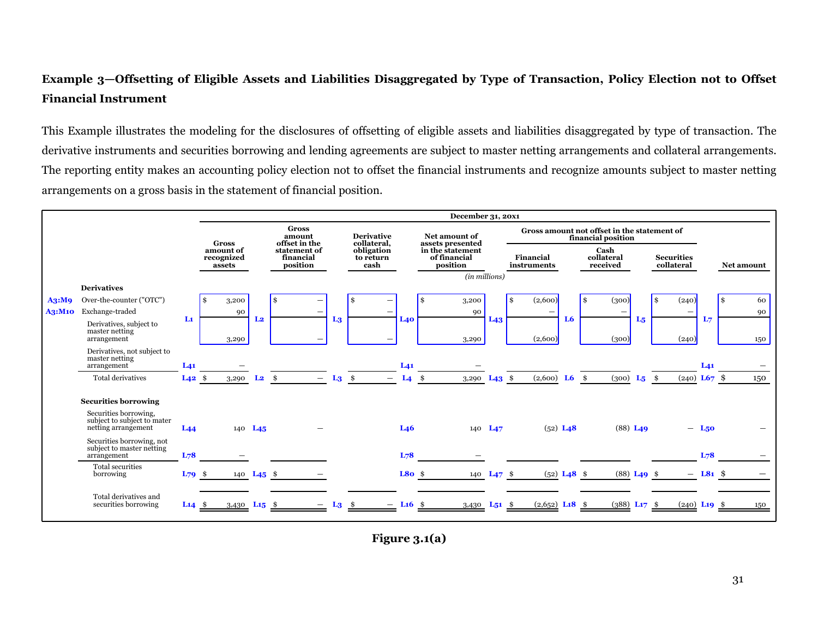# <span id="page-32-0"></span>**Example 3—Offsetting of Eligible Assets and Liabilities Disaggregated by Type of Transaction, Policy Election not to Offset Financial Instrument**

This Example illustrates the modeling for the disclosures of offsetting of eligible assets and liabilities disaggregated by type of transaction. The derivative instruments and securities borrowing and lending agreements are subject to master netting arrangements and collateral arrangements. The reporting entity makes an accounting policy election not to offset the financial instruments and recognize amounts subject to master netting arrangements on a gross basis in the statement of financial position.



**Figure 3.1(a)**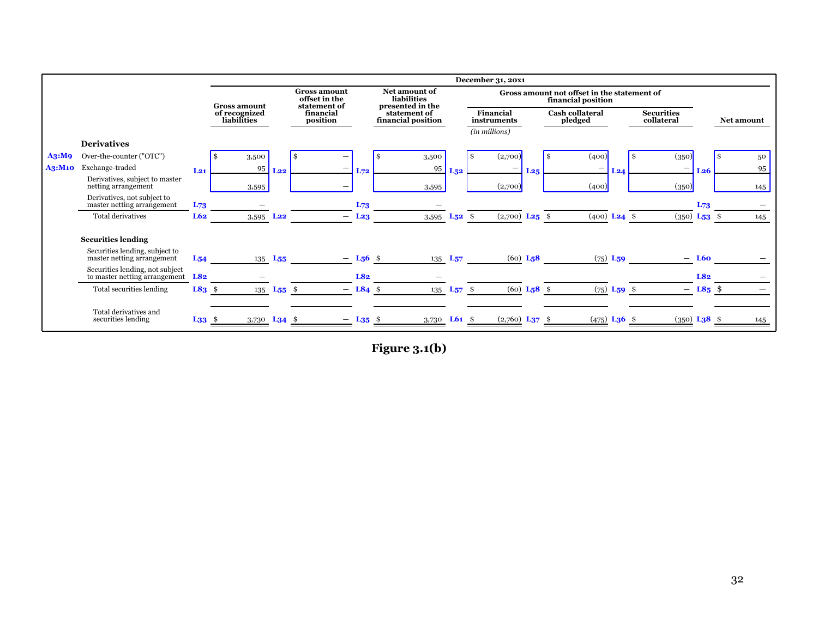|        |                                                                  |             |                              | December 31, 20x1 |                                                      |                        |  |                                                  |             |    |                              |     |                                                                   |                           |                                 |            |                   |     |
|--------|------------------------------------------------------------------|-------------|------------------------------|-------------------|------------------------------------------------------|------------------------|--|--------------------------------------------------|-------------|----|------------------------------|-----|-------------------------------------------------------------------|---------------------------|---------------------------------|------------|-------------------|-----|
|        |                                                                  |             | <b>Gross amount</b>          |                   | <b>Gross amount</b><br>offset in the<br>statement of |                        |  | Net amount of<br>liabilities<br>presented in the |             |    |                              |     | Gross amount not offset in the statement of<br>financial position |                           |                                 |            |                   |     |
|        |                                                                  |             | of recognized<br>liabilities |                   | financial<br>position                                |                        |  | statement of<br>financial position               |             |    | Financial<br>instruments     |     | Cash collateral<br>pledged                                        |                           | <b>Securities</b><br>collateral |            | <b>Net amount</b> |     |
|        |                                                                  |             |                              |                   |                                                      |                        |  |                                                  |             |    | (in millions)                |     |                                                                   |                           |                                 |            |                   |     |
|        | <b>Derivatives</b>                                               |             |                              |                   |                                                      |                        |  |                                                  |             |    |                              |     |                                                                   |                           |                                 |            |                   |     |
| A3:M9  | Over-the-counter ("OTC")                                         |             | 3,500                        |                   | \$.                                                  |                        |  | 3,500                                            |             | \$ | (2,700)                      |     | (400)<br>1 S                                                      |                           | (350)                           |            | -S                | 50  |
| A3:M10 | Exchange-traded                                                  | $L_{21}$    | 95                           | L22               |                                                      | $L_{72}$               |  | 95                                               | L52         |    | -                            | L25 | -                                                                 | L24                       | $\overline{\phantom{m}}$        | <b>L26</b> |                   | 95  |
|        | Derivatives, subject to master<br>netting arrangement            |             | 3,595                        |                   |                                                      |                        |  | 3,595                                            |             |    | (2,700)                      |     | (400)                                                             |                           | (350)                           |            |                   | 145 |
|        | Derivatives, not subject to<br>master netting arrangement        | $L_{73}$    |                              |                   |                                                      | $L_{73}$               |  |                                                  |             |    |                              |     |                                                                   |                           |                                 | L73        |                   |     |
|        | <b>Total derivatives</b>                                         | L62         | 3,595 L <sub>22</sub>        |                   | $-$                                                  | L <sub>23</sub>        |  | 3,595                                            | $L_{52}$ \$ |    | $(2,700)$ L <sub>25</sub> \$ |     | $(400)$ L <sub>24</sub> \$                                        |                           | $(350)$ L <sub>53</sub> \$      |            |                   | 145 |
|        | <b>Securities lending</b>                                        |             |                              |                   |                                                      |                        |  |                                                  |             |    |                              |     |                                                                   |                           |                                 |            |                   |     |
|        | Securities lending, subject to<br>master netting arrangement     | $L_{54}$    |                              | $135$ $L_{55}$    |                                                      | $- L_56$ \$            |  |                                                  |             |    | $(60)$ L <sub>5</sub> 8      |     |                                                                   | $(75)$ L <sub>59</sub>    |                                 | $-$ L60    |                   |     |
|        | Securities lending, not subject<br>to master netting arrangement | L82         |                              |                   |                                                      | L82                    |  |                                                  |             |    |                              |     |                                                                   |                           |                                 | L82        |                   |     |
|        | Total securities lending                                         | $L83$ \$    |                              | 135 $L_{55}$ \$   |                                                      | $-$ L84 \$             |  | 135 $L_{57}$ \$                                  |             |    | $(60)$ L <sub>5</sub> 8 \$   |     |                                                                   | $(75)$ L <sub>59</sub> \$ |                                 | $-$ L85 \$ |                   |     |
|        | Total derivatives and<br>securities lending                      | $L_{33}$ \$ | 3,730 <b>L34</b> \$          |                   |                                                      | $-$ L <sub>35</sub> \$ |  | 3,730 <b>L61</b> \$                              |             |    | $(2,760)$ L <sub>37</sub> \$ |     | $(475)$ <b>L36</b> \$                                             |                           | $(350)$ L <sub>3</sub> 8 \$     |            |                   | 145 |

**Figure 3.1(b)**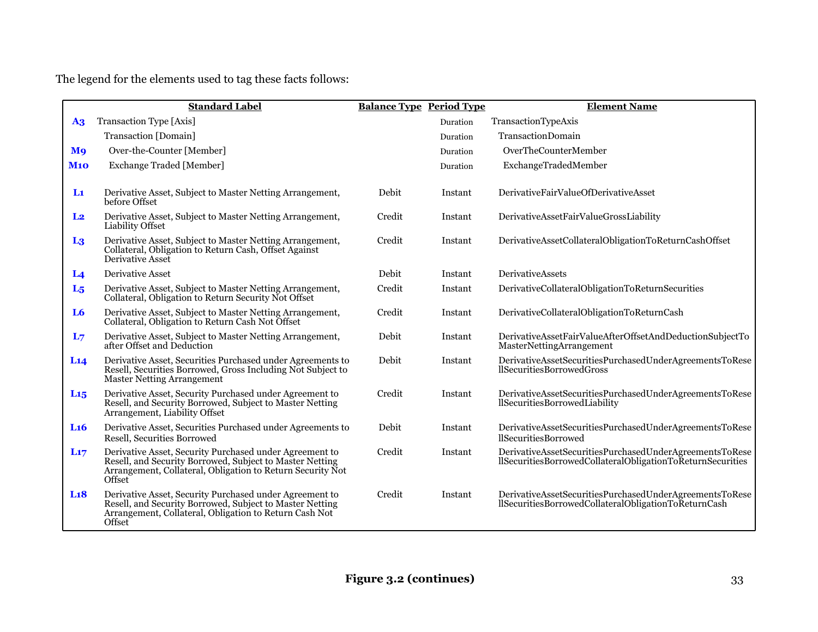The legend for the elements used to tag these facts follows:

|                       | <b>Standard Label</b>                                                                                                                                                                       | <b>Balance Type Period Type</b> |          | <b>Element Name</b>                                                                                                   |
|-----------------------|---------------------------------------------------------------------------------------------------------------------------------------------------------------------------------------------|---------------------------------|----------|-----------------------------------------------------------------------------------------------------------------------|
| A3                    | Transaction Type [Axis]                                                                                                                                                                     |                                 | Duration | TransactionTypeAxis                                                                                                   |
|                       | Transaction [Domain]                                                                                                                                                                        |                                 | Duration | <b>TransactionDomain</b>                                                                                              |
| <b>M</b> <sup>o</sup> | Over-the-Counter [Member]                                                                                                                                                                   |                                 | Duration | OverTheCounterMember                                                                                                  |
| <b>M10</b>            | <b>Exchange Traded [Member]</b>                                                                                                                                                             |                                 | Duration | ExchangeTradedMember                                                                                                  |
|                       |                                                                                                                                                                                             |                                 |          |                                                                                                                       |
| L1                    | Derivative Asset, Subject to Master Netting Arrangement,<br>before Offset                                                                                                                   | Debit                           | Instant  | DerivativeFairValueOfDerivativeAsset                                                                                  |
| L <sub>2</sub>        | Derivative Asset, Subject to Master Netting Arrangement,<br><b>Liability Offset</b>                                                                                                         | Credit                          | Instant  | DerivativeAssetFairValueGrossLiability                                                                                |
| L <sub>3</sub>        | Derivative Asset, Subject to Master Netting Arrangement,<br>Collateral, Obligation to Return Cash, Offset Against<br>Derivative Asset                                                       | Credit                          | Instant  | DerivativeAssetCollateralObligationToReturnCashOffset                                                                 |
| L <sub>4</sub>        | Derivative Asset                                                                                                                                                                            | Debit                           | Instant  | <b>DerivativeAssets</b>                                                                                               |
| $L_5$                 | Derivative Asset, Subject to Master Netting Arrangement,<br>Collateral, Obligation to Return Security Not Offset                                                                            | Credit                          | Instant  | DerivativeCollateralObligationToReturnSecurities                                                                      |
| L <sub>6</sub>        | Derivative Asset, Subject to Master Netting Arrangement,<br>Collateral, Obligation to Return Cash Not Offset                                                                                | Credit                          | Instant  | DerivativeCollateralObligationToReturnCash                                                                            |
| L <sub>7</sub>        | Derivative Asset, Subject to Master Netting Arrangement,<br>after Offset and Deduction                                                                                                      | Debit                           | Instant  | DerivativeAssetFairValueAfterOffsetAndDeductionSubjectTo<br>MasterNettingArrangement                                  |
| L14                   | Derivative Asset, Securities Purchased under Agreements to<br>Resell, Securities Borrowed, Gross Including Not Subject to<br><b>Master Netting Arrangement</b>                              | Debit                           | Instant  | DerivativeAssetSecuritiesPurchasedUnderAgreementsToRese<br>llSecuritiesBorrowedGross                                  |
| $L_{15}$              | Derivative Asset, Security Purchased under Agreement to<br>Resell, and Security Borrowed, Subject to Master Netting<br>Arrangement, Liability Offset                                        | Credit                          | Instant  | DerivativeAssetSecuritiesPurchasedUnderAgreementsToRese<br>llSecuritiesBorrowedLiability                              |
| L <sub>16</sub>       | Derivative Asset, Securities Purchased under Agreements to<br>Resell, Securities Borrowed                                                                                                   | Debit                           | Instant  | DerivativeAssetSecuritiesPurchasedUnderAgreementsToRese<br><b>llSecuritiesBorrowed</b>                                |
| L <sub>17</sub>       | Derivative Asset, Security Purchased under Agreement to<br>Resell, and Security Borrowed, Subject to Master Netting<br>Arrangement, Collateral, Obligation to Return Security Not<br>Offset | Credit                          | Instant  | DerivativeAssetSecuritiesPurchasedUnderAgreementsToRese<br>llSecuritiesBorrowedCollateralObligationToReturnSecurities |
| L18                   | Derivative Asset, Security Purchased under Agreement to<br>Resell, and Security Borrowed, Subject to Master Netting<br>Arrangement, Collateral, Obligation to Return Cash Not<br>Offset     | Credit                          | Instant  | DerivativeAssetSecuritiesPurchasedUnderAgreementsToRese<br>llSecuritiesBorrowedCollateralObligationToReturnCash       |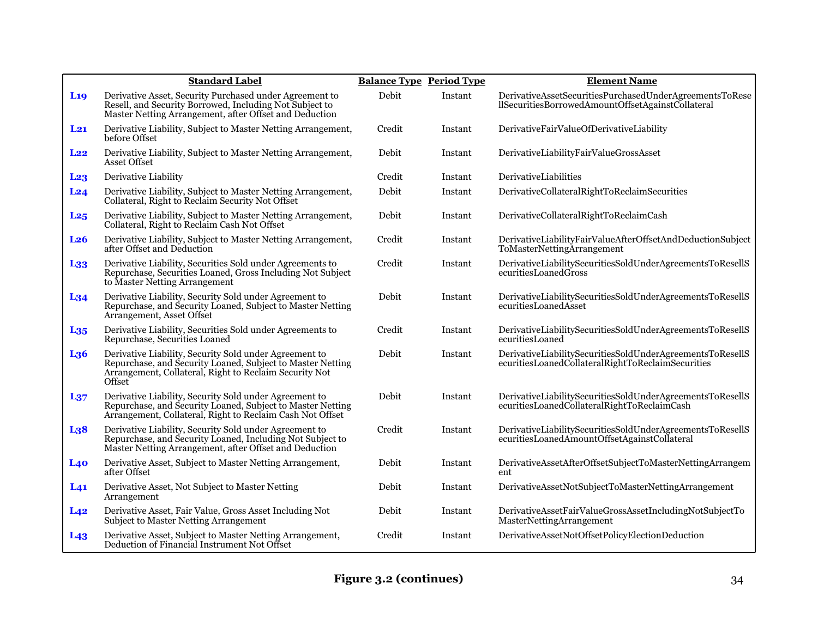|                 | <b>Standard Label</b>                                                                                                                                                                    | <b>Balance Type Period Type</b> |         | <b>Element Name</b>                                                                                            |
|-----------------|------------------------------------------------------------------------------------------------------------------------------------------------------------------------------------------|---------------------------------|---------|----------------------------------------------------------------------------------------------------------------|
| L <sub>19</sub> | Derivative Asset, Security Purchased under Agreement to<br>Resell, and Security Borrowed, Including Not Subject to<br>Master Netting Arrangement, after Offset and Deduction             | Debit                           | Instant | DerivativeAssetSecuritiesPurchasedUnderAgreementsToRese<br>llSecuritiesBorrowedAmountOffsetAgainstCollateral   |
| $L_{21}$        | Derivative Liability, Subject to Master Netting Arrangement,<br>before Offset                                                                                                            | Credit                          | Instant | DerivativeFairValueOfDerivativeLiability                                                                       |
| L <sub>22</sub> | Derivative Liability, Subject to Master Netting Arrangement,<br>Asset Offset                                                                                                             | Debit                           | Instant | DerivativeLiabilityFairValueGrossAsset                                                                         |
| L <sub>23</sub> | Derivative Liability                                                                                                                                                                     | Credit                          | Instant | DerivativeLiabilities                                                                                          |
| L24             | Derivative Liability, Subject to Master Netting Arrangement,<br>Collateral, Right to Reclaim Security Not Offset                                                                         | Debit                           | Instant | DerivativeCollateralRightToReclaimSecurities                                                                   |
| L <sub>25</sub> | Derivative Liability, Subject to Master Netting Arrangement,<br>Collateral, Right to Reclaim Cash Not Offset                                                                             | Debit                           | Instant | DerivativeCollateralRightToReclaimCash                                                                         |
| L <sub>26</sub> | Derivative Liability, Subject to Master Netting Arrangement,<br>after Offset and Deduction                                                                                               | Credit                          | Instant | DerivativeLiabilityFairValueAfterOffsetAndDeductionSubject<br>ToMasterNettingArrangement                       |
| L <sub>33</sub> | Derivative Liability, Securities Sold under Agreements to<br>Repurchase, Securities Loaned, Gross Including Not Subject<br>to Master Netting Arrangement                                 | Credit                          | Instant | DerivativeLiabilitySecuritiesSoldUnderAgreementsToResellS<br>ecuritiesLoanedGross                              |
| $L_{34}$        | Derivative Liability, Security Sold under Agreement to<br>Repurchase, and Security Loaned, Subject to Master Netting<br>Arrangement, Asset Offset                                        | Debit                           | Instant | DerivativeLiabilitySecuritiesSoldUnderAgreementsToResellS<br>ecuritiesLoanedAsset                              |
| $L_{35}$        | Derivative Liability, Securities Sold under Agreements to<br>Repurchase, Securities Loaned                                                                                               | Credit                          | Instant | DerivativeLiabilitySecuritiesSoldUnderAgreementsToResellS<br>ecuritiesLoaned                                   |
| L <sub>36</sub> | Derivative Liability, Security Sold under Agreement to<br>Repurchase, and Security Loaned, Subject to Master Netting<br>Arrangement, Collateral, Right to Reclaim Security Not<br>Offset | Debit                           | Instant | DerivativeLiabilitySecuritiesSoldUnderAgreementsToResellS<br>ecuritiesLoanedCollateralRightToReclaimSecurities |
| $L_{37}$        | Derivative Liability, Security Sold under Agreement to<br>Repurchase, and Security Loaned, Subject to Master Netting<br>Arrangement, Collateral, Right to Reclaim Cash Not Offset        | Debit                           | Instant | DerivativeLiabilitySecuritiesSoldUnderAgreementsToResellS<br>ecuritiesLoanedCollateralRightToReclaimCash       |
| L <sub>38</sub> | Derivative Liability, Security Sold under Agreement to<br>Repurchase, and Security Loaned, Including Not Subject to<br>Master Netting Arrangement, after Offset and Deduction            | Credit                          | Instant | DerivativeLiabilitySecuritiesSoldUnderAgreementsToResellS<br>ecuritiesLoanedAmountOffsetAgainstCollateral      |
| L40             | Derivative Asset, Subject to Master Netting Arrangement,<br>after Offset                                                                                                                 | Debit                           | Instant | DerivativeAssetAfterOffsetSubjectToMasterNettingArrangem<br>ent                                                |
| L <sub>41</sub> | Derivative Asset, Not Subject to Master Netting<br>Arrangement                                                                                                                           | Debit                           | Instant | DerivativeAssetNotSubjectToMasterNettingArrangement                                                            |
| $L_{42}$        | Derivative Asset, Fair Value, Gross Asset Including Not<br><b>Subject to Master Netting Arrangement</b>                                                                                  | Debit                           | Instant | DerivativeAssetFairValueGrossAssetIncludingNotSubjectTo<br>MasterNettingArrangement                            |
| $L_{43}$        | Derivative Asset, Subject to Master Netting Arrangement,<br>Deduction of Financial Instrument Not Offset                                                                                 | Credit                          | Instant | DerivativeAssetNotOffsetPolicyElectionDeduction                                                                |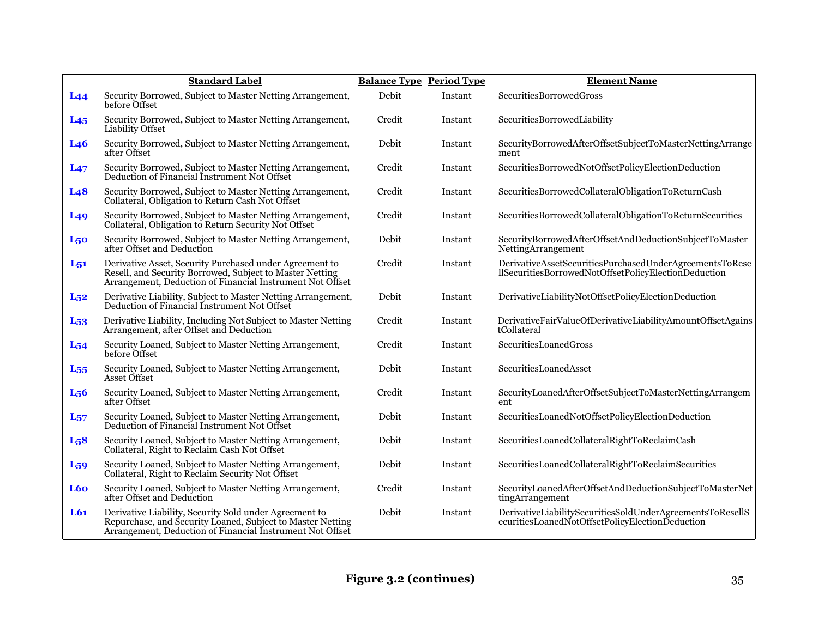|                  | <b>Standard Label</b>                                                                                                                                                             |        | <b>Balance Type Period Type</b> | <b>Element Name</b>                                                                                             |
|------------------|-----------------------------------------------------------------------------------------------------------------------------------------------------------------------------------|--------|---------------------------------|-----------------------------------------------------------------------------------------------------------------|
| L44              | Security Borrowed, Subject to Master Netting Arrangement,<br>before Offset                                                                                                        | Debit  | Instant                         | SecuritiesBorrowedGross                                                                                         |
| $L_{45}$         | Security Borrowed, Subject to Master Netting Arrangement,<br>Liability Offset                                                                                                     | Credit | Instant                         | SecuritiesBorrowedLiability                                                                                     |
| L <sub>46</sub>  | Security Borrowed, Subject to Master Netting Arrangement,<br>after Offset                                                                                                         | Debit  | Instant                         | SecurityBorrowedAfterOffsetSubjectToMasterNettingArrange<br>ment                                                |
| L47              | Security Borrowed, Subject to Master Netting Arrangement, Deduction of Financial Instrument Not Offset                                                                            | Credit | Instant                         | SecuritiesBorrowedNotOffsetPolicyElectionDeduction                                                              |
| L <sub>48</sub>  | Security Borrowed, Subject to Master Netting Arrangement, Collateral, Obligation to Return Cash Not Offset                                                                        | Credit | Instant                         | SecuritiesBorrowedCollateralObligationToReturnCash                                                              |
| L <sub>49</sub>  | Security Borrowed, Subject to Master Netting Arrangement,<br>Collateral, Obligation to Return Security Not Offset                                                                 | Credit | Instant                         | SecuritiesBorrowedCollateralObligationToReturnSecurities                                                        |
| L <sub>50</sub>  | Security Borrowed, Subject to Master Netting Arrangement,<br>after Offset and Deduction                                                                                           | Debit  | Instant                         | SecurityBorrowedAfterOffsetAndDeductionSubjectToMaster<br>NettingArrangement                                    |
| $L_{51}$         | Derivative Asset, Security Purchased under Agreement to<br>Resell, and Security Borrowed, Subject to Master Netting<br>Arrangement, Deduction of Financial Instrument Not Offset  | Credit | Instant                         | DerivativeAssetSecuritiesPurchasedUnderAgreementsToRese<br>llSecuritiesBorrowedNotOffsetPolicyElectionDeduction |
| $L_{52}$         | Derivative Liability, Subject to Master Netting Arrangement,<br>Deduction of Financial Instrument Not Offset                                                                      | Debit  | Instant                         | DerivativeLiabilityNotOffsetPolicyElectionDeduction                                                             |
| L <sub>53</sub>  | Derivative Liability, Including Not Subject to Master Netting<br>Arrangement, after Offset and Deduction                                                                          | Credit | Instant                         | DerivativeFairValueOfDerivativeLiabilityAmountOffsetAgains<br>tCollateral                                       |
| $L_{54}$         | Security Loaned, Subject to Master Netting Arrangement,<br>before Offset                                                                                                          | Credit | Instant                         | SecuritiesLoanedGross                                                                                           |
| $L_{55}$         | Security Loaned, Subject to Master Netting Arrangement,<br>Asset Offset                                                                                                           | Debit  | Instant                         | SecuritiesLoanedAsset                                                                                           |
| L <sub>5</sub> 6 | Security Loaned, Subject to Master Netting Arrangement,<br>after Offset                                                                                                           | Credit | Instant                         | SecurityLoanedAfterOffsetSubjectToMasterNettingArrangem<br>ent                                                  |
| $L_{57}$         | Security Loaned, Subject to Master Netting Arrangement,<br>Deduction of Financial Instrument Not Offset                                                                           | Debit  | Instant                         | SecuritiesLoanedNotOffsetPolicyElectionDeduction                                                                |
| L <sub>5</sub> 8 | Security Loaned, Subject to Master Netting Arrangement,<br>Collateral, Right to Reclaim Cash Not Offset                                                                           | Debit  | Instant                         | SecuritiesLoanedCollateralRightToReclaimCash                                                                    |
| $L_{59}$         | Security Loaned, Subject to Master Netting Arrangement,<br>Collateral, Right to Reclaim Security Not Offset                                                                       | Debit  | Instant                         | SecuritiesLoanedCollateralRightToReclaimSecurities                                                              |
| L60              | Security Loaned, Subject to Master Netting Arrangement,<br>after Offset and Deduction                                                                                             | Credit | Instant                         | SecurityLoanedAfterOffsetAndDeductionSubjectToMasterNet<br>tingArrangement                                      |
| L61              | Derivative Liability, Security Sold under Agreement to<br>Repurchase, and Security Loaned, Subject to Master Netting<br>Arrangement, Deduction of Financial Instrument Not Offset | Debit  | Instant                         | DerivativeLiabilitySecuritiesSoldUnderAgreementsToResellS<br>ecuritiesLoanedNotOffsetPolicyElectionDeduction    |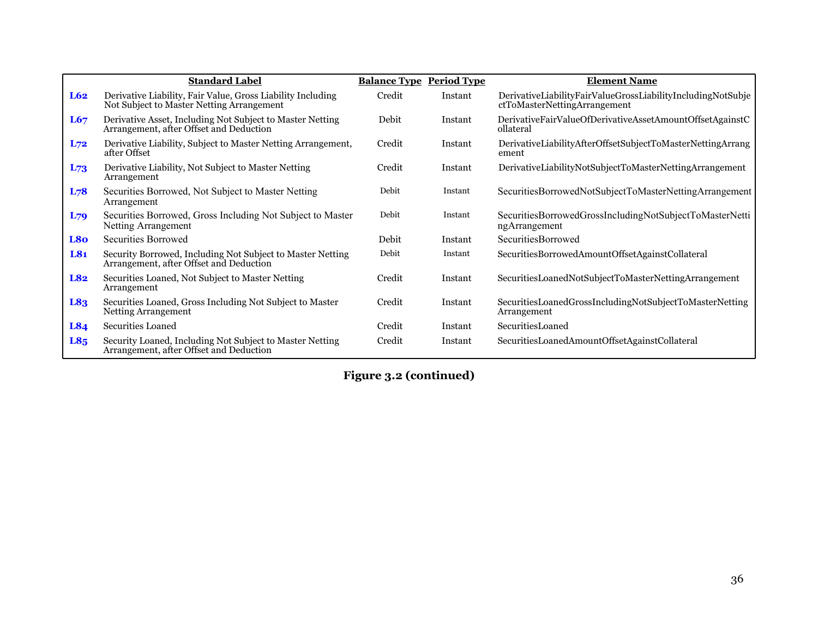|                 | <b>Standard Label</b>                                                                                    | <b>Balance Type Period Type</b> |         | <b>Element Name</b>                                                                         |
|-----------------|----------------------------------------------------------------------------------------------------------|---------------------------------|---------|---------------------------------------------------------------------------------------------|
| L62             | Derivative Liability, Fair Value, Gross Liability Including<br>Not Subject to Master Netting Arrangement | Credit                          | Instant | DerivativeLiabilityFairValueGrossLiabilityIncludingNotSubje<br>ctToMasterNettingArrangement |
| L67             | Derivative Asset, Including Not Subject to Master Netting<br>Arrangement, after Offset and Deduction     | Debit                           | Instant | DerivativeFairValueOfDerivativeAssetAmountOffsetAgainstC<br>ollateral                       |
| $L_{72}$        | Derivative Liability, Subject to Master Netting Arrangement,<br>after Offset                             | Credit                          | Instant | DerivativeLiabilityAfterOffsetSubjectToMasterNettingArrang<br>ement                         |
| $L_{73}$        | Derivative Liability, Not Subject to Master Netting<br>Arrangement                                       | Credit                          | Instant | DerivativeLiabilityNotSubjectToMasterNettingArrangement                                     |
| $L_{78}$        | Securities Borrowed, Not Subject to Master Netting<br>Arrangement                                        | Debit                           | Instant | SecuritiesBorrowedNotSubjectToMasterNettingArrangement                                      |
| $L_{79}$        | Securities Borrowed, Gross Including Not Subject to Master<br>Netting Arrangement                        | Debit                           | Instant | SecuritiesBorrowedGrossIncludingNotSubjectToMasterNetti<br>ngArrangement                    |
| L8o             | <b>Securities Borrowed</b>                                                                               | Debit                           | Instant | <b>SecuritiesBorrowed</b>                                                                   |
| L81             | Security Borrowed, Including Not Subject to Master Netting<br>Arrangement, after Offset and Deduction    | Debit                           | Instant | SecuritiesBorrowedAmountOffsetAgainstCollateral                                             |
| L82             | Securities Loaned, Not Subject to Master Netting<br>Arrangement                                          | Credit                          | Instant | SecuritiesLoanedNotSubjectToMasterNettingArrangement                                        |
| L83             | Securities Loaned, Gross Including Not Subject to Master<br>Netting Arrangement                          | Credit                          | Instant | SecuritiesLoanedGrossIncludingNotSubjectToMasterNetting<br>Arrangement                      |
| L84             | Securities Loaned                                                                                        | Credit                          | Instant | SecuritiesLoaned                                                                            |
| L8 <sub>5</sub> | Security Loaned, Including Not Subject to Master Netting<br>Arrangement, after Offset and Deduction      | Credit                          | Instant | SecuritiesLoanedAmountOffsetAgainstCollateral                                               |

**Figure 3.2 (continued)**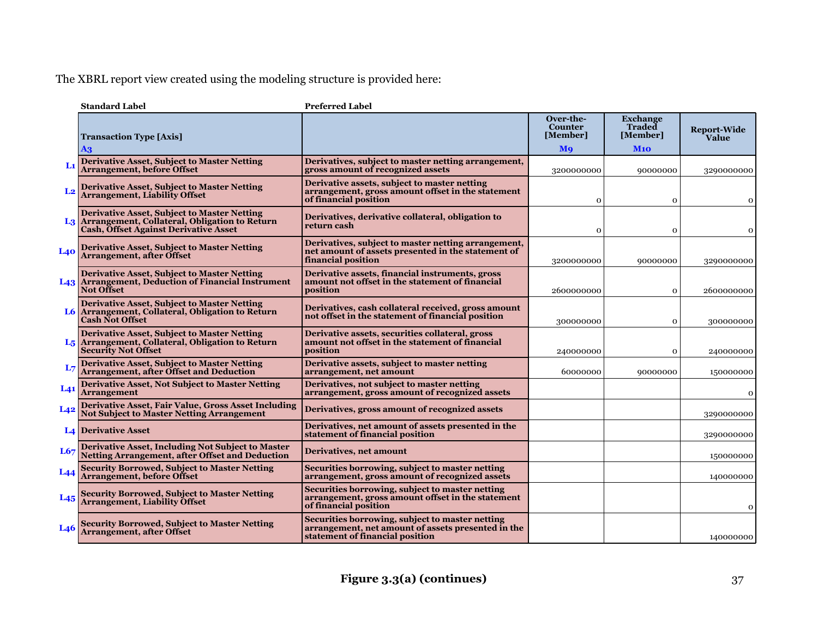The XBRL report view created using the modeling structure is provided here:

|                 | <b>Standard Label</b>                                                                                                                                  | <b>Preferred Label</b>                                                                                                                   |                                         |                                              |                             |
|-----------------|--------------------------------------------------------------------------------------------------------------------------------------------------------|------------------------------------------------------------------------------------------------------------------------------------------|-----------------------------------------|----------------------------------------------|-----------------------------|
|                 | <b>Transaction Type [Axis]</b>                                                                                                                         |                                                                                                                                          | Over-the-<br><b>Counter</b><br>[Member] | <b>Exchange</b><br><b>Traded</b><br>[Member] | <b>Report-Wide</b><br>Value |
|                 | A3                                                                                                                                                     |                                                                                                                                          | <b>M</b> <sup>o</sup>                   | <b>M10</b>                                   |                             |
| L1              | <b>Derivative Asset, Subject to Master Netting</b><br><b>Arrangement, before Offset</b>                                                                | Derivatives, subject to master netting arrangement,<br>gross amount of recognized assets                                                 | 3200000000                              | 90000000                                     | 3290000000                  |
| L <sub>2</sub>  | <b>Derivative Asset, Subject to Master Netting</b><br>Arrangement, Liability Offset                                                                    | Derivative assets, subject to master netting<br>arrangement, gross amount offset in the statement<br>of financial position               | $\Omega$                                | $\mathbf 0$                                  | $\mathbf 0$                 |
|                 | <b>Derivative Asset, Subject to Master Netting</b><br>L3 Arrangement, Collateral, Obligation to Return<br><b>Cash, Offset Against Derivative Asset</b> | Derivatives, derivative collateral, obligation to<br>return cash                                                                         | $\Omega$                                | $\mathbf 0$                                  | $\mathbf 0$                 |
| <b>L40</b>      | <b>Derivative Asset, Subject to Master Netting</b><br>Arrangement, after Offset                                                                        | Derivatives, subject to master netting arrangement,<br>net amount of assets presented in the statement of<br>financial position          | 3200000000                              | 90000000                                     | 3290000000                  |
|                 | <b>Derivative Asset, Subject to Master Netting</b><br>L43 Arrangement, Deduction of Financial Instrument<br><b>Not Offset</b>                          | Derivative assets, financial instruments, gross<br>amount not offset in the statement of financial<br>position                           | 2600000000                              | $\mathbf{O}$                                 | 2600000000                  |
|                 | <b>Derivative Asset, Subject to Master Netting</b><br>L6 Arrangement, Collateral, Obligation to Return<br><b>Cash Not Offset</b>                       | Derivatives, cash collateral received, gross amount<br>not offset in the statement of financial position                                 | 300000000                               | $\mathbf{o}$                                 | 300000000                   |
|                 | <b>Derivative Asset, Subject to Master Netting</b><br>L <sub>5</sub> Arrangement, Collateral, Obligation to Return<br><b>Security Not Offset</b>       | Derivative assets, securities collateral, gross<br>amount not offset in the statement of financial<br>position                           | 240000000                               | $\mathbf 0$                                  | 240000000                   |
| $L_{7}$         | <b>Derivative Asset, Subject to Master Netting</b><br><b>Arrangement, after Offset and Deduction</b>                                                   | Derivative assets, subject to master netting<br>arrangement, net amount                                                                  | 60000000                                | 90000000                                     | 150000000                   |
| L <sub>41</sub> | <b>Derivative Asset, Not Subject to Master Netting</b><br><b>Arrangement</b>                                                                           | Derivatives, not subject to master netting<br>arrangement, gross amount of recognized assets                                             |                                         |                                              | $\mathbf 0$                 |
| L42             | Derivative Asset, Fair Value, Gross Asset Including<br><b>Not Subject to Master Netting Arrangement</b>                                                | Derivatives, gross amount of recognized assets                                                                                           |                                         |                                              | 3290000000                  |
|                 | <b>L4 Derivative Asset</b>                                                                                                                             | Derivatives, net amount of assets presented in the<br>statement of financial position                                                    |                                         |                                              | 3290000000                  |
| L67             | <b>Derivative Asset, Including Not Subject to Master</b><br><b>Netting Arrangement, after Offset and Deduction</b>                                     | Derivatives, net amount                                                                                                                  |                                         |                                              | 150000000                   |
| $L_{44}$        | <b>Security Borrowed, Subject to Master Netting</b><br>Arrangement, before Offset                                                                      | Securities borrowing, subject to master netting<br>arrangement, gross amount of recognized assets                                        |                                         |                                              | 140000000                   |
| $L_{45}$        | <b>Security Borrowed, Subject to Master Netting</b><br>Arrangement, Liability Offset                                                                   | Securities borrowing, subject to master netting<br>arrangement, gross amount offset in the statement<br>of financial position            |                                         |                                              | $\mathbf 0$                 |
|                 | <b>Security Borrowed, Subject to Master Netting</b><br><b>Arrangement, after Offset</b>                                                                | Securities borrowing, subject to master netting<br>arrangement, net amount of assets presented in the<br>statement of financial position |                                         |                                              | 140000000                   |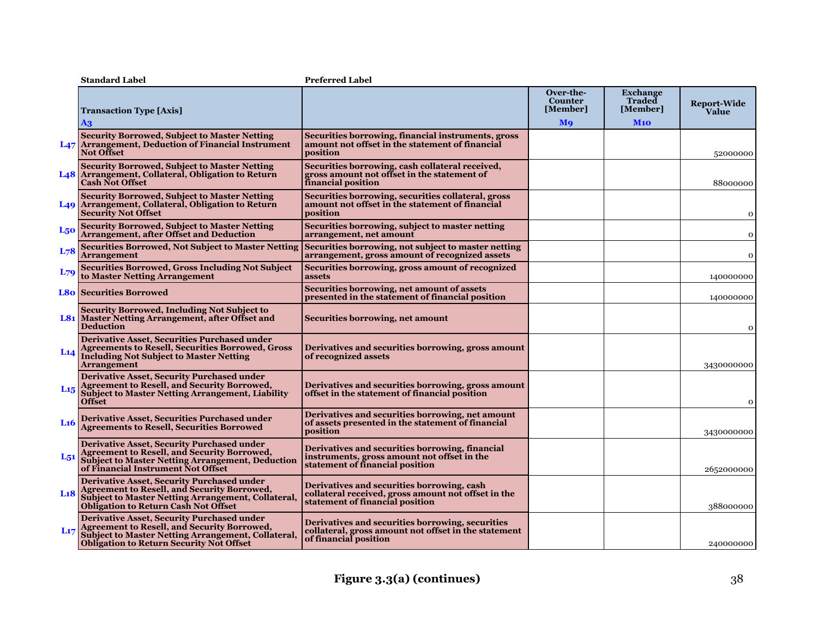|                 | <b>Standard Label</b>                                                                                                                                                                                               | <b>Preferred Label</b>                                                                                                               |                                                                  |                                                     |                      |
|-----------------|---------------------------------------------------------------------------------------------------------------------------------------------------------------------------------------------------------------------|--------------------------------------------------------------------------------------------------------------------------------------|------------------------------------------------------------------|-----------------------------------------------------|----------------------|
|                 | <b>Transaction Type [Axis]</b><br>A3                                                                                                                                                                                |                                                                                                                                      | Over-the-<br><b>Counter</b><br>[Member]<br><b>M</b> <sub>9</sub> | <b>Exchange</b><br><b>Traded</b><br>[Member]<br>M10 | Report-Wide<br>Value |
|                 | <b>Security Borrowed, Subject to Master Netting</b><br>L <sub>47</sub> Arrangement, Deduction of Financial Instrument<br><b>Not Offset</b>                                                                          | Securities borrowing, financial instruments, gross<br>amount not offset in the statement of financial<br>position                    |                                                                  |                                                     | 52000000             |
|                 | <b>Security Borrowed, Subject to Master Netting</b><br>L48   Arrangement, Collateral, Obligation to Return<br><b>Cash Not Offset</b>                                                                                | Securities borrowing, cash collateral received,<br>gross amount not offset in the statement of<br>financial position                 |                                                                  |                                                     | 88000000             |
|                 | <b>Security Borrowed, Subject to Master Netting</b><br>L <sub>49</sub> Arrangement, Collateral, Obligation to Return<br><b>Security Not Offset</b>                                                                  | Securities borrowing, securities collateral, gross<br>amount not offset in the statement of financial<br>position                    |                                                                  |                                                     | $\mathbf 0$          |
| L50             | <b>Security Borrowed, Subject to Master Netting</b><br><b>Arrangement, after Offset and Deduction</b>                                                                                                               | Securities borrowing, subject to master netting<br>arrangement, net amount                                                           |                                                                  |                                                     | 0                    |
| L <sub>78</sub> | <b>Securities Borrowed, Not Subject to Master Netting</b><br><b>Arrangement</b>                                                                                                                                     | Securities borrowing, not subject to master netting<br>arrangement, gross amount of recognized assets                                |                                                                  |                                                     | $\mathbf 0$          |
| $L_{79}$        | <b>Securities Borrowed, Gross Including Not Subject</b><br>to Master Netting Arrangement                                                                                                                            | Securities borrowing, gross amount of recognized<br>assets                                                                           |                                                                  |                                                     | 140000000            |
|                 | <b>L80 Securities Borrowed</b>                                                                                                                                                                                      | Securities borrowing, net amount of assets<br>presented in the statement of financial position                                       |                                                                  |                                                     | 140000000            |
|                 | <b>Security Borrowed, Including Not Subject to</b><br><b>L81</b> Master Netting Arrangement, after Offset and<br><b>Deduction</b>                                                                                   | Securities borrowing, net amount                                                                                                     |                                                                  |                                                     | 0                    |
| L14             | <b>Derivative Asset, Securities Purchased under</b><br><b>Agreements to Resell, Securities Borrowed, Gross</b><br><b>Including Not Subject to Master Netting</b><br>Arrangement                                     | Derivatives and securities borrowing, gross amount<br>of recognized assets                                                           |                                                                  |                                                     | 3430000000           |
| $L_{15}$        | <b>Derivative Asset, Security Purchased under</b><br><b>Agreement to Resell, and Security Borrowed,</b><br><b>Subject to Master Netting Arrangement, Liability</b><br><b>Offset</b>                                 | Derivatives and securities borrowing, gross amount<br>offset in the statement of financial position                                  |                                                                  |                                                     | 0                    |
| L <sub>16</sub> | <b>Derivative Asset, Securities Purchased under</b><br><b>Agreements to Resell, Securities Borrowed</b>                                                                                                             | Derivatives and securities borrowing, net amount<br>of assets presented in the statement of financial<br>position                    |                                                                  |                                                     | 3430000000           |
| L <sub>51</sub> | <b>Derivative Asset, Security Purchased under</b><br><b>Agreement to Resell, and Security Borrowed,</b><br><b>Subject to Master Netting Arrangement, Deduction</b><br>of Financial Instrument Not Offset            | Derivatives and securities borrowing, financial<br>instruments, gross amount not offset in the<br>statement of financial position    |                                                                  |                                                     | 2652000000           |
| L <sub>18</sub> | <b>Derivative Asset, Security Purchased under</b><br><b>Agreement to Resell, and Security Borrowed,</b><br><b>Subject to Master Netting Arrangement, Collateral,</b><br><b>Obligation to Return Cash Not Offset</b> | Derivatives and securities borrowing, cash<br>collateral received, gross amount not offset in the<br>statement of financial position |                                                                  |                                                     | 388000000            |
| L17             | <b>Derivative Asset, Security Purchased under</b><br><b>Agreement to Resell, and Security Borrowed,</b><br>Subject to Master Netting Arrangement, Collateral,<br><b>Obligation to Return Security Not Offset</b>    | Derivatives and securities borrowing, securities<br>collateral, gross amount not offset in the statement<br>of financial position    |                                                                  |                                                     | 240000000            |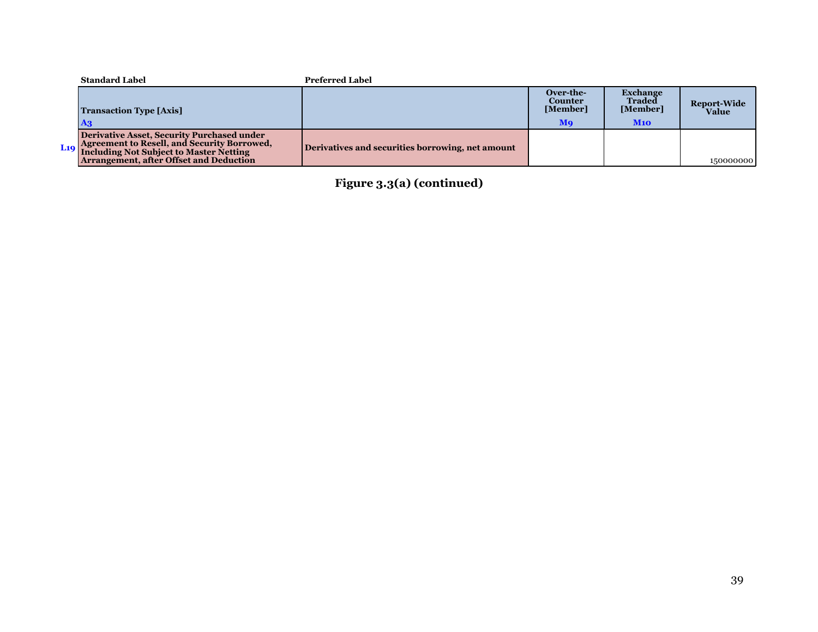| <b>Standard Label</b>                                                                                                                      | <b>Preferred Label</b>                           |                                  |                                              |                    |
|--------------------------------------------------------------------------------------------------------------------------------------------|--------------------------------------------------|----------------------------------|----------------------------------------------|--------------------|
| <b>Transaction Type [Axis]</b>                                                                                                             |                                                  | Over-the-<br>Counter<br>[Member] | <b>Exchange</b><br><b>Traded</b><br>[Member] | <b>Report-Wide</b> |
|                                                                                                                                            |                                                  |                                  |                                              | Value              |
|                                                                                                                                            |                                                  | Mq                               | M10                                          |                    |
| Derivative Asset, Security Purchased under<br>L19   Agreement to Resell, and Security Borrowed,<br>Including Not Subject to Master Netting | Derivatives and securities borrowing, net amount |                                  |                                              |                    |
| Arrangement, after Offset and Deduction                                                                                                    |                                                  |                                  |                                              | 150000000          |

**Figure 3.3(a) (continued)**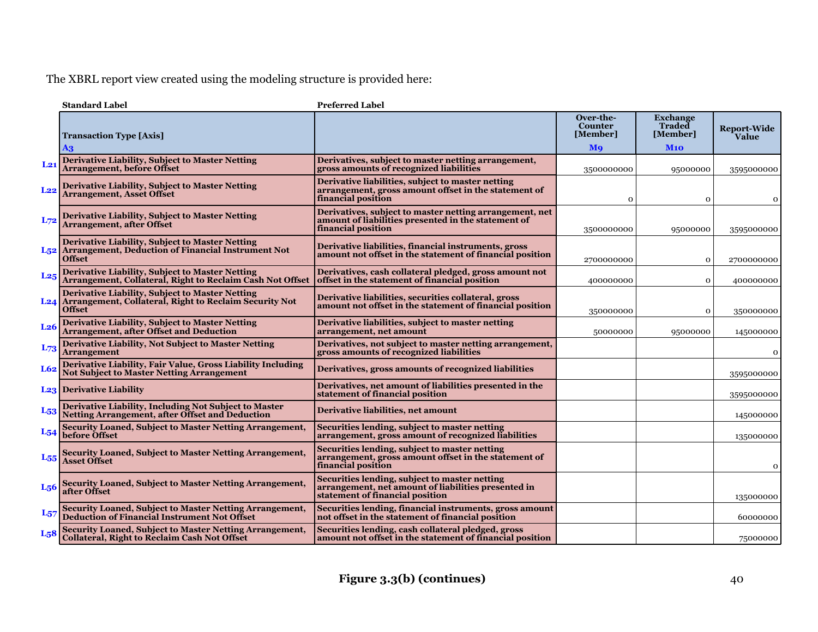The XBRL report view created using the modeling structure is provided here:

|                  | <b>Standard Label</b>                                                                                                                         | <b>Preferred Label</b>                                                                                                                  |                                         |                                              |                             |
|------------------|-----------------------------------------------------------------------------------------------------------------------------------------------|-----------------------------------------------------------------------------------------------------------------------------------------|-----------------------------------------|----------------------------------------------|-----------------------------|
|                  | <b>Transaction Type [Axis]</b>                                                                                                                |                                                                                                                                         | Over-the-<br><b>Counter</b><br>[Member] | <b>Exchange</b><br><b>Traded</b><br>[Member] | <b>Report-Wide</b><br>Value |
|                  | A3                                                                                                                                            |                                                                                                                                         | Mo                                      | M10                                          |                             |
| $L_{21}$         | <b>Derivative Liability, Subject to Master Netting</b><br><b>Arrangement, before Offset</b>                                                   | Derivatives, subject to master netting arrangement,<br>gross amounts of recognized liabilities                                          | 3500000000                              | 95000000                                     | 3595000000                  |
| L22              | <b>Derivative Liability, Subject to Master Netting</b><br><b>Arrangement, Asset Offset</b>                                                    | Derivative liabilities, subject to master netting<br>arrangement, gross amount offset in the statement of<br>financial position         | $\mathbf{o}$                            | $\mathbf 0$                                  | $\mathbf{o}$                |
| L72              | <b>Derivative Liability, Subject to Master Netting</b><br><b>Arrangement, after Offset</b>                                                    | Derivatives, subject to master netting arrangement, net<br>amount of liabilities presented in the statement of<br>financial position    | 3500000000                              | 95000000                                     | 3595000000                  |
|                  | <b>Derivative Liability, Subject to Master Netting</b><br>L <sub>52</sub> Arrangement, Deduction of Financial Instrument Not<br><b>Offset</b> | Derivative liabilities, financial instruments, gross<br>amount not offset in the statement of financial position                        | 2700000000                              | $\mathbf 0$                                  | 2700000000                  |
| $L_{25}$         | <b>Derivative Liability, Subject to Master Netting</b><br>Arrangement, Collateral, Right to Reclaim Cash Not Offset                           | Derivatives, cash collateral pledged, gross amount not<br>offset in the statement of financial position                                 | 400000000                               | $\mathbf{o}$                                 | 400000000                   |
|                  | <b>Derivative Liability, Subject to Master Netting</b><br>L24 Arrangement, Collateral, Right to Reclaim Security Not<br><b>Offset</b>         | Derivative liabilities, securities collateral, gross<br>amount not offset in the statement of financial position                        | 350000000                               | $\mathbf 0$                                  | 350000000                   |
| L <sub>26</sub>  | <b>Derivative Liability, Subject to Master Netting</b><br><b>Arrangement, after Offset and Deduction</b>                                      | Derivative liabilities, subject to master netting<br>arrangement, net amount                                                            | 50000000                                | 95000000                                     | 145000000                   |
| $L_{73}$         | <b>Derivative Liability, Not Subject to Master Netting</b><br><b>Arrangement</b>                                                              | Derivatives, not subject to master netting arrangement,<br>gross amounts of recognized liabilities                                      |                                         |                                              | $\mathbf{o}$                |
| L62              | Derivative Liability, Fair Value, Gross Liability Including<br><b>Not Subject to Master Netting Arrangement</b>                               | Derivatives, gross amounts of recognized liabilities                                                                                    |                                         |                                              | 3595000000                  |
|                  | <b>L23</b> Derivative Liability                                                                                                               | Derivatives, net amount of liabilities presented in the<br>statement of financial position                                              |                                         |                                              | 3595000000                  |
| $L_{53}$         | Derivative Liability, Including Not Subject to Master<br><b>Netting Arrangement, after Offset and Deduction</b>                               | Derivative liabilities, net amount                                                                                                      |                                         |                                              | 145000000                   |
| $L_{54}$         | <b>Security Loaned, Subject to Master Netting Arrangement,</b><br>before Offset                                                               | Securities lending, subject to master netting<br>arrangement, gross amount of recognized liabilities                                    |                                         |                                              | 135000000                   |
| L <sub>55</sub>  | <b>Security Loaned, Subject to Master Netting Arrangement,</b><br><b>Asset Offset</b>                                                         | Securities lending, subject to master netting<br>arrangement, gross amount offset in the statement of<br>financial position             |                                         |                                              | $\mathbf 0$                 |
| L <sub>56</sub>  | <b>Security Loaned, Subject to Master Netting Arrangement,</b><br>after Offset                                                                | Securities lending, subject to master netting<br>arrangement, net amount of liabilities presented in<br>statement of financial position |                                         |                                              | 135000000                   |
| L <sub>57</sub>  | <b>Security Loaned, Subject to Master Netting Arrangement,</b><br><b>Deduction of Financial Instrument Not Offset</b>                         | Securities lending, financial instruments, gross amount<br>not offset in the statement of financial position                            |                                         |                                              | 60000000                    |
| L <sub>5</sub> 8 | Security Loaned, Subject to Master Netting Arrangement,<br><b>Collateral, Right to Reclaim Cash Not Offset</b>                                | Securities lending, cash collateral pledged, gross<br>amount not offset in the statement of financial position                          |                                         |                                              | 75000000                    |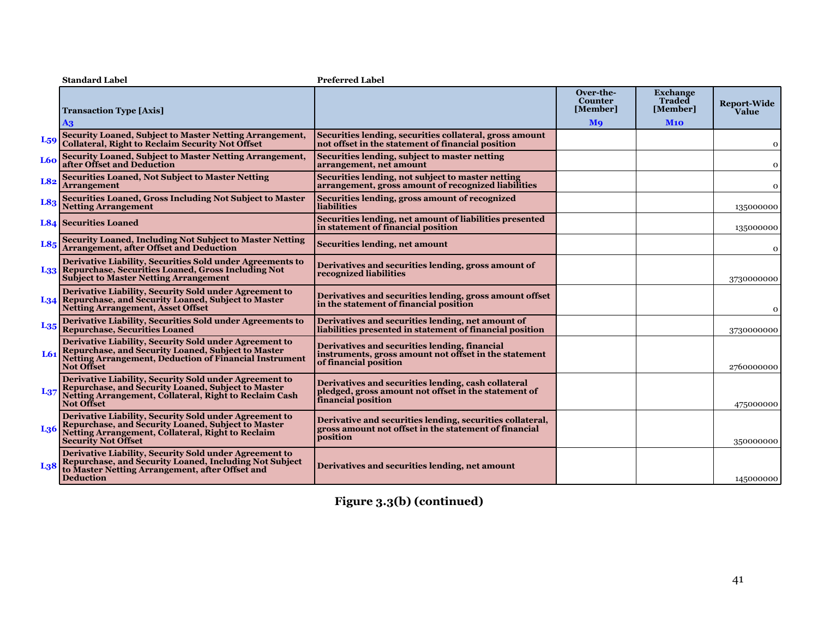|                 | <b>Standard Label</b>                                                                                                                                                                                  | <b>Preferred Label</b>                                                                                                            |                                         |                                              |                             |
|-----------------|--------------------------------------------------------------------------------------------------------------------------------------------------------------------------------------------------------|-----------------------------------------------------------------------------------------------------------------------------------|-----------------------------------------|----------------------------------------------|-----------------------------|
|                 | <b>Transaction Type [Axis]</b>                                                                                                                                                                         |                                                                                                                                   | Over-the-<br><b>Counter</b><br>[Member] | <b>Exchange</b><br><b>Traded</b><br>[Member] | <b>Report-Wide</b><br>Value |
|                 | $\mathbf{A}$ 3                                                                                                                                                                                         |                                                                                                                                   | <b>M</b> <sub>9</sub>                   | M10                                          |                             |
| L <sub>59</sub> | Security Loaned, Subject to Master Netting Arrangement,<br>Collateral, Right to Reclaim Security Not Offset                                                                                            | Securities lending, securities collateral, gross amount<br>not offset in the statement of financial position                      |                                         |                                              | $\mathbf{o}$                |
| L60             | <b>Security Loaned, Subject to Master Netting Arrangement,<br/>after Offset and Deduction</b>                                                                                                          | Securities lending, subject to master netting<br>arrangement, net amount                                                          |                                         |                                              | $\mathbf 0$                 |
| L82             | <b>Securities Loaned, Not Subject to Master Netting</b><br><b>Arrangement</b>                                                                                                                          | Securities lending, not subject to master netting<br>arrangement, gross amount of recognized liabilities                          |                                         |                                              | $\mathbf 0$                 |
| L83             | Securities Loaned, Gross Including Not Subject to Master<br><b>Netting Arrangement</b>                                                                                                                 | Securities lending, gross amount of recognized<br>liabilities                                                                     |                                         |                                              | 135000000                   |
|                 | <b>L84 Securities Loaned</b>                                                                                                                                                                           | Securities lending, net amount of liabilities presented<br>in statement of financial position                                     |                                         |                                              | 135000000                   |
| L8 <sub>5</sub> | <b>Security Loaned, Including Not Subject to Master Netting</b><br><b>Arrangement, after Offset and Deduction</b>                                                                                      | Securities lending, net amount                                                                                                    |                                         |                                              | $\mathbf{o}$                |
|                 | Derivative Liability, Securities Sold under Agreements to<br>L33 Repurchase, Securities Loaned, Gross Including Not<br><b>Subject to Master Netting Arrangement</b>                                    | Derivatives and securities lending, gross amount of<br>recognized liabilities                                                     |                                         |                                              | 3730000000                  |
|                 | Derivative Liability, Security Sold under Agreement to<br>L34 Repurchase, and Security Loaned, Subject to Master<br><b>Netting Arrangement, Asset Offset</b>                                           | Derivatives and securities lending, gross amount offset<br>in the statement of financial position                                 |                                         |                                              | $\mathbf 0$                 |
| $L_{35}$        | Derivative Liability, Securities Sold under Agreements to<br>Repurchase, Securities Loaned                                                                                                             | Derivatives and securities lending, net amount of<br>liabilities presented in statement of financial position                     |                                         |                                              | 3730000000                  |
| L61             | Derivative Liability, Security Sold under Agreement to<br>Repurchase, and Security Loaned, Subject to Master<br><b>Netting Arrangement, Deduction of Financial Instrument</b><br><b>Not Offset</b>     | Derivatives and securities lending, financial<br>instruments, gross amount not offset in the statement<br>of financial position   |                                         |                                              | 2760000000                  |
| L <sub>37</sub> | Derivative Liability, Security Sold under Agreement to<br>Repurchase, and Security Loaned, Subject to Master<br>Netting Arrangement, Collateral, Right to Reclaim Cash<br><b>Not Offset</b>            | Derivatives and securities lending, cash collateral<br>pledged, gross amount not offset in the statement of<br>financial position |                                         |                                              | 475000000                   |
| L <sub>36</sub> | Derivative Liability, Security Sold under Agreement to<br>Repurchase, and Security Loaned, Subject to Master<br><b>Netting Arrangement, Collateral, Right to Reclaim</b><br><b>Security Not Offset</b> | Derivative and securities lending, securities collateral,<br>gross amount not offset in the statement of financial<br>position    |                                         |                                              | 350000000                   |
| L <sub>38</sub> | Derivative Liability, Security Sold under Agreement to<br>Repurchase, and Security Loaned, Including Not Subject<br>to Master Netting Arrangement, after Offset and<br><b>Deduction</b>                | Derivatives and securities lending, net amount                                                                                    |                                         |                                              | 145000000                   |
|                 |                                                                                                                                                                                                        |                                                                                                                                   |                                         |                                              |                             |

**Figure 3.3(b) (continued)**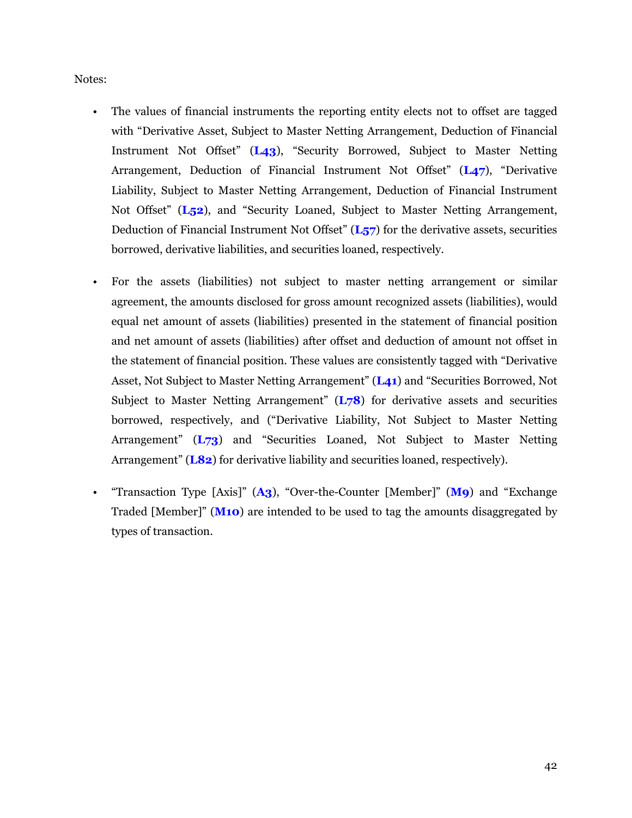Notes:

- The values of financial instruments the reporting entity elects not to offset are tagged with "Derivative Asset, Subject to Master Netting Arrangement, Deduction of Financial Instrument Not Offset" (**L43**), "Security Borrowed, Subject to Master Netting Arrangement, Deduction of Financial Instrument Not Offset" (**L47**), "Derivative Liability, Subject to Master Netting Arrangement, Deduction of Financial Instrument Not Offset" (**L52**), and "Security Loaned, Subject to Master Netting Arrangement, Deduction of Financial Instrument Not Offset" (**L57**) for the derivative assets, securities borrowed, derivative liabilities, and securities loaned, respectively.
- For the assets (liabilities) not subject to master netting arrangement or similar agreement, the amounts disclosed for gross amount recognized assets (liabilities), would equal net amount of assets (liabilities) presented in the statement of financial position and net amount of assets (liabilities) after offset and deduction of amount not offset in the statement of financial position. These values are consistently tagged with "Derivative Asset, Not Subject to Master Netting Arrangement" (**L41**) and "Securities Borrowed, Not Subject to Master Netting Arrangement" (**L78**) for derivative assets and securities borrowed, respectively, and ("Derivative Liability, Not Subject to Master Netting Arrangement" (**L73**) and "Securities Loaned, Not Subject to Master Netting Arrangement" (**L82**) for derivative liability and securities loaned, respectively).
- "Transaction Type [Axis]" (**A3**), "Over-the-Counter [Member]" (**M9**) and "Exchange Traded [Member]" (**M10**) are intended to be used to tag the amounts disaggregated by types of transaction.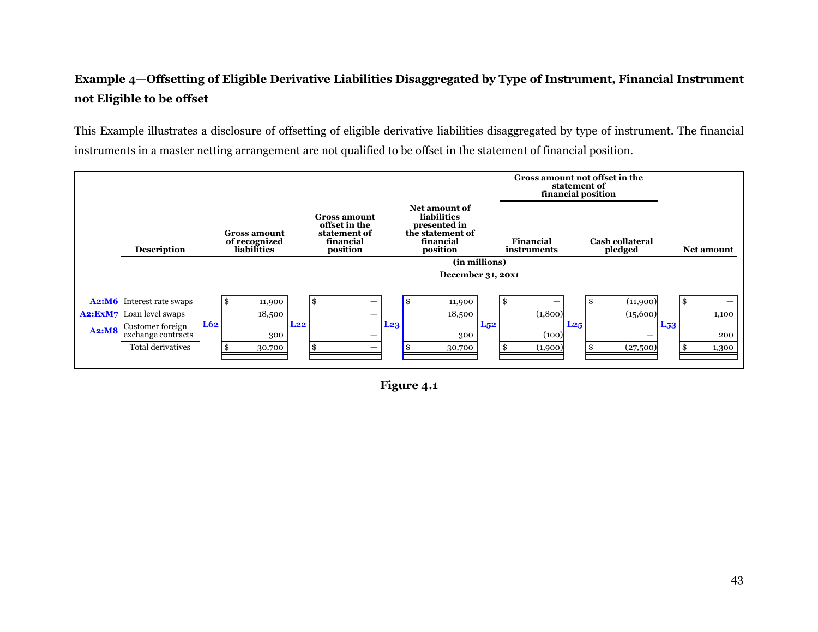# <span id="page-44-0"></span>**Example 4—Offsetting of Eligible Derivative Liabilities Disaggregated by Type of Instrument, Financial Instrument not Eligible to be offset**

This Example illustrates a disclosure of offsetting of eligible derivative liabilities disaggregated by type of instrument. The financial instruments in a master netting arrangement are not qualified to be offset in the statement of financial position.



**Figure 4.1**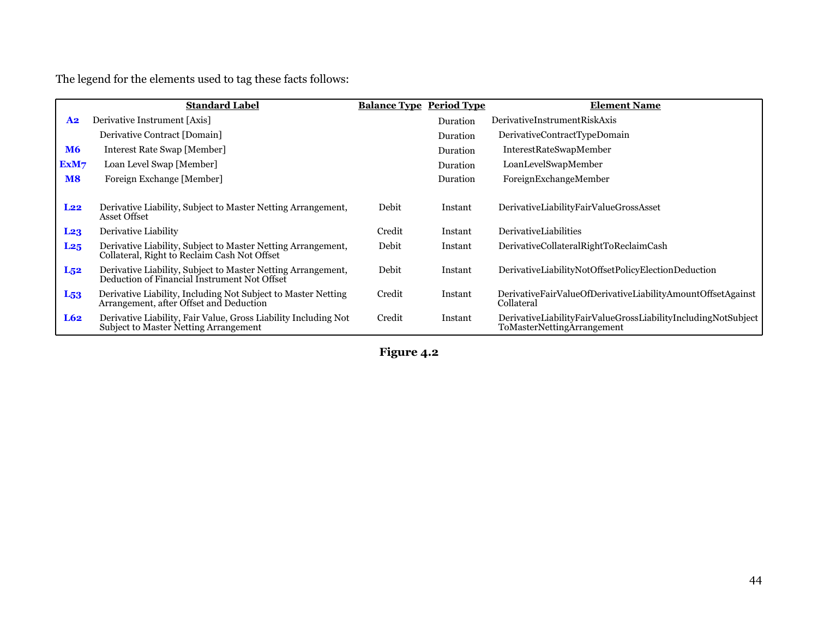The legend for the elements used to tag these facts follows:

|                 | <b>Standard Label</b>                                                                                        | <b>Balance Type Period Type</b> |          | <b>Element Name</b>                                                                         |
|-----------------|--------------------------------------------------------------------------------------------------------------|---------------------------------|----------|---------------------------------------------------------------------------------------------|
| A <sub>2</sub>  | Derivative Instrument [Axis]                                                                                 |                                 | Duration | DerivativeInstrumentRiskAxis                                                                |
|                 | Derivative Contract [Domain]                                                                                 |                                 | Duration | DerivativeContractTypeDomain                                                                |
| <b>M6</b>       | Interest Rate Swap [Member]                                                                                  |                                 | Duration | <b>InterestRateSwapMember</b>                                                               |
| ExM7            | Loan Level Swap [Member]                                                                                     |                                 | Duration | LoanLevelSwapMember                                                                         |
| <b>M8</b>       | Foreign Exchange [Member]                                                                                    |                                 | Duration | ForeignExchangeMember                                                                       |
|                 |                                                                                                              |                                 |          |                                                                                             |
| L22             | Derivative Liability, Subject to Master Netting Arrangement,<br>Asset Offset                                 | Debit                           | Instant  | DerivativeLiabilityFairValueGrossAsset                                                      |
| L <sub>23</sub> | Derivative Liability                                                                                         | Credit                          | Instant  | <b>DerivativeLiabilities</b>                                                                |
| L <sub>25</sub> | Derivative Liability, Subject to Master Netting Arrangement,<br>Collateral, Right to Reclaim Cash Not Offset | Debit                           | Instant  | DerivativeCollateralRightToReclaimCash                                                      |
| $L_{52}$        | Derivative Liability, Subject to Master Netting Arrangement,<br>Deduction of Financial Instrument Not Offset | Debit                           | Instant  | DerivativeLiabilityNotOffsetPolicyElectionDeduction                                         |
| $L_{53}$        | Derivative Liability, Including Not Subject to Master Netting<br>Arrangement, after Offset and Deduction     | Credit                          | Instant  | DerivativeFairValueOfDerivativeLiabilityAmountOffsetAgainst<br>Collateral                   |
| L62             | Derivative Liability, Fair Value, Gross Liability Including Not<br>Subject to Master Netting Arrangement     | Credit                          | Instant  | DerivativeLiabilityFairValueGrossLiabilityIncludingNotSubject<br>ToMasterNettingArrangement |

**Figure 4.2**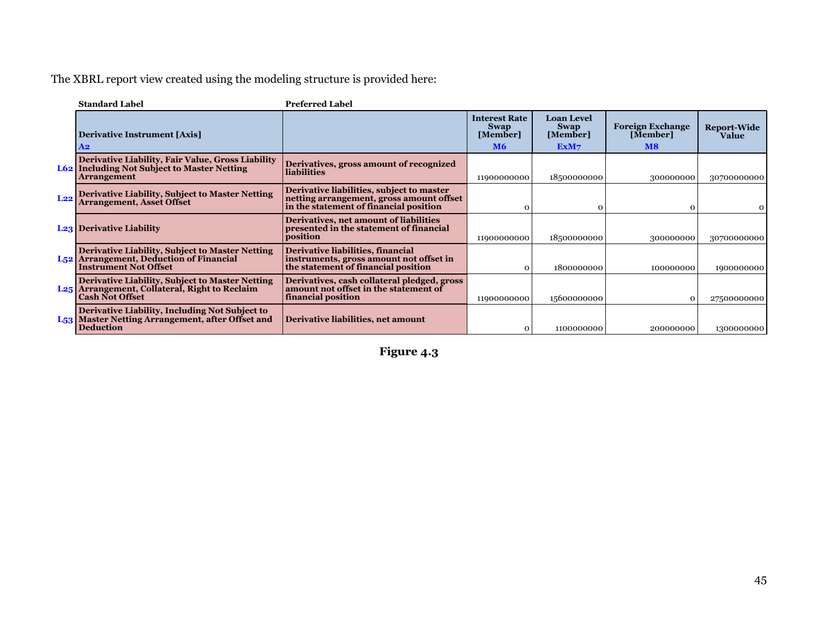The XBRL report view created using the modeling structure is provided here:

|     | <b>Standard Label</b>                                                                                                                         | <b>Preferred Label</b>                                                                                                          |                                                              |                                                      |                                                                 |                                    |
|-----|-----------------------------------------------------------------------------------------------------------------------------------------------|---------------------------------------------------------------------------------------------------------------------------------|--------------------------------------------------------------|------------------------------------------------------|-----------------------------------------------------------------|------------------------------------|
|     | <b>Derivative Instrument [Axis]</b><br>A2                                                                                                     |                                                                                                                                 | <b>Interest Rate</b><br><b>Swap</b><br>[Member]<br><b>M6</b> | <b>Loan Level</b><br><b>Swap</b><br>[Member]<br>ExM7 | <b>Foreign Exchange</b><br>[Member]<br>$\overline{\mathbf{M8}}$ | <b>Report-Wide</b><br><b>Value</b> |
|     | <b>Derivative Liability, Fair Value, Gross Liability<br/>L62 Including Not Subject to Master Netting</b><br><b>Arrangement</b>                | Derivatives, gross amount of recognized<br><b>liabilities</b>                                                                   | 11900000000                                                  | 18500000000                                          | 300000000                                                       | 30700000000                        |
| L22 | Derivative Liability, Subject to Master Netting<br>Arrangement, Asset Offset                                                                  | Derivative liabilities, subject to master<br>netting arrangement, gross amount offset<br>in the statement of financial position | 0                                                            | $\Omega$                                             | $\Omega$                                                        |                                    |
|     | <b>L23</b> Derivative Liability                                                                                                               | Derivatives, net amount of liabilities<br>presented in the statement of financial<br>position                                   | 11900000000                                                  | 18500000000                                          | 300000000                                                       | 30700000000                        |
|     | <b>Derivative Liability, Subject to Master Netting</b><br>L <sub>52</sub> Arrangement, Deduction of Financial<br><b>Instrument Not Offset</b> | Derivative liabilities, financial<br>instruments, gross amount not offset in<br>the statement of financial position             | $\Omega$                                                     | 1800000000                                           | 100000000                                                       | 1900000000                         |
| L25 | Derivative Liability, Subject to Master Netting<br>Arrangement, Collateral, Right to Reclaim<br><b>Cash Not Offset</b>                        | Derivatives, cash collateral pledged, gross<br>amount not offset in the statement of<br>financial position                      | 11900000000                                                  | 15600000000                                          | $\Omega$                                                        | 27500000000                        |
|     | <b>Derivative Liability, Including Not Subject to</b><br>L <sub>53</sub> Master Netting Arrangement, after Offset and<br><b>Deduction</b>     | Derivative liabilities, net amount                                                                                              |                                                              | 1100000000                                           | 200000000                                                       | 1300000000                         |

**Figure 4.3**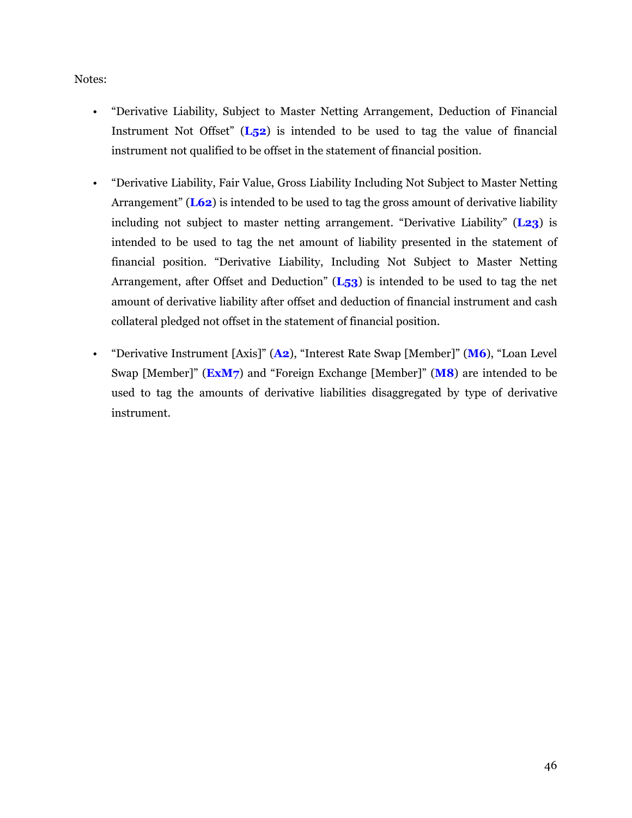Notes:

- "Derivative Liability, Subject to Master Netting Arrangement, Deduction of Financial Instrument Not Offset" (**L52**) is intended to be used to tag the value of financial instrument not qualified to be offset in the statement of financial position.
- "Derivative Liability, Fair Value, Gross Liability Including Not Subject to Master Netting Arrangement" (**L62**) is intended to be used to tag the gross amount of derivative liability including not subject to master netting arrangement. "Derivative Liability" (**L23**) is intended to be used to tag the net amount of liability presented in the statement of financial position. "Derivative Liability, Including Not Subject to Master Netting Arrangement, after Offset and Deduction" (**L53**) is intended to be used to tag the net amount of derivative liability after offset and deduction of financial instrument and cash collateral pledged not offset in the statement of financial position.
- "Derivative Instrument [Axis]" (**A2**), "Interest Rate Swap [Member]" (**M6**), "Loan Level Swap [Member]" (**ExM7**) and "Foreign Exchange [Member]" (**M8**) are intended to be used to tag the amounts of derivative liabilities disaggregated by type of derivative instrument.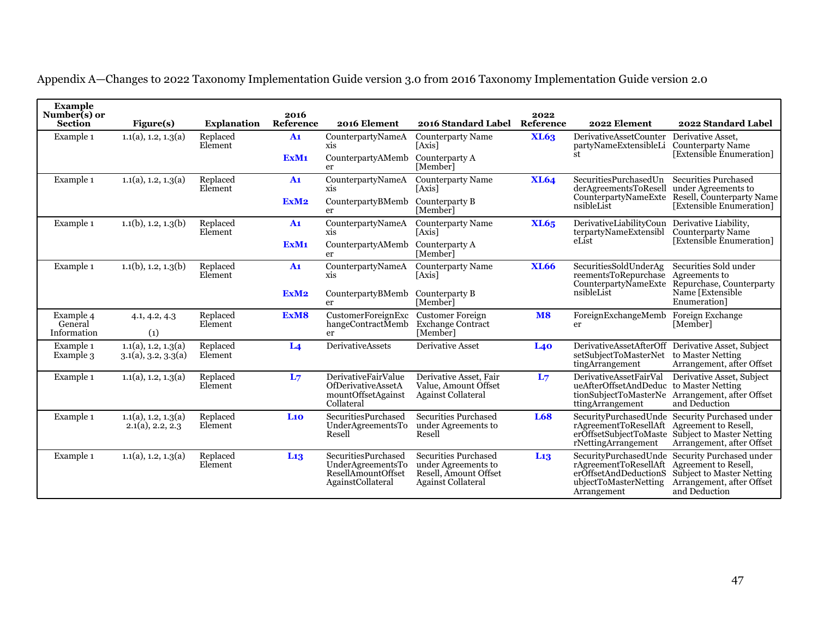| <b>Example</b><br>Number(s) or<br><b>Section</b> | Figure(s)                                             | <b>Explanation</b>  | 2016<br>Reference | 2016 Element                                                                                      | 2016 Standard Label                                                                                      | 2022<br>Reference | 2022 Element                                                                                                    | 2022 Standard Label                                                                                                         |  |
|--------------------------------------------------|-------------------------------------------------------|---------------------|-------------------|---------------------------------------------------------------------------------------------------|----------------------------------------------------------------------------------------------------------|-------------------|-----------------------------------------------------------------------------------------------------------------|-----------------------------------------------------------------------------------------------------------------------------|--|
| Example 1                                        | 1.1(a), 1.2, 1.3(a)                                   | Replaced<br>Element | A1                | CounterpartyNameA<br>xis                                                                          | <b>Counterparty Name</b><br>[Axis]                                                                       | XL63              | <b>DerivativeAssetCounter</b><br>partyNameExtensibleLi                                                          | Derivative Asset.<br><b>Counterparty Name</b>                                                                               |  |
|                                                  |                                                       |                     | ExM <sub>1</sub>  | CounterpartyAMemb<br>er                                                                           | Counterparty A<br>[Member]                                                                               |                   | st                                                                                                              | [Extensible Enumeration]                                                                                                    |  |
| Example 1                                        | 1.1(a), 1.2, 1.3(a)                                   | Replaced<br>Element | A <sub>1</sub>    | CounterpartyNameA<br>xis                                                                          | <b>Counterparty Name</b><br>[Axis]                                                                       | XL64              | SecuritiesPurchasedUn<br>derAgreementsToResell                                                                  | <b>Securities Purchased</b><br>under Agreements to                                                                          |  |
|                                                  |                                                       |                     | ExM <sub>2</sub>  | CounterpartyBMemb<br>er                                                                           | Counterparty B<br>[Member]                                                                               |                   | CounterpartyNameExte<br>nsibleList                                                                              | Resell, Counterparty Name<br>[Extensible Enumeration]                                                                       |  |
| Example 1                                        | $1.1(b)$ , 1.2, 1.3(b)                                | Replaced<br>Element | A <sub>1</sub>    | CounterpartyNameA<br>xis                                                                          | <b>Counterparty Name</b><br><b>LAxis</b>                                                                 | XL65              | DerivativeLiabilityCoun<br>terpartyNameExtensibl                                                                | Derivative Liability,<br><b>Counterparty Name</b>                                                                           |  |
|                                                  |                                                       |                     | ExM <sub>1</sub>  | CounterpartyAMemb<br>er                                                                           | Counterparty A<br>[Member]                                                                               |                   | eList                                                                                                           | [Extensible Enumeration]                                                                                                    |  |
| Example 1                                        | $1.1(b)$ , 1.2, 1.3(b)                                | Replaced<br>Element | A <sub>1</sub>    | CounterpartyNameA<br>xis                                                                          | <b>Counterparty Name</b><br><b>LAxis</b>                                                                 | <b>XL66</b>       | SecuritiesSoldUnderAg<br>reementsToRepurchase<br>CounterpartyNameExte                                           | Securities Sold under<br>Agreements to<br>Repurchase, Counterparty                                                          |  |
|                                                  |                                                       |                     | ExM <sub>2</sub>  | CounterpartyBMemb<br>er                                                                           | Counterparty B<br>[Member]                                                                               |                   | nsibleList                                                                                                      | Name [Extensible<br>Enumeration]                                                                                            |  |
| Example 4<br>General<br>Information              | 4.1, 4.2, 4.3<br>(1)                                  | Replaced<br>Element | ExM8              | CustomerForeignExc<br>hangeContractMemb<br>er                                                     | <b>Customer Foreign</b><br>Exchange Contract<br>[Member]                                                 | <b>M8</b>         | ForeignExchangeMemb<br>er                                                                                       | Foreign Exchange<br>[Member]                                                                                                |  |
| Example 1<br>Example 3                           | $1.1(a)$ , 1.2, 1.3(a)<br>$3.1(a)$ , $3.2$ , $3.3(a)$ | Replaced<br>Element | L <sub>4</sub>    | <b>DerivativeAssets</b>                                                                           | Derivative Asset                                                                                         | L40               | <b>DerivativeAssetAfterOff</b><br>setSubjectToMasterNet<br>tingArrangement                                      | Derivative Asset, Subject<br>to Master Netting<br>Arrangement, after Offset                                                 |  |
| Example 1                                        | 1.1(a), 1.2, 1.3(a)                                   | Replaced<br>Element | L <sub>7</sub>    | DerivativeFairValue<br><b>OfDerivativeAssetA</b><br>mountOffsetAgainst<br>Collateral              | Derivative Asset, Fair<br>Value, Amount Offset<br><b>Against Collateral</b>                              | L <sub>7</sub>    | DerivativeAssetFairVal<br>ueAfterOffsetAndDeduc to Master Netting<br>ttingArrangement                           | Derivative Asset, Subject<br>tionSubjectToMasterNe Arrangement, after Offset<br>and Deduction                               |  |
| Example 1                                        | 1.1(a), 1.2, 1.3(a)<br>$2.1(a)$ , 2.2, 2.3            | Replaced<br>Element | L10               | <b>SecuritiesPurchased</b><br>UnderAgreementsTo<br>Resell                                         | Securities Purchased<br>under Agreements to<br>Resell                                                    | <b>L68</b>        | SecurityPurchasedUnde<br>rAgreementToResellAft<br>erOffsetSubjectToMaste<br>rNettingArrangement                 | Security Purchased under<br>Agreement to Resell,<br><b>Subject to Master Netting</b><br>Arrangement, after Offset           |  |
| Example 1                                        | 1.1(a), 1.2, 1.3(a)                                   | Replaced<br>Element | L <sub>13</sub>   | <b>SecuritiesPurchased</b><br>UnderAgreementsTo<br><b>ResellAmountOffset</b><br>AgainstCollateral | <b>Securities Purchased</b><br>under Agreements to<br>Resell, Amount Offset<br><b>Against Collateral</b> | L <sub>13</sub>   | SecurityPurchasedUnde<br>rAgreementToResellAft<br>erOffsetAndDeductionS<br>ubjectToMasterNetting<br>Arrangement | Security Purchased under<br>Agreement to Resell,<br>Subject to Master Netting<br>Arrangement, after Offset<br>and Deduction |  |

Appendix A—Changes to 2022 Taxonomy Implementation Guide version 3.0 from 2016 Taxonomy Implementation Guide version 2.0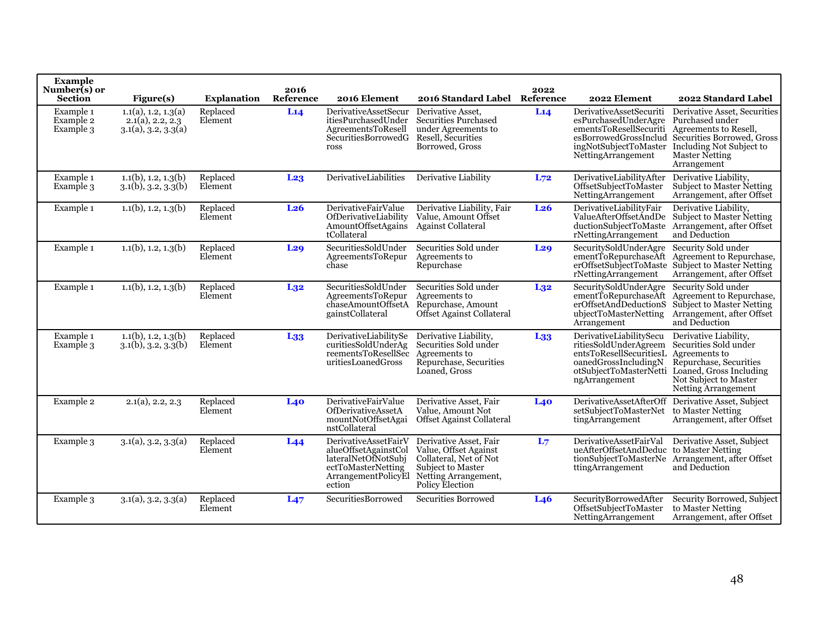| <b>Example</b><br>Number(s) or<br>Section | Figure(s)                                                           | <b>Explanation</b>  | 2016<br>Reference | 2016 Element                                                                                                               | 2016 Standard Label                                                                                                                              | 2022<br>Reference | 2022 Element                                                                                                                                      | 2022 Standard Label                                                                                                                                                                         |
|-------------------------------------------|---------------------------------------------------------------------|---------------------|-------------------|----------------------------------------------------------------------------------------------------------------------------|--------------------------------------------------------------------------------------------------------------------------------------------------|-------------------|---------------------------------------------------------------------------------------------------------------------------------------------------|---------------------------------------------------------------------------------------------------------------------------------------------------------------------------------------------|
| Example 1<br>Example 2<br>Example 3       | 1.1(a), 1.2, 1.3(a)<br>$2.1(a)$ , $2.2, 2.3$<br>3.1(a), 3.2, 3.3(a) | Replaced<br>Element | L14               | <b>DerivativeAssetSecur</b><br>itiesPurchasedUnder<br>AgreementsToResell<br><b>SecuritiesBorrowedG</b><br>ross             | Derivative Asset,<br><b>Securities Purchased</b><br>under Agreements to<br>Resell, Securities<br>Borrowed, Gross                                 | L14               | DerivativeAssetSecuriti<br>esPurchasedUnderAgre<br>ementsToResellSecuriti<br>esBorrowedGrossInclud<br>ingNotSubjectToMaster<br>NettingArrangement | Derivative Asset, Securities<br>Purchased under<br>Agreements to Resell,<br>Securities Borrowed, Gross<br>Including Not Subject to<br>Master Netting<br>Arrangement                         |
| Example 1<br>Example 3                    | $1.1(b)$ , 1.2, 1.3(b)<br>$3.1(b)$ , $3.2$ , $3.3(b)$               | Replaced<br>Element | L <sub>23</sub>   | DerivativeLiabilities                                                                                                      | Derivative Liability                                                                                                                             | $L_{72}$          | DerivativeLiabilityAfter<br>OffsetSubjectToMaster<br>NettingArrangement                                                                           | Derivative Liability,<br>Subject to Master Netting<br>Arrangement, after Offset                                                                                                             |
| Example 1                                 | $1.1(b)$ , 1.2, 1.3(b)                                              | Replaced<br>Element | L <sub>26</sub>   | DerivativeFairValue<br>OfDerivativeLiability<br>AmountOffsetAgains<br>tCollateral                                          | Derivative Liability, Fair<br>Value, Amount Offset<br>Against Collateral                                                                         | L <sub>26</sub>   | DerivativeLiabilityFair<br>ValueAfterOffsetAndDe<br>ductionSubjectToMaste<br>rNettingArrangement                                                  | Derivative Liability,<br>Subject to Master Netting<br>Arrangement, after Offset<br>and Deduction                                                                                            |
| Example 1                                 | $1.1(b)$ , 1.2, 1.3(b)                                              | Replaced<br>Element | L <sub>29</sub>   | SecuritiesSoldUnder<br>AgreementsToRepur<br>chase                                                                          | Securities Sold under<br>Agreements to<br>Repurchase                                                                                             | L <sub>29</sub>   | SecuritySoldUnderAgre<br>ementToRepurchaseAft<br>erOffsetSubjectToMaste<br>rNettingArrangement                                                    | Security Sold under<br>Agreement to Repurchase,<br>Subject to Master Netting<br>Arrangement, after Offset                                                                                   |
| Example 1                                 | $1.1(b)$ , 1.2, 1.3(b)                                              | Replaced<br>Element | L <sub>32</sub>   | SecuritiesSoldUnder<br>AgreementsToRepur<br>chaseAmountOffsetA<br>gainstCollateral                                         | Securities Sold under<br>Agreements to<br>Repurchase, Amount<br>Offset Against Collateral                                                        | L <sub>32</sub>   | SecuritySoldUnderAgre<br>ementToRepurchaseAft<br>erOffsetAndDeductionS<br>ubjectToMasterNetting<br>Arrangement                                    | Security Sold under<br>Agreement to Repurchase,<br>Subject to Master Netting<br>Arrangement, after Offset<br>and Deduction                                                                  |
| Example 1<br>Example 3                    | $1.1(b)$ , 1.2, 1.3(b)<br>$3.1(b)$ , $3.2$ , $3.3(b)$               | Replaced<br>Element | L <sub>33</sub>   | DerivativeLiabilitySe<br>curitiesSoldUnderAg<br>reementsToResellSec<br>uritiesLoanedGross                                  | Derivative Liability,<br>Securities Sold under<br>Agreements to<br>Repurchase, Securities<br>Loaned. Gross                                       | L <sub>33</sub>   | DerivativeLiabilitySecu<br>ritiesSoldUnderAgreem<br>entsToResellSecuritiesL<br>oanedGrossIncludingN<br>ngArrangement                              | Derivative Liability,<br>Securities Sold under<br>Agreements to<br>Repurchase, Securities<br>otSubjectToMasterNetti Loaned, Gross Including<br>Not Subject to Master<br>Netting Arrangement |
| Example 2                                 | $2.1(a)$ , 2.2, 2.3                                                 | Replaced<br>Element | L40               | DerivativeFairValue<br>OfDerivativeAssetA<br>mountNotOffsetAgai<br>nstCollateral                                           | Derivative Asset, Fair<br>Value, Amount Not<br>Offset Against Collateral                                                                         | L40               | <b>DerivativeAssetAfterOff</b><br>setSubjectToMasterNet<br>tingArrangement                                                                        | Derivative Asset, Subject<br>to Master Netting<br>Arrangement, after Offset                                                                                                                 |
| Example 3                                 | $3.1(a)$ , $3.2$ , $3.3(a)$                                         | Replaced<br>Element | L44               | DerivativeAssetFairV<br>alueOffsetAgainstCol<br>lateralNetOfNotSubj<br>ectToMasterNetting<br>ArrangementPolicyEl<br>ection | Derivative Asset, Fair<br>Value, Offset Against<br>Collateral, Net of Not<br><b>Subject to Master</b><br>Netting Arrangement,<br>Policy Election | L <sub>7</sub>    | DerivativeAssetFairVal<br>ueAfterOffsetAndDeduc to Master Netting<br>ttingArrangement                                                             | Derivative Asset, Subject<br>tionSubjectToMasterNe Arrangement, after Offset<br>and Deduction                                                                                               |
| Example 3                                 | $3.1(a)$ , $3.2$ , $3.3(a)$                                         | Replaced<br>Element | L47               | <b>SecuritiesBorrowed</b>                                                                                                  | Securities Borrowed                                                                                                                              | L <sub>46</sub>   | SecurityBorrowedAfter<br>OffsetSubjectToMaster<br>NettingArrangement                                                                              | Security Borrowed, Subject<br>to Master Netting<br>Arrangement, after Offset                                                                                                                |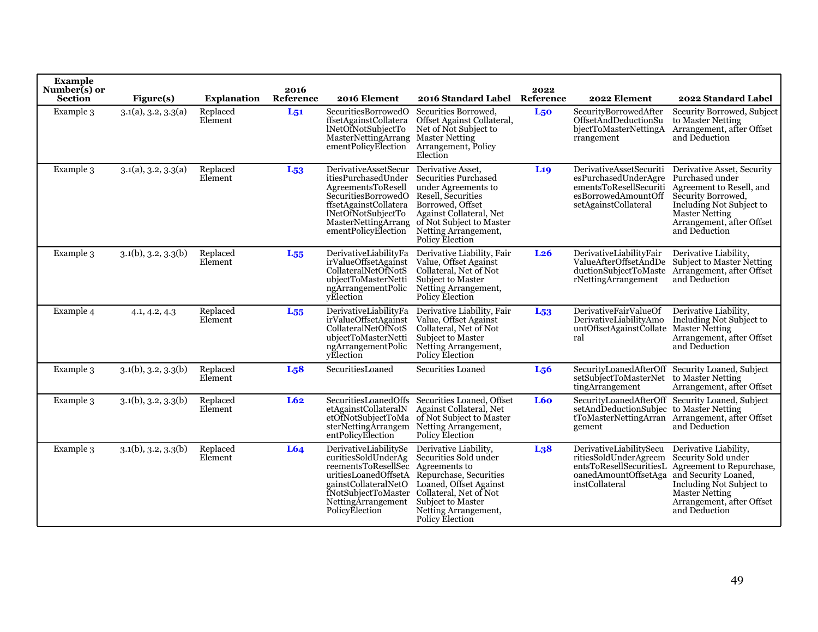| <b>Example</b><br>Number(s) or<br><b>Section</b> | Figure(s)                   | <b>Explanation</b>  | 2016<br>Reference | 2016 Element                                                                                                                                                                     | 2016 Standard Label                                                                                                                                                                                                                     | 2022<br>Reference | 2022 Element                                                                                                             | 2022 Standard Label                                                                                                                                                                          |
|--------------------------------------------------|-----------------------------|---------------------|-------------------|----------------------------------------------------------------------------------------------------------------------------------------------------------------------------------|-----------------------------------------------------------------------------------------------------------------------------------------------------------------------------------------------------------------------------------------|-------------------|--------------------------------------------------------------------------------------------------------------------------|----------------------------------------------------------------------------------------------------------------------------------------------------------------------------------------------|
| Example 3                                        | 3.1(a), 3.2, 3.3(a)         | Replaced<br>Element | $L_{51}$          | SecuritiesBorrowedO<br>ffsetAgainstCollatera<br>INetOfNotSubjectTo<br>MasterNettingArrang MasterNetting<br>ementPolicyElection                                                   | Securities Borrowed,<br>Offset Against Collateral,<br>Net of Not Subject to<br>Arrangement, Policy<br>Election                                                                                                                          | L <sub>50</sub>   | SecurityBorrowedAfter<br>OffsetAndDeductionSu<br>bjectToMasterNettingA<br>rrangement                                     | Security Borrowed, Subject<br>to Master Netting<br>Arrangement, after Offset<br>and Deduction                                                                                                |
| Example 3                                        | $3.1(a)$ , $3.2$ , $3.3(a)$ | Replaced<br>Element | $L_{53}$          | <b>DerivativeAssetSecur</b><br>itiesPurchasedUnder<br>AgreementsToResell<br>Securities BorrowedO<br>ffsetAgainstCollatera<br>lNetOfNotSubjectTo<br>ementPolicyElection           | Derivative Asset,<br><b>Securities Purchased</b><br>under Agreements to<br>Resell, Securities<br>Borrowed, Offset<br>Against Collateral, Net<br>MasterNettingArrang of Not Subject to Master<br>Netting Arrangement,<br>Policy Election | L <sub>19</sub>   | DerivativeAssetSecuriti<br>esPurchasedUnderAgre<br>ementsToResellSecuriti<br>esBorrowedAmountOff<br>setAgainstCollateral | Derivative Asset, Security<br>Purchased under<br>Agreement to Resell, and<br>Security Borrowed,<br>Including Not Subject to<br>Master Netting<br>Arrangement, after Offset<br>and Deduction  |
| Example 3                                        | $3.1(b)$ , $3.2$ , $3.3(b)$ | Replaced<br>Element | $L_{55}$          | DerivativeLiabilityFa<br>irValueOffsetAgainst<br>CollateralNetOfNotS<br>ubjectToMasterNetti<br>ngArrangementPolic<br>vElection                                                   | Derivative Liability, Fair<br>Value, Offset Against<br>Collateral, Net of Not<br>Subject to Master<br>Netting Arrangement,<br>Policy Election                                                                                           | L <sub>26</sub>   | DerivativeLiabilityFair<br>ValueAfterOffsetAndDe<br>ductionSubjectToMaste<br>rNettingArrangement                         | Derivative Liability,<br><b>Subject to Master Netting</b><br>Arrangement, after Offset<br>and Deduction                                                                                      |
| Example 4                                        | 4.1, 4.2, 4.3               | Replaced<br>Element | $L_{55}$          | DerivativeLiabilityFa<br>irValueOffsetAgainst<br>CollateralNetOfNotS<br>ubjectToMasterNetti<br>ngArrangementPolic<br>vElection                                                   | Derivative Liability, Fair<br>Value, Offset Against<br>Collateral, Net of Not<br><b>Subject to Master</b><br>Netting Arrangement,<br>Policy Election                                                                                    | L <sub>53</sub>   | DerivativeFairValueOf<br>DerivativeLiabilityAmo<br>untOffsetAgainstCollate<br>ral                                        | Derivative Liability,<br>Including Not Subject to<br>Master Netting<br>Arrangement, after Offset<br>and Deduction                                                                            |
| Example 3                                        | $3.1(b)$ , $3.2$ , $3.3(b)$ | Replaced<br>Element | L <sub>5</sub> 8  | SecuritiesLoaned                                                                                                                                                                 | Securities Loaned                                                                                                                                                                                                                       | L <sub>56</sub>   | setSubjectToMasterNet to Master Netting<br>tingArrangement                                                               | SecurityLoanedAfterOff Security Loaned, Subject<br>Arrangement, after Offset                                                                                                                 |
| Example 3                                        | $3.1(b)$ , $3.2$ , $3.3(b)$ | Replaced<br>Element | L62               | <b>SecuritiesLoanedOffs</b><br>etAgainstCollateralN<br>etOfNotSubjectToMa<br>sterNettingArrangem<br>entPolicyElection                                                            | Securities Loaned, Offset<br>Against Collateral, Net<br>of Not Subject to Master<br>Netting Arrangement,<br>Policy Election                                                                                                             | L60               | setAndDeductionSubjec<br>gement                                                                                          | SecurityLoanedAfterOff Security Loaned, Subject<br>to Master Netting<br>tToMasterNettingArran Arrangement, after Offset<br>and Deduction                                                     |
| Example 3                                        | $3.1(b)$ , $3.2$ , $3.3(b)$ | Replaced<br>Element | L64               | DerivativeLiabilitySe<br>curitiesSoldUnderAg<br>reementsToResellSec Agreements to<br>gainstCollateralNetO<br><i>i</i> NotSubjectToMaster<br>NettingArrangement<br>PolicyElection | Derivative Liability,<br>Securities Sold under<br>uritiesLoanedOffsetA Repurchase, Securities<br>Loaned, Offset Against<br>Collateral, Net of Not<br>Subject to Master<br>Netting Arrangement,<br>Policy Election                       | L <sub>3</sub> 8  | DerivativeLiabilitySecu<br>ritiesSoldUnderAgreem<br>entsToResellSecuritiesL<br>oanedAmountOffsetAga<br>instCollateral    | Derivative Liability,<br>Security Sold under<br>Agreement to Repurchase,<br>and Security Loaned,<br>Including Not Subject to<br>Master Netting<br>Arrangement, after Offset<br>and Deduction |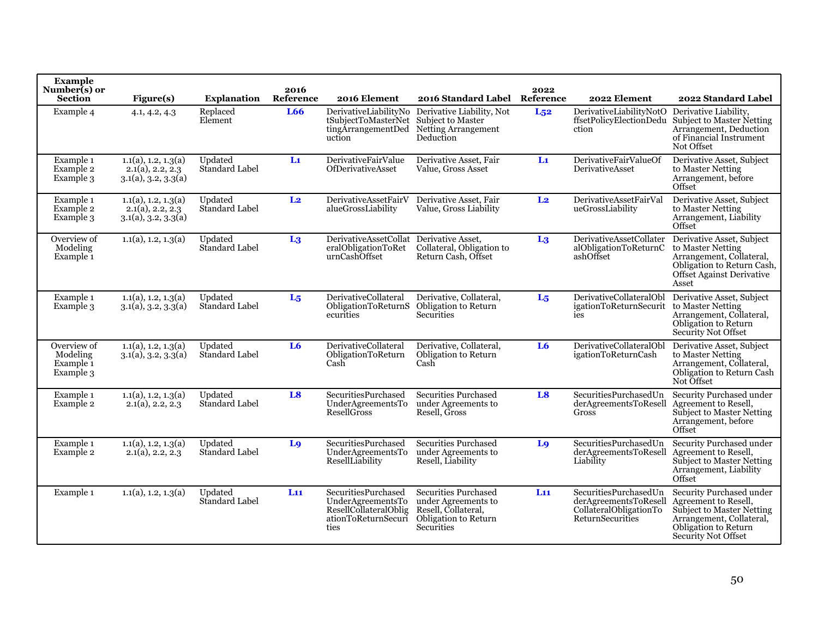| Example<br>Number(s) or<br><b>Section</b>                    | Figure(s)                                                           | <b>Explanation</b>               | 2016<br>Reference | 2016 Element                                                                                            | 2016 Standard Label Reference                                                                                   | 2022           | 2022 Element                                                                                 | 2022 Standard Label                                                                                                                                             |
|--------------------------------------------------------------|---------------------------------------------------------------------|----------------------------------|-------------------|---------------------------------------------------------------------------------------------------------|-----------------------------------------------------------------------------------------------------------------|----------------|----------------------------------------------------------------------------------------------|-----------------------------------------------------------------------------------------------------------------------------------------------------------------|
| Example 4                                                    | 4.1, 4.2, 4.3                                                       | Replaced<br>Element              | <b>L66</b>        | tSubjectToMasterNet<br>tingArrangementDed<br>uction                                                     | DerivativeLiabilityNo Derivative Liability, Not<br>Subject to Master<br>Netting Arrangement<br>Deduction        | $L_{52}$       | DerivativeLiabilityNotO<br>ffsetPolicyElectionDedu<br>ction                                  | Derivative Liability.<br>Subject to Master Netting<br>Arrangement, Deduction<br>of Financial Instrument<br>Not Offset                                           |
| Example 1<br>Example 2<br>Example 3                          | 1.1(a), 1.2, 1.3(a)<br>$2.1(a)$ , $2.2, 2.3$<br>3.1(a), 3.2, 3.3(a) | Updated<br>Standard Label        | $\mathbf{L}$      | DerivativeFairValue<br><b>OfDerivativeAsset</b>                                                         | Derivative Asset, Fair<br>Value, Gross Asset                                                                    | $\mathbf{L}$   | DerivativeFairValueOf<br>DerivativeAsset                                                     | Derivative Asset, Subject<br>to Master Netting<br>Arrangement, before<br>Offset                                                                                 |
| Example 1<br>Example 2<br>Example 3                          | 1.1(a), 1.2, 1.3(a)<br>$2.1(a)$ , 2.2, 2.3<br>3.1(a), 3.2, 3.3(a)   | Updated<br>Standard Label        | L <sub>2</sub>    | DerivativeAssetFairV<br>alueGrossLiability                                                              | Derivative Asset, Fair<br>Value, Gross Liability                                                                | L <sub>2</sub> | DerivativeAssetFairVal<br>ueGrossLiability                                                   | Derivative Asset, Subject<br>to Master Netting<br>Arrangement, Liability<br>Offset                                                                              |
| Overview of<br>Modeling<br>Example <sub>1</sub>              | 1.1(a), 1.2, 1.3(a)                                                 | Updated<br>Standard Label        | L <sub>3</sub>    | DerivativeAssetCollat Derivative Asset,<br>eralObligationToRet<br>urnCashOffset                         | Collateral, Obligation to<br>Return Cash, Offset                                                                | L <sub>3</sub> | DerivativeAssetCollater<br>alObligationToReturnC<br>ashOffset                                | Derivative Asset, Subject<br>to Master Netting<br>Arrangement, Collateral,<br>Obligation to Return Cash,<br>Offset Against Derivative<br>Asset                  |
| Example 1<br>Example 3                                       | 1.1(a), 1.2, 1.3(a)<br>3.1(a), 3.2, 3.3(a)                          | Updated<br>Standard Label        | $L_5$             | DerivativeCollateral<br>ObligationToReturnS<br>ecurities                                                | Derivative, Collateral,<br><b>Obligation to Return</b><br>Securities                                            | L <sub>5</sub> | DerivativeCollateralObl<br>igationToReturnSecurit to Master Netting<br>ies                   | Derivative Asset, Subject<br>Arrangement, Collateral,<br>Obligation to Return<br>Security Not Offset                                                            |
| Overview of<br>Modeling<br>Example <sub>1</sub><br>Example 3 | 1.1(a), 1.2, 1.3(a)<br>$3.1(a)$ , $3.2$ , $3.3(a)$                  | Updated<br>Standard Label        | L6                | DerivativeCollateral<br>ObligationToReturn<br>Cash                                                      | Derivative, Collateral,<br>Obligation to Return<br>Cash                                                         | L6             | DerivativeCollateralObl<br>igationToReturnCash                                               | Derivative Asset, Subject<br>to Master Netting<br>Arrangement, Collateral,<br>Obligation to Return Cash<br>Not Offset                                           |
| Example 1<br>Example 2                                       | 1.1(a), 1.2, 1.3(a)<br>$2.1(a)$ , 2.2, 2.3                          | Updated<br><b>Standard Label</b> | L8                | <b>SecuritiesPurchased</b><br>UnderAgreementsTo<br>ResellGross                                          | <b>Securities Purchased</b><br>under Agreements to<br>Resell, Gross                                             | L8             | SecuritiesPurchasedUn<br>derAgreementsToResell<br>Gross                                      | Security Purchased under<br>Agreement to Resell,<br>Subject to Master Netting<br>Arrangement, before<br>Offset                                                  |
| Example 1<br>Example 2                                       | 1.1(a), 1.2, 1.3(a)<br>$2.1(a)$ , 2.2, 2.3                          | Updated<br>Standard Label        | L <sub>9</sub>    | <b>SecuritiesPurchased</b><br>UnderAgreementsTo<br>ResellLiability                                      | Securities Purchased<br>under Agreements to<br>Resell, Liability                                                | Lo             | SecuritiesPurchasedUn<br>derAgreementsToResell Agreement to Resell.<br>Liability             | Security Purchased under<br>Subject to Master Netting<br>Arrangement, Liability<br>Offset                                                                       |
| Example 1                                                    | 1.1(a), 1.2, 1.3(a)                                                 | Updated<br>Standard Label        | L11               | <b>SecuritiesPurchased</b><br>UnderAgreementsTo<br>ResellCollateralOblig<br>ationToReturnSecuri<br>ties | <b>Securities Purchased</b><br>under Agreements to<br>Resell, Collateral,<br>Obligation to Return<br>Securities | L11            | SecuritiesPurchasedUn<br>derAgreementsToResell<br>CollateralObligationTo<br>ReturnSecurities | Security Purchased under<br>Agreement to Resell,<br>Subject to Master Netting<br>Arrangement, Collateral,<br>Obligation to Return<br><b>Security Not Offset</b> |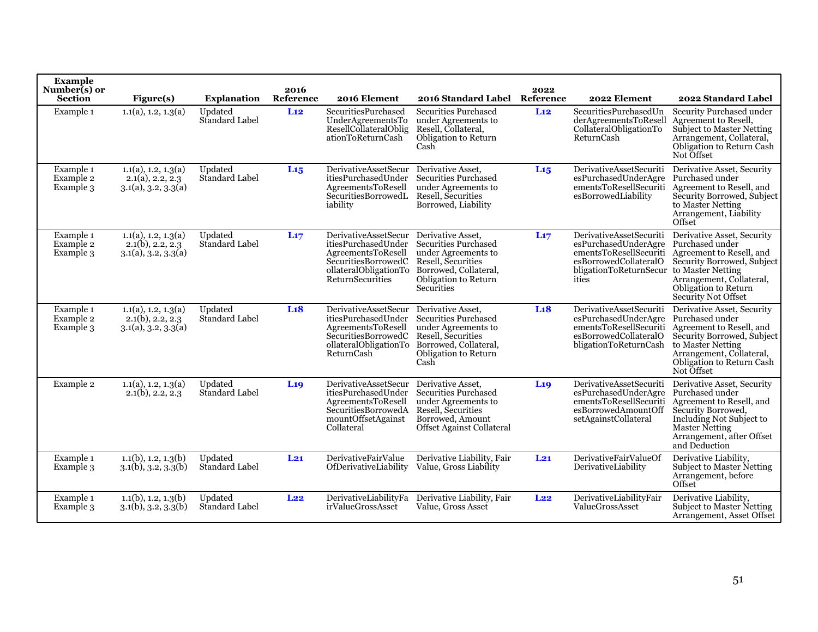| <b>Example</b><br>Number(s) or<br><b>Section</b> | Figure(s)                                                           | <b>Explanation</b>               | 2016<br>Reference | 2016 Element                                                                                                                                        | 2016 Standard Label                                                                                                                                                 | 2022<br>Reference | 2022 Element                                                                                                                                            | 2022 Standard Label                                                                                                                                                                                 |
|--------------------------------------------------|---------------------------------------------------------------------|----------------------------------|-------------------|-----------------------------------------------------------------------------------------------------------------------------------------------------|---------------------------------------------------------------------------------------------------------------------------------------------------------------------|-------------------|---------------------------------------------------------------------------------------------------------------------------------------------------------|-----------------------------------------------------------------------------------------------------------------------------------------------------------------------------------------------------|
| Example 1                                        | 1.1(a), 1.2, 1.3(a)                                                 | Updated<br>Standard Label        | Li <sub>2</sub>   | <b>SecuritiesPurchased</b><br>UnderAgreementsTo<br><b>ResellCollateralOblig</b><br>ationToReturnCash                                                | <b>Securities Purchased</b><br>under Agreements to<br>Resell, Collateral,<br>Obligation to Return<br>Cash                                                           | Li <sub>2</sub>   | SecuritiesPurchasedUn<br>derAgreementsToResell<br>CollateralObligationTo<br>ReturnCash                                                                  | Security Purchased under<br>Agreement to Resell,<br>Subject to Master Netting<br>Arrangement, Collateral,<br><b>Obligation to Return Cash</b><br>Not Offset                                         |
| Example 1<br>Example 2<br>Example 3              | 1.1(a), 1.2, 1.3(a)<br>$2.1(a)$ , 2.2, 2.3<br>3.1(a), 3.2, 3.3(a)   | Updated<br>Standard Label        | L15               | <b>DerivativeAssetSecur</b><br>itiesPurchasedUnder<br>AgreementsToResell<br>SecuritiesBorrowedL<br>iability                                         | Derivative Asset.<br><b>Securities Purchased</b><br>under Agreements to<br>Resell, Securities<br>Borrowed, Liability                                                | L <sub>15</sub>   | DerivativeAssetSecuriti<br>esPurchasedUnderAgre<br>ementsToResellSecuriti<br>esBorrowedLiability                                                        | Derivative Asset, Security<br>Purchased under<br>Agreement to Resell, and<br>Security Borrowed, Subject<br>to Master Netting<br>Arrangement, Liability<br>Offset                                    |
| Example 1<br>Example 2<br>Example 3              | 1.1(a), 1.2, 1.3(a)<br>$2.1(b)$ , $2.2, 2.3$<br>3.1(a), 3.2, 3.3(a) | Updated<br>Standard Label        | L17               | DerivativeAssetSecur<br>itiesPurchasedUnder<br>AgreementsToResell<br>Securities Borrowed C<br>ollateralObligationTo<br>ReturnSecurities             | Derivative Asset.<br><b>Securities Purchased</b><br>under Agreements to<br>Resell, Securities<br>Borrowed, Collateral,<br>Obligation to Return<br><b>Securities</b> | L17               | DerivativeAssetSecuriti<br>esPurchasedUnderAgre<br>ementsToResellSecuriti<br>esBorrowedCollateralO<br>bligationToReturnSecur to Master Netting<br>ities | Derivative Asset, Security<br>Purchased under<br>Agreement to Resell, and<br>Security Borrowed, Subject<br>Arrangement, Collateral,<br>Obligation to Return<br><b>Security Not Offset</b>           |
| Example 1<br>Example 2<br>Example 3              | 1.1(a), 1.2, 1.3(a)<br>$2.1(b)$ , 2.2, 2.3<br>3.1(a), 3.2, 3.3(a)   | Updated<br>Standard Label        | L <sub>18</sub>   | DerivativeAssetSecur Derivative Asset.<br>itiesPurchasedUnder<br>AgreementsToResell<br>Securities Borrowed C<br>ollateralObligationTo<br>ReturnCash | <b>Securities Purchased</b><br>under Agreements to<br>Resell, Securities<br>Borrowed, Collateral,<br>Obligation to Return<br>Cash                                   | Li8               | DerivativeAssetSecuriti<br>esPurchasedUnderAgre<br>ementsToResellSecuriti<br>esBorrowedCollateralO<br>bligationToReturnCash                             | Derivative Asset, Security<br>Purchased under<br>Agreement to Resell, and<br>Security Borrowed, Subject<br>to Master Netting<br>Arrangement, Collateral,<br>Obligation to Return Cash<br>Not Offset |
| Example 2                                        | 1.1(a), 1.2, 1.3(a)<br>$2.1(b)$ , 2.2, 2.3                          | Updated<br>Standard Label        | L <sub>19</sub>   | <b>DerivativeAssetSecur</b><br>itiesPurchasedUnder<br>AgreementsToResell<br>SecuritiesBorrowedA<br>mountOffsetAgainst<br>Collateral                 | Derivative Asset,<br><b>Securities Purchased</b><br>under Agreements to<br>Resell, Securities<br>Borrowed, Amount<br>Offset Against Collateral                      | L <sub>19</sub>   | DerivativeAssetSecuriti<br>esPurchasedUnderAgre<br>ementsToResellSecuriti<br>esBorrowedAmountOff<br>setAgainstCollateral                                | Derivative Asset, Security<br>Purchased under<br>Agreement to Resell, and<br>Security Borrowed,<br>Including Not Subject to<br>Master Netting<br>Arrangement, after Offset<br>and Deduction         |
| Example 1<br>Example 3                           | $1.1(b)$ , 1.2, 1.3(b)<br>$3.1(b)$ , $3.2$ , $3.3(b)$               | Updated<br><b>Standard Label</b> | $L_{21}$          | DerivativeFairValue<br>OfDerivativeLiability                                                                                                        | Derivative Liability, Fair<br>Value, Gross Liability                                                                                                                | $L_{21}$          | DerivativeFairValueOf<br>DerivativeLiability                                                                                                            | Derivative Liability,<br><b>Subject to Master Netting</b><br>Arrangement, before<br>Offset                                                                                                          |
| Example 1<br>Example 3                           | $1.1(b)$ , 1.2, 1.3(b)<br>$3.1(b)$ , $3.2$ , $3.3(b)$               | Updated<br>Standard Label        | $L_{22}$          | DerivativeLiabilityFa<br>irValueGrossAsset                                                                                                          | Derivative Liability, Fair<br>Value, Gross Asset                                                                                                                    | L22               | DerivativeLiabilityFair<br>ValueGrossAsset                                                                                                              | Derivative Liability,<br>Subject to Master Netting<br>Arrangement, Asset Offset                                                                                                                     |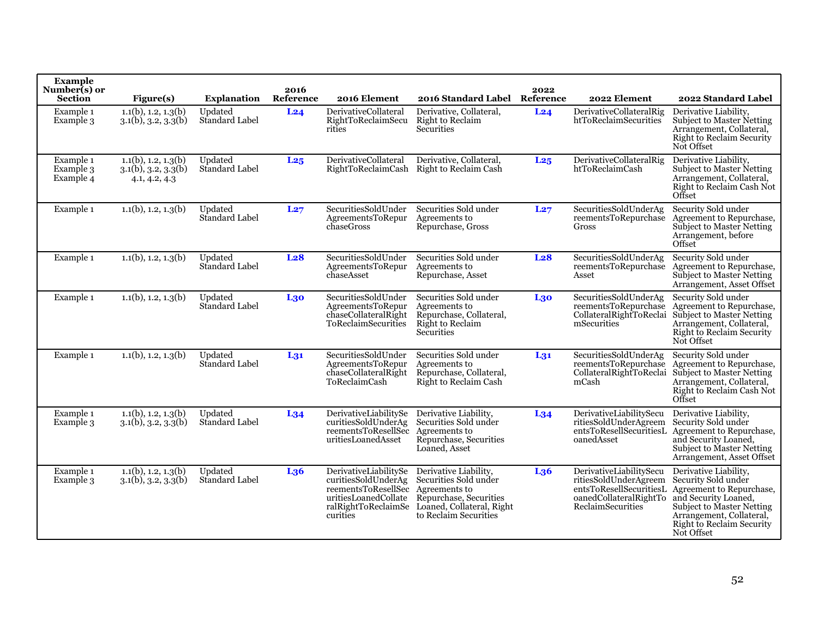| <b>Example</b><br>Number(s) or<br><b>Section</b> | Figure(s)                                                              | <b>Explanation</b>        | 2016<br>Reference | 2016 Element                                                                                            | 2016 Standard Label                                                                                                                                                 | 2022<br>Reference | 2022 Element                                                                                                               | 2022 Standard Label                                                                                                                                                                                         |
|--------------------------------------------------|------------------------------------------------------------------------|---------------------------|-------------------|---------------------------------------------------------------------------------------------------------|---------------------------------------------------------------------------------------------------------------------------------------------------------------------|-------------------|----------------------------------------------------------------------------------------------------------------------------|-------------------------------------------------------------------------------------------------------------------------------------------------------------------------------------------------------------|
| Example 1<br>Example 3                           | $1.1(b)$ , 1.2, 1.3(b)<br>$3.1(b)$ , $3.2$ , $3.3(b)$                  | Updated<br>Standard Label | L24               | DerivativeCollateral<br>RightToReclaimSecu<br>rities                                                    | Derivative, Collateral,<br>Right to Reclaim<br>Securities                                                                                                           | L24               | DerivativeCollateralRig<br>htToReclaimSecurities                                                                           | Derivative Liability,<br><b>Subject to Master Netting</b><br>Arrangement, Collateral,<br>Right to Reclaim Security<br>Not Offset                                                                            |
| Example 1<br>Example 3<br>Example 4              | $1.1(b)$ , 1.2, 1.3(b)<br>$3.1(b)$ , $3.2$ , $3.3(b)$<br>4.1, 4.2, 4.3 | Updated<br>Standard Label | L <sub>25</sub>   | <b>DerivativeCollateral</b><br><b>RightToReclaimCash</b>                                                | Derivative, Collateral,<br>Right to Reclaim Cash                                                                                                                    | L25               | DerivativeCollateralRig<br>htToReclaimCash                                                                                 | Derivative Liability,<br>Subject to Master Netting<br>Arrangement, Collateral,<br>Right to Reclaim Cash Not<br>Offset                                                                                       |
| Example 1                                        | $1.1(b)$ , 1.2, 1.3(b)                                                 | Updated<br>Standard Label | L27               | SecuritiesSoldUnder<br>AgreementsToRepur<br>chaseGross                                                  | Securities Sold under<br>Agreements to<br>Repurchase, Gross                                                                                                         | L27               | SecuritiesSoldUnderAg<br>reementsToRepurchase<br>Gross                                                                     | Security Sold under<br>Agreement to Repurchase,<br>Subject to Master Netting<br>Arrangement, before<br>Offset                                                                                               |
| Example 1                                        | $1.1(b)$ , 1.2, 1.3(b)                                                 | Updated<br>Standard Label | L <sub>28</sub>   | SecuritiesSoldUnder<br>AgreementsToRepur<br>chaseAsset                                                  | Securities Sold under<br>Agreements to<br>Repurchase, Asset                                                                                                         | L <sub>28</sub>   | SecuritiesSoldUnderAg<br>reementsToRepurchase<br>Asset                                                                     | Security Sold under<br>Agreement to Repurchase,<br>Subject to Master Netting<br>Arrangement, Asset Offset                                                                                                   |
| Example 1                                        | $1.1(b)$ , 1.2, 1.3(b)                                                 | Updated<br>Standard Label | L30               | SecuritiesSoldUnder<br>AgreementsToRepur<br>chaseCollateralRight<br>ToReclaimSecurities                 | Securities Sold under<br>Agreements to<br>Repurchase, Collateral,<br>Right to Reclaim<br>Securities                                                                 | L30               | SecuritiesSoldUnderAg<br>reementsToRepurchase<br>CollateralRightToReclai<br>mSecurities                                    | Security Sold under<br>Agreement to Repurchase,<br>Subject to Master Netting<br>Arrangement, Collateral,<br>Right to Reclaim Security<br>Not Offset                                                         |
| Example 1                                        | $1.1(b)$ , 1.2, 1.3(b)                                                 | Updated<br>Standard Label | $L_{31}$          | SecuritiesSoldUnder<br>AgreementsToRepur<br>chaseCollateralRight<br>ToReclaimCash                       | Securities Sold under<br>Agreements to<br>Repurchase, Collateral,<br>Right to Reclaim Cash                                                                          | $L_{31}$          | SecuritiesSoldUnderAg<br>reementsToRepurchase<br>CollateralRightToReclai<br>mCash                                          | Security Sold under<br>Agreement to Repurchase,<br>Subject to Master Netting<br>Arrangement, Collateral,<br>Right to Reclaim Cash Not<br>Offset                                                             |
| Example 1<br>Example 3                           | $1.1(b)$ , 1.2, 1.3(b)<br>(3.1(b), 3.2, 3.3(b))                        | Updated<br>Standard Label | L <sub>34</sub>   | DerivativeLiabilitySe<br>curitiesSoldUnderAg<br>reementsToResellSec<br>uritiesLoanedAsset               | Derivative Liability,<br>Securities Sold under<br>Agreements to<br>Repurchase, Securities<br>Loaned, Asset                                                          | $L_{34}$          | DerivativeLiabilitySecu<br>ritiesSoldUnderAgreem<br>entsToResellSecuritiesL<br>oanedAsset                                  | Derivative Liability.<br>Security Sold under<br>Agreement to Repurchase,<br>and Security Loaned,<br>Subject to Master Netting<br>Arrangement, Asset Offset                                                  |
| Example 1<br>Example 3                           | $1.1(b)$ , 1.2, 1.3(b)<br>$3.1(b)$ , $3.2$ , $3.3(b)$                  | Updated<br>Standard Label | L <sub>36</sub>   | DerivativeLiabilitySe<br>curitiesSoldUnderAg<br>reementsToResellSec<br>uritiesLoanedCollate<br>curities | Derivative Liability,<br>Securities Sold under<br>Agreements to<br>Repurchase, Securities<br>ralRightToReclaimSe Loaned, Collateral, Right<br>to Reclaim Securities | L <sub>36</sub>   | DerivativeLiabilitySecu<br>ritiesSoldUnderAgreem<br>entsToResellSecuritiesL<br>oanedCollateralRightTo<br>ReclaimSecurities | Derivative Liability,<br>Security Sold under<br>Agreement to Repurchase,<br>and Security Loaned,<br><b>Subject to Master Netting</b><br>Arrangement, Collateral,<br>Right to Reclaim Security<br>Not Offset |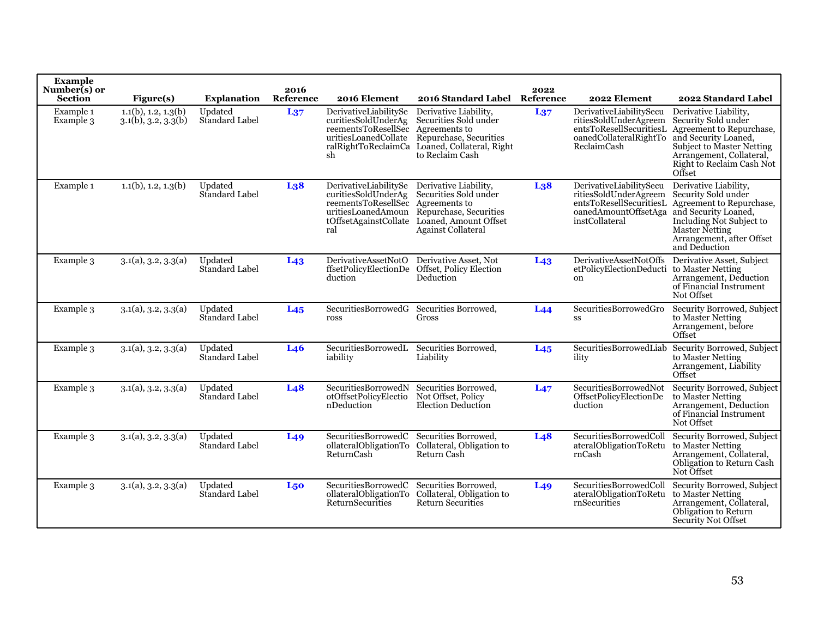| <b>Example</b><br>Number(s) or<br><b>Section</b> | Figure(s)                                             | <b>Explanation</b>        | 2016<br>Reference | 2016 Element                                                                                                    | 2016 Standard Label Reference                                                                                                                                           | 2022             | 2022 Element                                                                                                                               | 2022 Standard Label                                                                                                                                                                              |
|--------------------------------------------------|-------------------------------------------------------|---------------------------|-------------------|-----------------------------------------------------------------------------------------------------------------|-------------------------------------------------------------------------------------------------------------------------------------------------------------------------|------------------|--------------------------------------------------------------------------------------------------------------------------------------------|--------------------------------------------------------------------------------------------------------------------------------------------------------------------------------------------------|
| Example 1<br>Example 3                           | $1.1(b)$ , 1.2, 1.3(b)<br>$3.1(b)$ , $3.2$ , $3.3(b)$ | Updated<br>Standard Label | $L_{37}$          | DerivativeLiabilitySe<br>curitiesSoldUnderAg<br>reementsToResellSec Agreements to<br>uritiesLoanedCollate<br>sh | Derivative Liability,<br>Securities Sold under<br>Repurchase, Securities<br>ralRightToReclaimCa Loaned, Collateral, Right<br>to Reclaim Cash                            | $L_{37}$         | DerivativeLiabilitySecu<br>ritiesSoldUnderAgreem<br>entsToResellSecuritiesL<br>oanedCollateralRightTo<br><b>ReclaimCash</b>                | Derivative Liability,<br>Security Sold under<br>Agreement to Repurchase,<br>and Security Loaned,<br>Subject to Master Netting<br>Arrangement, Collateral,<br>Right to Reclaim Cash Not<br>Offset |
| Example 1                                        | $1.1(b)$ , 1.2, 1.3(b)                                | Updated<br>Standard Label | L <sub>38</sub>   | DerivativeLiabilitySe<br>curitiesSoldUnderAg<br>reementsToResellSec Agreements to<br>ral                        | Derivative Liability,<br>Securities Sold under<br>uritiesLoanedAmoun Repurchase, Securities<br>tOffsetAgainstCollate Loaned, Amount Offset<br><b>Against Collateral</b> | L <sub>3</sub> 8 | DerivativeLiabilitySecu<br>ritiesSoldUnderAgreem<br>entsToResellSecuritiesL<br>oanedAmountOffsetAga and Security Loaned,<br>instCollateral | Derivative Liability,<br>Security Sold under<br>Agreement to Repurchase,<br>Including Not Subject to<br><b>Master Netting</b><br>Arrangement, after Offset<br>and Deduction                      |
| Example 3                                        | 3.1(a), 3.2, 3.3(a)                                   | Updated<br>Standard Label | L <sub>43</sub>   | DerivativeAssetNotO<br>duction                                                                                  | Derivative Asset, Not<br>ffsetPolicyElectionDe Offset, Policy Election<br>Deduction                                                                                     | L <sub>43</sub>  | <b>DerivativeAssetNotOffs</b><br>etPolicyElectionDeducti to Master Netting<br>on                                                           | Derivative Asset, Subject<br>Arrangement, Deduction<br>of Financial Instrument<br>Not Offset                                                                                                     |
| Example 3                                        | 3.1(a), 3.2, 3.3(a)                                   | Updated<br>Standard Label | $L_{45}$          | SecuritiesBorrowedG<br>ross                                                                                     | Securities Borrowed,<br>Gross                                                                                                                                           | L44              | SecuritiesBorrowedGro<br>SS                                                                                                                | Security Borrowed, Subject<br>to Master Netting<br>Arrangement, before<br>Offset                                                                                                                 |
| Example 3                                        | 3.1(a), 3.2, 3.3(a)                                   | Updated<br>Standard Label | L <sub>46</sub>   | SecuritiesBorrowedL Securities Borrowed,<br>iability                                                            | Liability                                                                                                                                                               | L <sub>45</sub>  | SecuritiesBorrowedLiab<br>ility                                                                                                            | Security Borrowed, Subject<br>to Master Netting<br>Arrangement, Liability<br>Offset                                                                                                              |
| Example 3                                        | 3.1(a), 3.2, 3.3(a)                                   | Updated<br>Standard Label | L <sub>48</sub>   | SecuritiesBorrowedN Securities Borrowed,<br>otOffsetPolicyElectio<br>nDeduction                                 | Not Offset, Policy<br>Election Deduction                                                                                                                                | L47              | SecuritiesBorrowedNot<br>OffsetPolicyElectionDe<br>duction                                                                                 | Security Borrowed, Subject<br>to Master Netting<br>Arrangement, Deduction<br>of Financial Instrument<br>Not Offset                                                                               |
| Example 3                                        | 3.1(a), 3.2, 3.3(a)                                   | Updated<br>Standard Label | L <sub>49</sub>   | SecuritiesBorrowedC Securities Borrowed,<br>ReturnCash                                                          | ollateralObligationTo Collateral, Obligation to<br>Return Cash                                                                                                          | L48              | SecuritiesBorrowedColl<br>ateralObligationToRetu<br>rnCash                                                                                 | Security Borrowed, Subject<br>to Master Netting<br>Arrangement, Collateral,<br>Obligation to Return Cash<br>Not Offset                                                                           |
| Example 3                                        | 3.1(a), 3.2, 3.3(a)                                   | Updated<br>Standard Label | L <sub>50</sub>   | SecuritiesBorrowedC Securities Borrowed,<br>ReturnSecurities                                                    | ollateralObligationTo Collateral, Obligation to<br>Return Securities                                                                                                    | L <sub>49</sub>  | SecuritiesBorrowedColl<br>ateralObligationToRetu<br>rnSecurities                                                                           | Security Borrowed, Subject<br>to Master Netting<br>Arrangement, Collateral,<br>Obligation to Return<br><b>Security Not Offset</b>                                                                |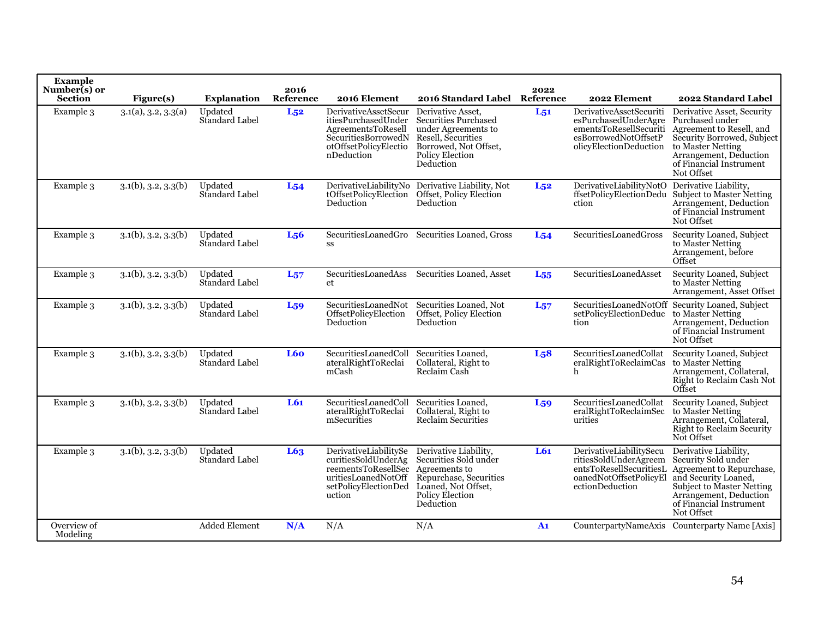| <b>Example</b><br>Number(s) or<br><b>Section</b> | Figure(s)                   | <b>Explanation</b>        | 2016<br>Reference | 2016 Element                                                                                                                               | 2016 Standard Label Reference                                                                                                                          | 2022             | 2022 Element                                                                                                                | 2022 Standard Label                                                                                                                                                                              |
|--------------------------------------------------|-----------------------------|---------------------------|-------------------|--------------------------------------------------------------------------------------------------------------------------------------------|--------------------------------------------------------------------------------------------------------------------------------------------------------|------------------|-----------------------------------------------------------------------------------------------------------------------------|--------------------------------------------------------------------------------------------------------------------------------------------------------------------------------------------------|
| Example 3                                        | 3.1(a), 3.2, 3.3(a)         | Updated<br>Standard Label | $L_{52}$          | DerivativeAssetSecur<br>itiesPurchasedUnder<br>AgreementsToResell<br>SecuritiesBorrowedN<br>otOffsetPolicyElectio<br>nDeduction            | Derivative Asset.<br><b>Securities Purchased</b><br>under Agreements to<br>Resell, Securities<br>Borrowed, Not Offset,<br>Policy Election<br>Deduction | $L_{51}$         | DerivativeAssetSecuriti<br>esPurchasedUnderAgre<br>ementsToResellSecuriti<br>esBorrowedNotOffsetP<br>olicyElectionDeduction | Derivative Asset, Security<br>Purchased under<br>Agreement to Resell, and<br>Security Borrowed, Subject<br>to Master Netting<br>Arrangement, Deduction<br>of Financial Instrument<br>Not Offset  |
| Example 3                                        | $3.1(b)$ , $3.2$ , $3.3(b)$ | Updated<br>Standard Label | $L_{54}$          | Deduction                                                                                                                                  | DerivativeLiabilityNo Derivative Liability, Not<br>tOffsetPolicyElection Offset, Policy Election<br>Deduction                                          | $L_{52}$         | DerivativeLiabilityNotO<br>ffsetPolicyElectionDedu<br>ction                                                                 | Derivative Liability,<br>Subject to Master Netting<br>Arrangement, Deduction<br>of Financial Instrument<br>Not Offset                                                                            |
| Example 3                                        | $3.1(b)$ , $3.2$ , $3.3(b)$ | Updated<br>Standard Label | $L_{56}$          | $_{\rm SS}$                                                                                                                                | Securities Loaned Gro Securities Loaned, Gross                                                                                                         | $L_{54}$         | SecuritiesLoanedGross                                                                                                       | Security Loaned, Subject<br>to Master Netting<br>Arrangement, before<br>Offset                                                                                                                   |
| Example 3                                        | $3.1(b)$ , $3.2$ , $3.3(b)$ | Updated<br>Standard Label | $L_{57}$          | et                                                                                                                                         | SecuritiesLoanedAss Securities Loaned, Asset                                                                                                           | L <sub>55</sub>  | SecuritiesLoanedAsset                                                                                                       | Security Loaned, Subject<br>to Master Netting<br>Arrangement, Asset Offset                                                                                                                       |
| Example 3                                        | $3.1(b)$ , $3.2$ , $3.3(b)$ | Updated<br>Standard Label | $L_{59}$          | SecuritiesLoanedNot<br>OffsetPolicyElection<br>Deduction                                                                                   | Securities Loaned, Not<br>Offset, Policy Election<br>Deduction                                                                                         | $L_{57}$         | setPolicyElectionDeduc<br>tion                                                                                              | SecuritiesLoanedNotOff Security Loaned, Subject<br>to Master Netting<br>Arrangement, Deduction<br>of Financial Instrument<br>Not Offset                                                          |
| Example 3                                        | $3.1(b)$ , $3.2$ , $3.3(b)$ | Updated<br>Standard Label | <b>L60</b>        | SecuritiesLoanedColl<br>ateralRightToReclai<br>mCash                                                                                       | Securities Loaned,<br>Collateral, Right to<br>Reclaim Cash                                                                                             | L <sub>5</sub> 8 | SecuritiesLoanedCollat<br>eralRightToReclaimCas<br>h                                                                        | Security Loaned, Subject<br>to Master Netting<br>Arrangement, Collateral,<br>Right to Reclaim Cash Not<br>Offset                                                                                 |
| Example 3                                        | $3.1(b)$ , $3.2$ , $3.3(b)$ | Updated<br>Standard Label | L61               | SecuritiesLoanedColl<br>ateralRightToReclai<br>mSecurities                                                                                 | Securities Loaned.<br>Collateral, Right to<br>Reclaim Securities                                                                                       | L <sub>59</sub>  | SecuritiesLoanedCollat<br>eralRightToReclaimSec<br>urities                                                                  | Security Loaned, Subject<br>to Master Netting<br>Arrangement, Collateral,<br>Right to Reclaim Security<br>Not Offset                                                                             |
| Example 3                                        | $3.1(b)$ , $3.2$ , $3.3(b)$ | Updated<br>Standard Label | L63               | DerivativeLiabilitySe<br>curitiesSoldUnderAg<br>reementsToResellSec Agreements to<br>uritiesLoanedNotOff<br>setPolicyElectionDed<br>uction | Derivative Liability,<br>Securities Sold under<br>Repurchase, Securities<br>Loaned, Not Offset,<br>Policy Election<br>Deduction                        | L61              | DerivativeLiabilitySecu<br>ritiesSoldUnderAgreem<br>entsToResellSecuritiesL<br>oanedNotOffsetPolicyEl<br>ectionDeduction    | Derivative Liability,<br>Security Sold under<br>Agreement to Repurchase,<br>and Security Loaned,<br>Subject to Master Netting<br>Arrangement, Deduction<br>of Financial Instrument<br>Not Offset |
| Overview of<br>Modeling                          |                             | <b>Added Element</b>      | N/A               | N/A                                                                                                                                        | N/A                                                                                                                                                    | A <sub>1</sub>   |                                                                                                                             | CounterpartyNameAxis Counterparty Name [Axis]                                                                                                                                                    |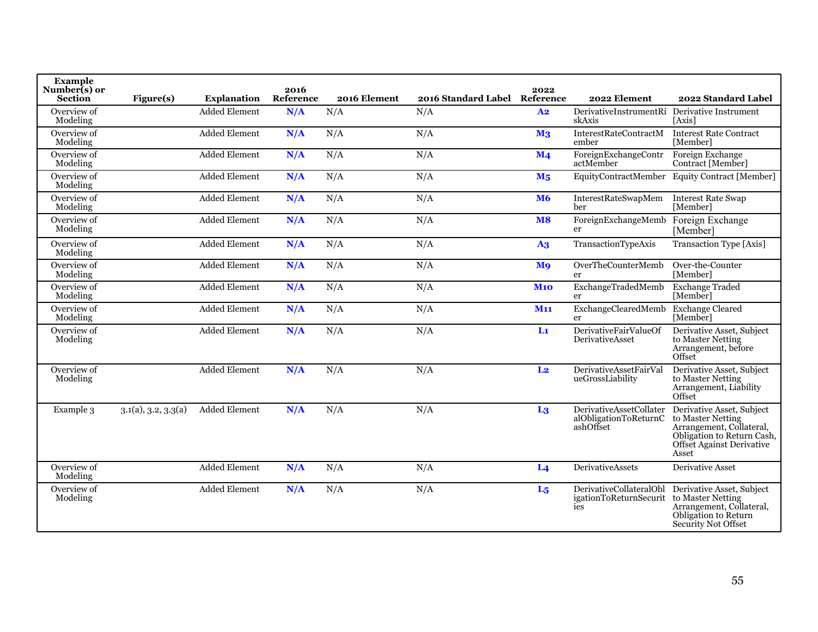| <b>Example</b><br>Number(s) or<br><b>Section</b> | Figure(s)           | <b>Explanation</b>   | 2016<br>Reference | 2016 Element | 2016 Standard Label Reference | 2022                  | 2022 Element                                                  | 2022 Standard Label                                                                                                                            |
|--------------------------------------------------|---------------------|----------------------|-------------------|--------------|-------------------------------|-----------------------|---------------------------------------------------------------|------------------------------------------------------------------------------------------------------------------------------------------------|
| Overview of<br>Modeling                          |                     | <b>Added Element</b> | N/A               | N/A          | N/A                           | A <sub>2</sub>        | DerivativeInstrumentRi<br>skAxis                              | Derivative Instrument<br>[Axis]                                                                                                                |
| Overview of<br>Modeling                          |                     | Added Element        | N/A               | N/A          | N/A                           | M <sub>3</sub>        | InterestRateContractM<br>ember                                | <b>Interest Rate Contract</b><br>[Member]                                                                                                      |
| Overview of<br>Modeling                          |                     | <b>Added Element</b> | N/A               | N/A          | N/A                           | $\mathbf{M}$ 4        | ForeignExchangeContr<br>actMember                             | Foreign Exchange<br>Contract [Member]                                                                                                          |
| Overview of<br>Modeling                          |                     | <b>Added Element</b> | N/A               | N/A          | N/A                           | M <sub>5</sub>        |                                                               | EquityContractMember Equity Contract [Member]                                                                                                  |
| Overview of<br>Modeling                          |                     | <b>Added Element</b> | N/A               | N/A          | N/A                           | <b>M6</b>             | InterestRateSwapMem<br>ber.                                   | <b>Interest Rate Swap</b><br>[Member]                                                                                                          |
| Overview of<br>Modeling                          |                     | <b>Added Element</b> | N/A               | N/A          | N/A                           | <b>M8</b>             | ForeignExchangeMemb<br>er                                     | Foreign Exchange<br>[Member]                                                                                                                   |
| Overview of<br>Modeling                          |                     | <b>Added Element</b> | N/A               | N/A          | N/A                           | $\overline{A3}$       | TransactionTypeAxis                                           | Transaction Type [Axis]                                                                                                                        |
| Overview of<br>Modeling                          |                     | <b>Added Element</b> | N/A               | N/A          | N/A                           | <b>M</b> <sub>9</sub> | OverTheCounterMemb<br>er                                      | Over-the-Counter<br>[Member]                                                                                                                   |
| Overview of<br>Modeling                          |                     | <b>Added Element</b> | N/A               | N/A          | N/A                           | <b>M10</b>            | ExchangeTradedMemb<br>er                                      | <b>Exchange Traded</b><br>[Member]                                                                                                             |
| Overview of<br>Modeling                          |                     | <b>Added Element</b> | N/A               | N/A          | N/A                           | <b>M11</b>            | ExchangeClearedMemb<br>er                                     | <b>Exchange Cleared</b><br>[Member]                                                                                                            |
| Overview of<br>Modeling                          |                     | Added Element        | N/A               | N/A          | N/A                           | $Li$                  | DerivativeFairValueOf<br>DerivativeAsset                      | Derivative Asset, Subject<br>to Master Netting<br>Arrangement, before<br>Offset                                                                |
| Overview of<br>Modeling                          |                     | <b>Added Element</b> | N/A               | N/A          | N/A                           | L <sub>2</sub>        | DerivativeAssetFairVal<br>ueGrossLiability                    | Derivative Asset, Subject<br>to Master Netting<br>Arrangement, Liability<br>Offset                                                             |
| Example 3                                        | 3.1(a), 3.2, 3.3(a) | <b>Added Element</b> | N/A               | N/A          | N/A                           | L <sub>3</sub>        | DerivativeAssetCollater<br>alObligationToReturnC<br>ashOffset | Derivative Asset, Subject<br>to Master Netting<br>Arrangement, Collateral,<br>Obligation to Return Cash,<br>Offset Against Derivative<br>Asset |
| Overview of<br>Modeling                          |                     | <b>Added Element</b> | N/A               | N/A          | N/A                           | L <sub>4</sub>        | <b>DerivativeAssets</b>                                       | <b>Derivative Asset</b>                                                                                                                        |
| Overview of<br>Modeling                          |                     | Added Element        | N/A               | N/A          | N/A                           | L <sub>5</sub>        | DerivativeCollateralObl<br>igationToReturnSecurit<br>ies      | Derivative Asset, Subject<br>to Master Netting<br>Arrangement, Collateral,<br>Obligation to Return<br><b>Security Not Offset</b>               |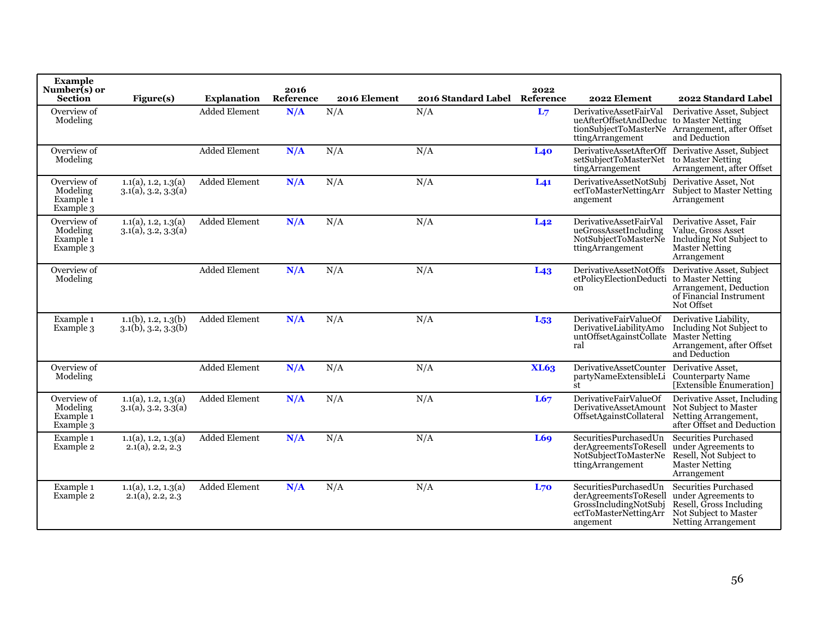| <b>Example</b><br>Number(s) or<br><b>Section</b>             | Figure(s)                                             | <b>Explanation</b>   | 2016<br>Reference | 2016 Element | 2016 Standard Label Reference | 2022            | 2022 Element                                                                                                 | 2022 Standard Label                                                                                                           |
|--------------------------------------------------------------|-------------------------------------------------------|----------------------|-------------------|--------------|-------------------------------|-----------------|--------------------------------------------------------------------------------------------------------------|-------------------------------------------------------------------------------------------------------------------------------|
| Overview of<br>Modeling                                      |                                                       | <b>Added Element</b> | N/A               | N/A          | N/A                           | L <sub>7</sub>  | DerivativeAssetFairVal<br>ueAfterOffsetAndDeduc to Master Netting<br>ttingArrangement                        | Derivative Asset, Subject<br>tionSubjectToMasterNe Arrangement, after Offset<br>and Deduction                                 |
| Overview of<br>Modeling                                      |                                                       | Added Element        | N/A               | N/A          | N/A                           | <b>L40</b>      | setSubjectToMasterNet<br>tingArrangement                                                                     | DerivativeAssetAfterOff Derivative Asset, Subject<br>to Master Netting<br>Arrangement, after Offset                           |
| Overview of<br>Modeling<br>Example <sub>1</sub><br>Example 3 | 1.1(a), 1.2, 1.3(a)<br>$3.1(a)$ , $3.2$ , $3.3(a)$    | <b>Added Element</b> | N/A               | N/A          | N/A                           | L <sub>41</sub> | DerivativeAssetNotSubi<br>ectToMasterNettingArr<br>angement                                                  | Derivative Asset, Not<br><b>Subject to Master Netting</b><br>Arrangement                                                      |
| Overview of<br>Modeling<br>Example <sub>1</sub><br>Example 3 | 1.1(a), 1.2, 1.3(a)<br>3.1(a), 3.2, 3.3(a)            | <b>Added Element</b> | N/A               | N/A          | N/A                           | L <sub>42</sub> | DerivativeAssetFairVal<br>ueGrossAssetIncluding<br>NotSubjectToMasterNe<br>ttingArrangement                  | Derivative Asset, Fair<br>Value, Gross Asset<br>Including Not Subject to<br><b>Master Netting</b><br>Arrangement              |
| Overview of<br>Modeling                                      |                                                       | <b>Added Element</b> | N/A               | N/A          | N/A                           | L <sub>43</sub> | <b>DerivativeAssetNotOffs</b><br>etPolicyElectionDeducti<br>on                                               | Derivative Asset, Subject<br>to Master Netting<br>Arrangement, Deduction<br>of Financial Instrument<br>Not Offset             |
| Example 1<br>Example 3                                       | $1.1(b)$ , 1.2, 1.3(b)<br>$3.1(b)$ , $3.2$ , $3.3(b)$ | <b>Added Element</b> | N/A               | N/A          | N/A                           | $L_{53}$        | DerivativeFairValueOf<br>DerivativeLiabilitvAmo<br>untOffsetAgainstCollate<br>ral                            | Derivative Liability.<br>Including Not Subject to<br>Master Netting<br>Arrangement, after Offset<br>and Deduction             |
| Overview of<br>Modeling                                      |                                                       | <b>Added Element</b> | N/A               | N/A          | N/A                           | <b>XL63</b>     | <b>DerivativeAssetCounter</b><br>partyNameExtensibleLi<br>st                                                 | Derivative Asset.<br><b>Counterparty Name</b><br>[Extensible Enumeration]                                                     |
| Overview of<br>Modeling<br>Example <sub>1</sub><br>Example 3 | 1.1(a), 1.2, 1.3(a)<br>3.1(a), 3.2, 3.3(a)            | <b>Added Element</b> | N/A               | N/A          | N/A                           | L67             | DerivativeFairValueOf<br>DerivativeAssetAmount<br>OffsetAgainstCollateral                                    | Derivative Asset, Including<br>Not Subject to Master<br>Netting Arrangement,<br>after Offset and Deduction                    |
| Example 1<br>Example 2                                       | 1.1(a), 1.2, 1.3(a)<br>$2.1(a)$ , 2.2, 2.3            | <b>Added Element</b> | N/A               | N/A          | N/A                           | L69             | SecuritiesPurchasedUn<br>derAgreementsToResell<br>NotSubjectToMasterNe<br>ttingArrangement                   | <b>Securities Purchased</b><br>under Agreements to<br>Resell, Not Subject to<br>Master Netting<br>Arrangement                 |
| Example 1<br>Example 2                                       | 1.1(a), 1.2, 1.3(a)<br>$2.1(a)$ , 2.2, 2.3            | <b>Added Element</b> | N/A               | N/A          | N/A                           | L70             | SecuritiesPurchasedUn<br>derAgreementsToResell<br>GrossIncludingNotSubj<br>ectToMasterNettingArr<br>angement | <b>Securities Purchased</b><br>under Agreements to<br>Resell, Gross Including<br>Not Subject to Master<br>Netting Arrangement |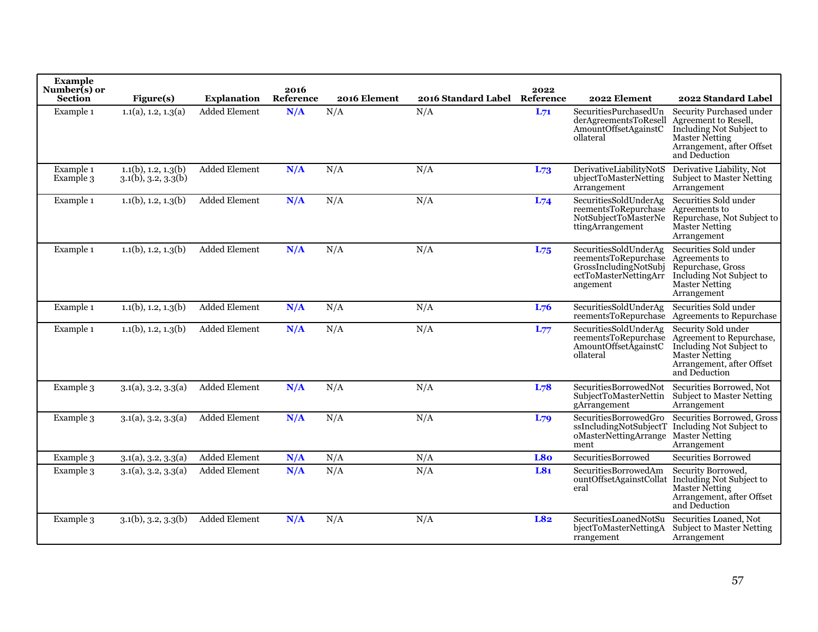| <b>Example</b><br>Number(s) or<br><b>Section</b> | Figure(s)                                             | <b>Explanation</b>   | 2016<br>Reference | 2016 Element | 2016 Standard Label Reference | 2022     | 2022 Element                                                                                                | 2022 Standard Label                                                                                                                          |
|--------------------------------------------------|-------------------------------------------------------|----------------------|-------------------|--------------|-------------------------------|----------|-------------------------------------------------------------------------------------------------------------|----------------------------------------------------------------------------------------------------------------------------------------------|
| Example 1                                        | 1.1(a), 1.2, 1.3(a)                                   | <b>Added Element</b> | N/A               | N/A          | N/A                           | $L_{71}$ | SecuritiesPurchasedUn<br>derAgreementsToResell<br>AmountOffsetAgainstC<br>ollateral                         | Security Purchased under<br>Agreement to Resell,<br>Including Not Subject to<br>Master Netting<br>Arrangement, after Offset<br>and Deduction |
| Example 1<br>Example 3                           | $1.1(b)$ , 1.2, 1.3(b)<br>$3.1(b)$ , $3.2$ , $3.3(b)$ | Added Element        | N/A               | N/A          | N/A                           | L73      | DerivativeLiabilityNotS<br>ubjectToMasterNetting<br>Arrangement                                             | Derivative Liability, Not<br><b>Subject to Master Netting</b><br>Arrangement                                                                 |
| Example 1                                        | $1.1(b)$ , 1.2, 1.3(b)                                | <b>Added Element</b> | N/A               | N/A          | N/A                           | $L_{74}$ | SecuritiesSoldUnderAg<br>reementsToRepurchase<br>NotSubjectToMasterNe<br>ttingArrangement                   | Securities Sold under<br>Agreements to<br>Repurchase, Not Subject to<br><b>Master Netting</b><br>Arrangement                                 |
| Example 1                                        | $1.1(b)$ , 1.2, 1.3(b)                                | <b>Added Element</b> | N/A               | N/A          | N/A                           | $L_{75}$ | SecuritiesSoldUnderAg<br>reementsToRepurchase<br>GrossIncludingNotSubj<br>ectToMasterNettingArr<br>angement | Securities Sold under<br>Agreements to<br>Repurchase, Gross<br>Including Not Subject to<br><b>Master Netting</b><br>Arrangement              |
| Example 1                                        | $1.1(b)$ , 1.2, 1.3(b)                                | Added Element        | N/A               | N/A          | N/A                           | $L_{76}$ | SecuritiesSoldUnderAg<br>reementsToRepurchase                                                               | Securities Sold under<br>Agreements to Repurchase                                                                                            |
| Example 1                                        | $1.1(b)$ , 1.2, 1.3(b)                                | Added Element        | N/A               | N/A          | N/A                           | $L_{77}$ | SecuritiesSoldUnderAg<br>reementsToRepurchase<br>AmountOffsetAgainstC<br>ollateral                          | Security Sold under<br>Agreement to Repurchase,<br>Including Not Subject to<br>Master Netting<br>Arrangement, after Offset<br>and Deduction  |
| Example 3                                        | 3.1(a), 3.2, 3.3(a)                                   | <b>Added Element</b> | N/A               | N/A          | N/A                           | L78      | SecuritiesBorrowedNot<br>SubjectToMasterNettin<br>gArrangement                                              | Securities Borrowed, Not<br><b>Subject to Master Netting</b><br>Arrangement                                                                  |
| Example 3                                        | 3.1(a), 3.2, 3.3(a)                                   | <b>Added Element</b> | N/A               | N/A          | N/A                           | $L_{79}$ | SecuritiesBorrowedGro<br>ssIncludingNotSubjectT<br>oMasterNettingArrange<br>ment                            | Securities Borrowed, Gross<br>Including Not Subject to<br><b>Master Netting</b><br>Arrangement                                               |
| Example 3                                        | 3.1(a), 3.2, 3.3(a)                                   | <b>Added Element</b> | N/A               | N/A          | N/A                           | L8o      | <b>SecuritiesBorrowed</b>                                                                                   | <b>Securities Borrowed</b>                                                                                                                   |
| Example 3                                        | $3.1(a)$ , $3.2$ , $3.3(a)$                           | <b>Added Element</b> | N/A               | N/A          | N/A                           | L81      | SecuritiesBorrowedAm<br>eral                                                                                | Security Borrowed,<br>ountOffsetAgainstCollat Including Not Subject to<br>Master Netting<br>Arrangement, after Offset<br>and Deduction       |
| Example 3                                        | $3.1(b)$ , $3.2$ , $3.3(b)$                           | <b>Added Element</b> | N/A               | N/A          | N/A                           | L82      | SecuritiesLoanedNotSu<br>bjectToMasterNettingA<br>rrangement                                                | Securities Loaned, Not<br><b>Subject to Master Netting</b><br>Arrangement                                                                    |